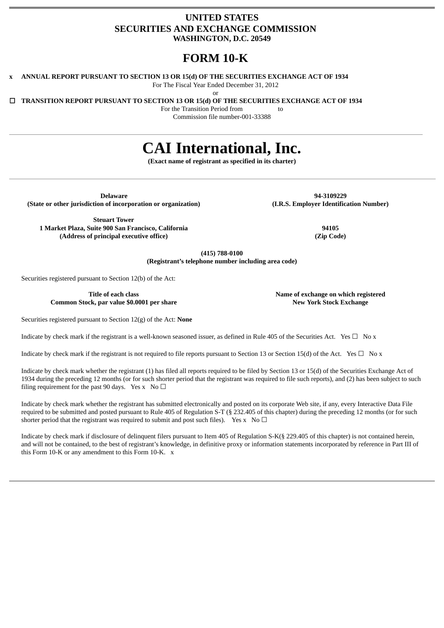## **UNITED STATES SECURITIES AND EXCHANGE COMMISSION WASHINGTON, D.C. 20549**

## **FORM 10-K**

or

## **x ANNUAL REPORT PURSUANT TO SECTION 13 OR 15(d) OF THE SECURITIES EXCHANGE ACT OF 1934**

For The Fiscal Year Ended December 31, 2012

☐ **TRANSITION REPORT PURSUANT TO SECTION 13 OR 15(d) OF THE SECURITIES EXCHANGE ACT OF 1934**

For the Transition Period from to Commission file number-001-33388

# **CAI International, Inc.**

**(Exact name of registrant as specified in its charter)**

**Delaware 94-3109229 (State or other jurisdiction of incorporation or organization) (I.R.S. Employer Identification Number)**

**Steuart Tower 1 Market Plaza, Suite 900 San Francisco, California 94105 (Address of principal executive office) (Zip Code)**

**(415) 788-0100**

**(Registrant's telephone number including area code)**

Securities registered pursuant to Section 12(b) of the Act:

**Title of each class Name of exchange on which registered Common Stock, par value \$0.0001 per share New York Stock Exchange**

Securities registered pursuant to Section 12(g) of the Act: **None**

Indicate by check mark if the registrant is a well-known seasoned issuer, as defined in Rule 405 of the Securities Act. Yes  $\Box$  No x

Indicate by check mark if the registrant is not required to file reports pursuant to Section 13 or Section 15(d) of the Act. Yes  $\Box$  No x

Indicate by check mark whether the registrant (1) has filed all reports required to be filed by Section 13 or 15(d) of the Securities Exchange Act of 1934 during the preceding 12 months (or for such shorter period that the registrant was required to file such reports), and (2) has been subject to such filing requirement for the past 90 days. Yes x No  $\Box$ 

Indicate by check mark whether the registrant has submitted electronically and posted on its corporate Web site, if any, every Interactive Data File required to be submitted and posted pursuant to Rule 405 of Regulation S-T (§ 232.405 of this chapter) during the preceding 12 months (or for such shorter period that the registrant was required to submit and post such files). Yes x No  $\Box$ 

Indicate by check mark if disclosure of delinquent filers pursuant to Item 405 of Regulation S-K(§ 229.405 of this chapter) is not contained herein, and will not be contained, to the best of registrant's knowledge, in definitive proxy or information statements incorporated by reference in Part III of this Form 10-K or any amendment to this Form 10-K. x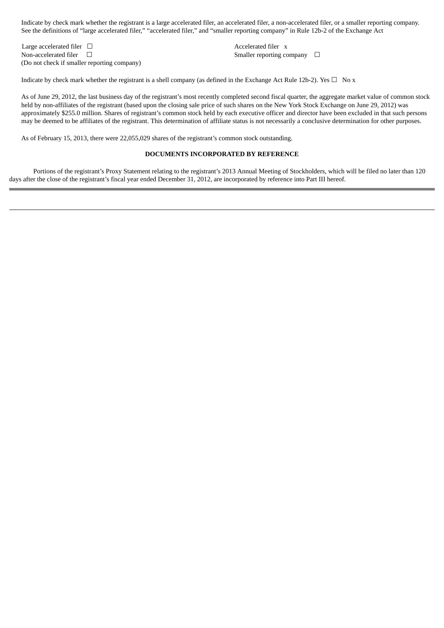Indicate by check mark whether the registrant is a large accelerated filer, an accelerated filer, a non-accelerated filer, or a smaller reporting company. See the definitions of "large accelerated filer," "accelerated filer," and "smaller reporting company" in Rule 12b-2 of the Exchange Act

Large accelerated filer  $\Box$ <br>
Non-accelerated filer  $\Box$ (Do not check if smaller reporting company)

Smaller reporting company  $\Box$ 

Indicate by check mark whether the registrant is a shell company (as defined in the Exchange Act Rule 12b-2). Yes  $\Box$  No x

As of June 29, 2012, the last business day of the registrant's most recently completed second fiscal quarter, the aggregate market value of common stock held by non-affiliates of the registrant (based upon the closing sale price of such shares on the New York Stock Exchange on June 29, 2012) was approximately \$255.0 million. Shares of registrant's common stock held by each executive officer and director have been excluded in that such persons may be deemed to be affiliates of the registrant. This determination of affiliate status is not necessarily a conclusive determination for other purposes.

As of February 15, 2013, there were 22,055,029 shares of the registrant's common stock outstanding.

## **DOCUMENTS INCORPORATED BY REFERENCE**

Portions of the registrant's Proxy Statement relating to the registrant's 2013 Annual Meeting of Stockholders, which will be filed no later than 120 days after the close of the registrant's fiscal year ended December 31, 2012, are incorporated by reference into Part III hereof.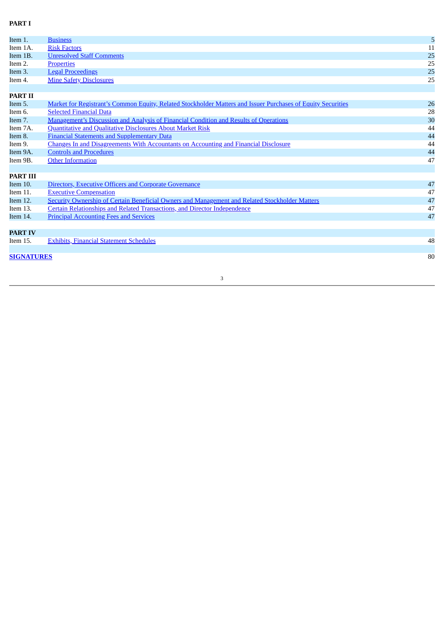## <span id="page-2-0"></span>**PART I**

| Item 1.           | <b>Business</b>                                                                                              | 5  |
|-------------------|--------------------------------------------------------------------------------------------------------------|----|
| Item 1A.          | <b>Risk Factors</b>                                                                                          | 11 |
| Item 1B.          | <b>Unresolved Staff Comments</b>                                                                             | 25 |
| Item 2.           | <b>Properties</b>                                                                                            | 25 |
| Item 3.           | <b>Legal Proceedings</b>                                                                                     | 25 |
| Item 4.           | <b>Mine Safety Disclosures</b>                                                                               | 25 |
|                   |                                                                                                              |    |
| <b>PART II</b>    |                                                                                                              |    |
| Item 5.           | Market for Registrant's Common Equity, Related Stockholder Matters and Issuer Purchases of Equity Securities | 26 |
| Item 6.           | <b>Selected Financial Data</b>                                                                               | 28 |
| Item 7.           | <b>Management's Discussion and Analysis of Financial Condition and Results of Operations</b>                 | 30 |
| Item 7A.          | <b>Quantitative and Qualitative Disclosures About Market Risk</b>                                            | 44 |
| Item 8.           | <b>Financial Statements and Supplementary Data</b>                                                           | 44 |
| Item 9.           | Changes In and Disagreements With Accountants on Accounting and Financial Disclosure                         | 44 |
| Item 9A.          | <b>Controls and Procedures</b>                                                                               | 44 |
| Item 9B.          | <b>Other Information</b>                                                                                     | 47 |
|                   |                                                                                                              |    |
| <b>PART III</b>   |                                                                                                              |    |
| Item 10.          | Directors, Executive Officers and Corporate Governance                                                       | 47 |
| Item 11.          | <b>Executive Compensation</b>                                                                                | 47 |
| Item 12.          | <b>Security Ownership of Certain Beneficial Owners and Management and Related Stockholder Matters</b>        | 47 |
| Item 13.          | Certain Relationships and Related Transactions, and Director Independence                                    | 47 |
| Item 14.          | <b>Principal Accounting Fees and Services</b>                                                                | 47 |
|                   |                                                                                                              |    |
| <b>PART IV</b>    |                                                                                                              |    |
| Item 15.          | <b>Exhibits, Financial Statement Schedules</b>                                                               | 48 |
|                   |                                                                                                              |    |
| <b>SIGNATURES</b> |                                                                                                              | 80 |
|                   |                                                                                                              |    |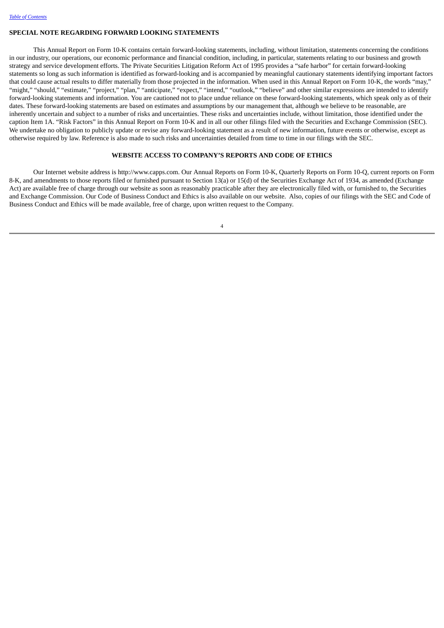#### **SPECIAL NOTE REGARDING FORWARD LOOKING STATEMENTS**

This Annual Report on Form 10-K contains certain forward-looking statements, including, without limitation, statements concerning the conditions in our industry, our operations, our economic performance and financial condition, including, in particular, statements relating to our business and growth strategy and service development efforts. The Private Securities Litigation Reform Act of 1995 provides a "safe harbor" for certain forward-looking statements so long as such information is identified as forward-looking and is accompanied by meaningful cautionary statements identifying important factors that could cause actual results to differ materially from those projected in the information. When used in this Annual Report on Form 10-K, the words "may," "might," "should," "estimate," "project," "plan," "anticipate," "expect," "intend," "outlook," "believe" and other similar expressions are intended to identify forward-looking statements and information. You are cautioned not to place undue reliance on these forward-looking statements, which speak only as of their dates. These forward-looking statements are based on estimates and assumptions by our management that, although we believe to be reasonable, are inherently uncertain and subject to a number of risks and uncertainties. These risks and uncertainties include, without limitation, those identified under the caption Item 1A. "Risk Factors" in this Annual Report on Form 10-K and in all our other filings filed with the Securities and Exchange Commission (SEC). We undertake no obligation to publicly update or revise any forward-looking statement as a result of new information, future events or otherwise, except as otherwise required by law. Reference is also made to such risks and uncertainties detailed from time to time in our filings with the SEC.

#### **WEBSITE ACCESS TO COMPANY'S REPORTS AND CODE OF ETHICS**

Our Internet website address is http://www.capps.com. Our Annual Reports on Form 10-K, Quarterly Reports on Form 10-Q, current reports on Form 8-K, and amendments to those reports filed or furnished pursuant to Section 13(a) or 15(d) of the Securities Exchange Act of 1934, as amended (Exchange Act) are available free of charge through our website as soon as reasonably practicable after they are electronically filed with, or furnished to, the Securities and Exchange Commission. Our Code of Business Conduct and Ethics is also available on our website. Also, copies of our filings with the SEC and Code of Business Conduct and Ethics will be made available, free of charge, upon written request to the Company.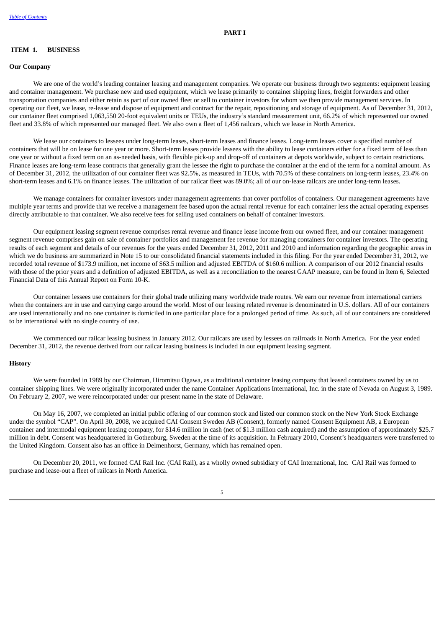#### <span id="page-4-0"></span>**ITEM 1. BUSINESS**

#### **Our Company**

We are one of the world's leading container leasing and management companies. We operate our business through two segments: equipment leasing and container management. We purchase new and used equipment, which we lease primarily to container shipping lines, freight forwarders and other transportation companies and either retain as part of our owned fleet or sell to container investors for whom we then provide management services. In operating our fleet, we lease, re-lease and dispose of equipment and contract for the repair, repositioning and storage of equipment. As of December 31, 2012, our container fleet comprised 1,063,550 20-foot equivalent units or TEUs, the industry's standard measurement unit, 66.2% of which represented our owned fleet and 33.8% of which represented our managed fleet. We also own a fleet of 1,456 railcars, which we lease in North America.

We lease our containers to lessees under long-term leases, short-term leases and finance leases. Long-term leases cover a specified number of containers that will be on lease for one year or more. Short-term leases provide lessees with the ability to lease containers either for a fixed term of less than one year or without a fixed term on an as-needed basis, with flexible pick-up and drop-off of containers at depots worldwide, subject to certain restrictions. Finance leases are long-term lease contracts that generally grant the lessee the right to purchase the container at the end of the term for a nominal amount. As of December 31, 2012, the utilization of our container fleet was 92.5%, as measured in TEUs, with 70.5% of these containers on long-term leases, 23.4% on short-term leases and 6.1% on finance leases. The utilization of our railcar fleet was 89.0%; all of our on-lease railcars are under long-term leases.

We manage containers for container investors under management agreements that cover portfolios of containers. Our management agreements have multiple year terms and provide that we receive a management fee based upon the actual rental revenue for each container less the actual operating expenses directly attributable to that container. We also receive fees for selling used containers on behalf of container investors.

Our equipment leasing segment revenue comprises rental revenue and finance lease income from our owned fleet, and our container management segment revenue comprises gain on sale of container portfolios and management fee revenue for managing containers for container investors. The operating results of each segment and details of our revenues for the years ended December 31, 2012, 2011 and 2010 and information regarding the geographic areas in which we do business are summarized in Note 15 to our consolidated financial statements included in this filing. For the year ended December 31, 2012, we recorded total revenue of \$173.9 million, net income of \$63.5 million and adjusted EBITDA of \$160.6 million. A comparison of our 2012 financial results with those of the prior years and a definition of adjusted EBITDA, as well as a reconciliation to the nearest GAAP measure, can be found in Item 6, Selected Financial Data of this Annual Report on Form 10-K.

Our container lessees use containers for their global trade utilizing many worldwide trade routes. We earn our revenue from international carriers when the containers are in use and carrying cargo around the world. Most of our leasing related revenue is denominated in U.S. dollars. All of our containers are used internationally and no one container is domiciled in one particular place for a prolonged period of time. As such, all of our containers are considered to be international with no single country of use.

We commenced our railcar leasing business in January 2012. Our railcars are used by lessees on railroads in North America. For the year ended December 31, 2012, the revenue derived from our railcar leasing business is included in our equipment leasing segment.

#### **History**

We were founded in 1989 by our Chairman, Hiromitsu Ogawa, as a traditional container leasing company that leased containers owned by us to container shipping lines. We were originally incorporated under the name Container Applications International, Inc. in the state of Nevada on August 3, 1989. On February 2, 2007, we were reincorporated under our present name in the state of Delaware.

On May 16, 2007, we completed an initial public offering of our common stock and listed our common stock on the New York Stock Exchange under the symbol "CAP". On April 30, 2008, we acquired CAI Consent Sweden AB (Consent), formerly named Consent Equipment AB, a European container and intermodal equipment leasing company, for \$14.6 million in cash (net of \$1.3 million cash acquired) and the assumption of approximately \$25.7 million in debt. Consent was headquartered in Gothenburg, Sweden at the time of its acquisition. In February 2010, Consent's headquarters were transferred to the United Kingdom. Consent also has an office in Delmenhorst, Germany, which has remained open.

On December 20, 2011, we formed CAI Rail Inc. (CAI Rail), as a wholly owned subsidiary of CAI International, Inc. CAI Rail was formed to purchase and lease-out a fleet of railcars in North America.

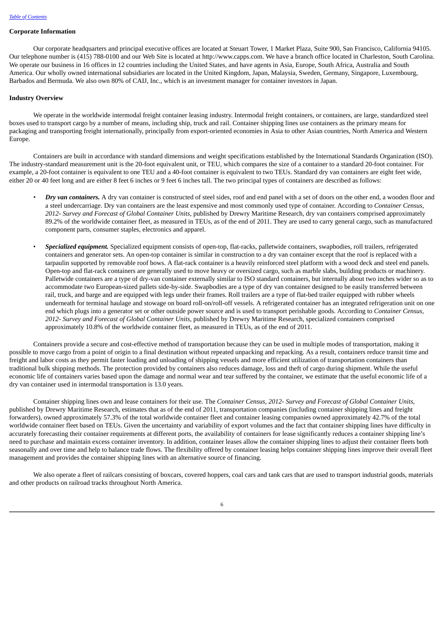## **Corporate Information**

Our corporate headquarters and principal executive offices are located at Steuart Tower, 1 Market Plaza, Suite 900, San Francisco, California 94105. Our telephone number is (415) 788-0100 and our Web Site is located at http://www.capps.com. We have a branch office located in Charleston, South Carolina. We operate our business in 16 offices in 12 countries including the United States, and have agents in Asia, Europe, South Africa, Australia and South America. Our wholly owned international subsidiaries are located in the United Kingdom, Japan, Malaysia, Sweden, Germany, Singapore, Luxembourg, Barbados and Bermuda. We also own 80% of CAIJ, Inc., which is an investment manager for container investors in Japan.

#### **Industry Overview**

We operate in the worldwide intermodal freight container leasing industry. Intermodal freight containers, or containers, are large, standardized steel boxes used to transport cargo by a number of means, including ship, truck and rail. Container shipping lines use containers as the primary means for packaging and transporting freight internationally, principally from export-oriented economies in Asia to other Asian countries, North America and Western Europe.

Containers are built in accordance with standard dimensions and weight specifications established by the International Standards Organization (ISO). The industry-standard measurement unit is the 20-foot equivalent unit, or TEU, which compares the size of a container to a standard 20-foot container. For example, a 20-foot container is equivalent to one TEU and a 40-foot container is equivalent to two TEUs. Standard dry van containers are eight feet wide, either 20 or 40 feet long and are either 8 feet 6 inches or 9 feet 6 inches tall. The two principal types of containers are described as follows:

- *• Dry van containers.* A dry van container is constructed of steel sides, roof and end panel with a set of doors on the other end, a wooden floor and a steel undercarriage. Dry van containers are the least expensive and most commonly used type of container. According to *Container Census, 2012- Survey and Forecast of Global Container Units*, published by Drewry Maritime Research*,* dry van containers comprised approximately 89.2% of the worldwide container fleet, as measured in TEUs, as of the end of 2011. They are used to carry general cargo, such as manufactured component parts, consumer staples, electronics and apparel.
- *Specialized equipment.* Specialized equipment consists of open-top, flat-racks, palletwide containers, swapbodies, roll trailers, refrigerated containers and generator sets. An open-top container is similar in construction to a dry van container except that the roof is replaced with a tarpaulin supported by removable roof bows. A flat-rack container is a heavily reinforced steel platform with a wood deck and steel end panels. Open-top and flat-rack containers are generally used to move heavy or oversized cargo, such as marble slabs, building products or machinery. Palletwide containers are a type of dry-van container externally similar to ISO standard containers, but internally about two inches wider so as to accommodate two European-sized pallets side-by-side. Swapbodies are a type of dry van container designed to be easily transferred between rail, truck, and barge and are equipped with legs under their frames. Roll trailers are a type of flat-bed trailer equipped with rubber wheels underneath for terminal haulage and stowage on board roll-on/roll-off vessels. A refrigerated container has an integrated refrigeration unit on one end which plugs into a generator set or other outside power source and is used to transport perishable goods. According to *Container Census, 2012- Survey and Forecast of Global Container Units,* published by Drewry Maritime Research, specialized containers comprised approximately 10.8% of the worldwide container fleet, as measured in TEUs, as of the end of 2011.

Containers provide a secure and cost-effective method of transportation because they can be used in multiple modes of transportation, making it possible to move cargo from a point of origin to a final destination without repeated unpacking and repacking. As a result, containers reduce transit time and freight and labor costs as they permit faster loading and unloading of shipping vessels and more efficient utilization of transportation containers than traditional bulk shipping methods. The protection provided by containers also reduces damage, loss and theft of cargo during shipment. While the useful economic life of containers varies based upon the damage and normal wear and tear suffered by the container, we estimate that the useful economic life of a dry van container used in intermodal transportation is 13.0 years.

Container shipping lines own and lease containers for their use. The *Container Census, 2012- Survey and Forecast of Global Container Units,* published by Drewry Maritime Research, estimates that as of the end of 2011, transportation companies (including container shipping lines and freight forwarders), owned approximately 57.3% of the total worldwide container fleet and container leasing companies owned approximately 42.7% of the total worldwide container fleet based on TEUs. Given the uncertainty and variability of export volumes and the fact that container shipping lines have difficulty in accurately forecasting their container requirements at different ports, the availability of containers for lease significantly reduces a container shipping line's need to purchase and maintain excess container inventory. In addition, container leases allow the container shipping lines to adjust their container fleets both seasonally and over time and help to balance trade flows. The flexibility offered by container leasing helps container shipping lines improve their overall fleet management and provides the container shipping lines with an alternative source of financing.

We also operate a fleet of railcars consisting of boxcars, covered hoppers, coal cars and tank cars that are used to transport industrial goods, materials and other products on railroad tracks throughout North America.

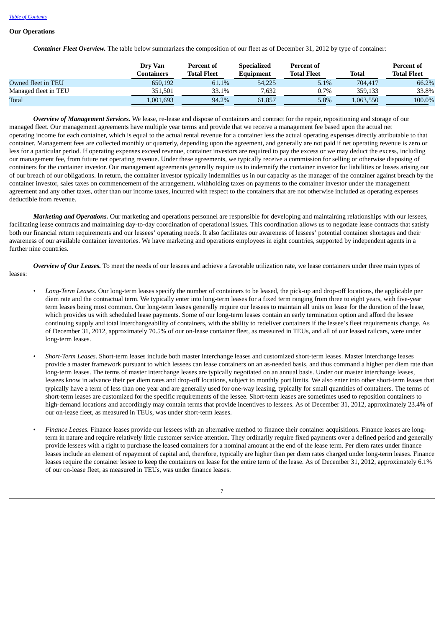#### **Our Operations**

*Container Fleet Overview.* The table below summarizes the composition of our fleet as of December 31, 2012 by type of container:

|                      | Dry Van<br>Containers | Percent of<br><b>Total Fleet</b> | <b>Specialized</b><br>Equipment | Percent of<br><b>Total Fleet</b> | Total    | Percent of<br><b>Total Fleet</b> |
|----------------------|-----------------------|----------------------------------|---------------------------------|----------------------------------|----------|----------------------------------|
| Owned fleet in TEU   | 650,192               | 61.1%                            | 54,225                          | 5.1%                             | 704.417  | 66.2%                            |
| Managed fleet in TEU | 351.501               | 33.1%                            | 7.632                           | 0.7%                             | 359.133  | 33.8%                            |
| <b>Total</b>         | 1,001,693             | 94.2%                            | 61,857                          | 5.8%                             | .063,550 | 100.0%                           |

*Overview of Management Services.* We lease, re-lease and dispose of containers and contract for the repair, repositioning and storage of our managed fleet. Our management agreements have multiple year terms and provide that we receive a management fee based upon the actual net operating income for each container, which is equal to the actual rental revenue for a container less the actual operating expenses directly attributable to that container. Management fees are collected monthly or quarterly, depending upon the agreement, and generally are not paid if net operating revenue is zero or less for a particular period. If operating expenses exceed revenue, container investors are required to pay the excess or we may deduct the excess, including our management fee, from future net operating revenue. Under these agreements, we typically receive a commission for selling or otherwise disposing of containers for the container investor. Our management agreements generally require us to indemnify the container investor for liabilities or losses arising out of our breach of our obligations. In return, the container investor typically indemnifies us in our capacity as the manager of the container against breach by the container investor, sales taxes on commencement of the arrangement, withholding taxes on payments to the container investor under the management agreement and any other taxes, other than our income taxes, incurred with respect to the containers that are not otherwise included as operating expenses deductible from revenue.

*Marketing and Operations.* Our marketing and operations personnel are responsible for developing and maintaining relationships with our lessees, facilitating lease contracts and maintaining day-to-day coordination of operational issues. This coordination allows us to negotiate lease contracts that satisfy both our financial return requirements and our lessees' operating needs. It also facilitates our awareness of lessees' potential container shortages and their awareness of our available container inventories. We have marketing and operations employees in eight countries, supported by independent agents in a further nine countries.

*Overview of Our Leases.* To meet the needs of our lessees and achieve a favorable utilization rate, we lease containers under three main types of leases:

- *Long-Term Leases*. Our long-term leases specify the number of containers to be leased, the pick-up and drop-off locations, the applicable per diem rate and the contractual term. We typically enter into long-term leases for a fixed term ranging from three to eight years, with five-year term leases being most common. Our long-term leases generally require our lessees to maintain all units on lease for the duration of the lease, which provides us with scheduled lease payments. Some of our long-term leases contain an early termination option and afford the lessee continuing supply and total interchangeability of containers, with the ability to redeliver containers if the lessee's fleet requirements change. As of December 31, 2012, approximately 70.5% of our on-lease container fleet, as measured in TEUs, and all of our leased railcars, were under long-term leases.
- *Short-Term Leases*. Short-term leases include both master interchange leases and customized short-term leases. Master interchange leases provide a master framework pursuant to which lessees can lease containers on an as-needed basis, and thus command a higher per diem rate than long-term leases. The terms of master interchange leases are typically negotiated on an annual basis. Under our master interchange leases, lessees know in advance their per diem rates and drop-off locations, subject to monthly port limits. We also enter into other short-term leases that typically have a term of less than one year and are generally used for one-way leasing, typically for small quantities of containers. The terms of short-term leases are customized for the specific requirements of the lessee. Short-term leases are sometimes used to reposition containers to high-demand locations and accordingly may contain terms that provide incentives to lessees. As of December 31, 2012, approximately 23.4% of our on-lease fleet, as measured in TEUs, was under short-term leases.
- *Finance Leases.* Finance leases provide our lessees with an alternative method to finance their container acquisitions. Finance leases are longterm in nature and require relatively little customer service attention. They ordinarily require fixed payments over a defined period and generally provide lessees with a right to purchase the leased containers for a nominal amount at the end of the lease term. Per diem rates under finance leases include an element of repayment of capital and, therefore, typically are higher than per diem rates charged under long-term leases. Finance leases require the container lessee to keep the containers on lease for the entire term of the lease. As of December 31, 2012, approximately 6.1% of our on-lease fleet, as measured in TEUs, was under finance leases.

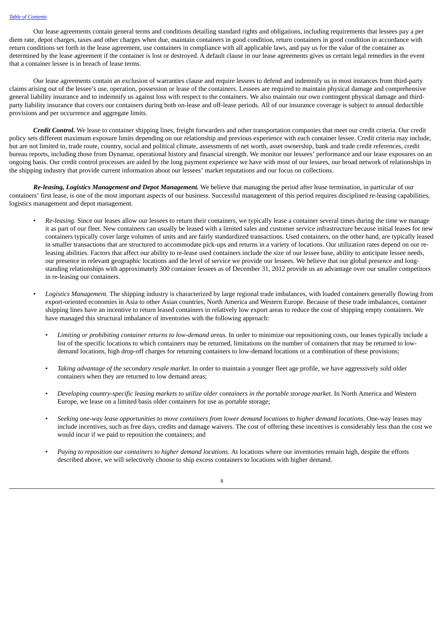Our lease agreements contain general terms and conditions detailing standard rights and obligations, including requirements that lessees pay a per diem rate, depot charges, taxes and other charges when due, maintain containers in good condition, return containers in good condition in accordance with return conditions set forth in the lease agreement, use containers in compliance with all applicable laws, and pay us for the value of the container as determined by the lease agreement if the container is lost or destroyed. A default clause in our lease agreements gives us certain legal remedies in the event that a container lessee is in breach of lease terms.

Our lease agreements contain an exclusion of warranties clause and require lessees to defend and indemnify us in most instances from third-party claims arising out of the lessee's use, operation, possession or lease of the containers. Lessees are required to maintain physical damage and comprehensive general liability insurance and to indemnify us against loss with respect to the containers. We also maintain our own contingent physical damage and thirdparty liability insurance that covers our containers during both on-lease and off-lease periods. All of our insurance coverage is subject to annual deductible provisions and per occurrence and aggregate limits.

*Credit Control.* We lease to container shipping lines, freight forwarders and other transportation companies that meet our credit criteria. Our credit policy sets different maximum exposure limits depending on our relationship and previous experience with each container lessee. Credit criteria may include, but are not limited to, trade route, country, social and political climate, assessments of net worth, asset ownership, bank and trade credit references, credit bureau reports, including those from Dynamar, operational history and financial strength. We monitor our lessees' performance and our lease exposures on an ongoing basis. Our credit control processes are aided by the long payment experience we have with most of our lessees, our broad network of relationships in the shipping industry that provide current information about our lessees' market reputations and our focus on collections.

*Re-leasing, Logistics Management and Depot Management.* We believe that managing the period after lease termination, in particular of our containers' first lease, is one of the most important aspects of our business. Successful management of this period requires disciplined re-leasing capabilities, logistics management and depot management.

- *Re-leasing.* Since our leases allow our lessees to return their containers, we typically lease a container several times during the time we manage it as part of our fleet. New containers can usually be leased with a limited sales and customer service infrastructure because initial leases for new containers typically cover large volumes of units and are fairly standardized transactions. Used containers, on the other hand, are typically leased in smaller transactions that are structured to accommodate pick-ups and returns in a variety of locations. Our utilization rates depend on our releasing abilities. Factors that affect our ability to re-lease used containers include the size of our lessee base, ability to anticipate lessee needs, our presence in relevant geographic locations and the level of service we provide our lessees. We believe that our global presence and longstanding relationships with approximately 300 container lessees as of December 31, 2012 provide us an advantage over our smaller competitors in re-leasing our containers.
- *Logistics Management.* The shipping industry is characterized by large regional trade imbalances, with loaded containers generally flowing from export-oriented economies in Asia to other Asian countries, North America and Western Europe. Because of these trade imbalances, container shipping lines have an incentive to return leased containers in relatively low export areas to reduce the cost of shipping empty containers. We have managed this structural imbalance of inventories with the following approach:
	- *Limiting or prohibiting container returns to low-demand areas.* In order to minimize our repositioning costs, our leases typically include a list of the specific locations to which containers may be returned, limitations on the number of containers that may be returned to lowdemand locations, high drop-off charges for returning containers to low-demand locations or a combination of these provisions;
	- *Taking advantage of the secondary resale market.* In order to maintain a younger fleet age profile, we have aggressively sold older containers when they are returned to low demand areas;
	- Developing country-specific leasing markets to utilize older containers in the portable storage market. In North America and Western Europe, we lease on a limited basis older containers for use as portable storage;
	- Seeking one-way lease opportunities to move containers from lower demand locations to higher demand locations. One-way leases may include incentives, such as free days, credits and damage waivers. The cost of offering these incentives is considerably less than the cost we would incur if we paid to reposition the containers; and
	- *Paying to reposition our containers to higher demand locations*. At locations where our inventories remain high, despite the efforts described above, we will selectively choose to ship excess containers to locations with higher demand.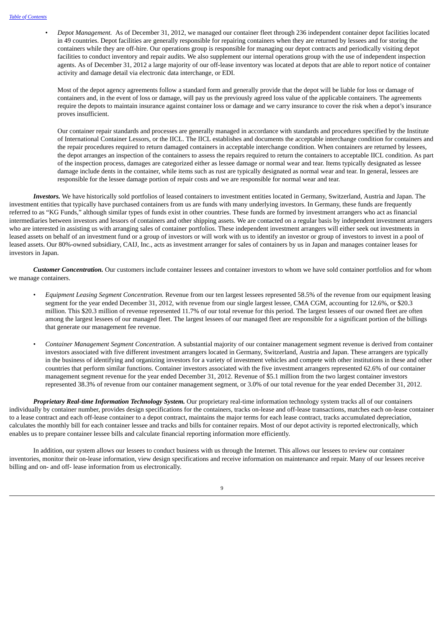• *Depot Management.* As of December 31, 2012, we managed our container fleet through 236 independent container depot facilities located in 49 countries. Depot facilities are generally responsible for repairing containers when they are returned by lessees and for storing the containers while they are off-hire. Our operations group is responsible for managing our depot contracts and periodically visiting depot facilities to conduct inventory and repair audits. We also supplement our internal operations group with the use of independent inspection agents. As of December 31, 2012 a large majority of our off-lease inventory was located at depots that are able to report notice of container activity and damage detail via electronic data interchange, or EDI.

Most of the depot agency agreements follow a standard form and generally provide that the depot will be liable for loss or damage of containers and, in the event of loss or damage, will pay us the previously agreed loss value of the applicable containers. The agreements require the depots to maintain insurance against container loss or damage and we carry insurance to cover the risk when a depot's insurance proves insufficient.

Our container repair standards and processes are generally managed in accordance with standards and procedures specified by the Institute of International Container Lessors, or the IICL. The IICL establishes and documents the acceptable interchange condition for containers and the repair procedures required to return damaged containers in acceptable interchange condition. When containers are returned by lessees, the depot arranges an inspection of the containers to assess the repairs required to return the containers to acceptable IICL condition. As part of the inspection process, damages are categorized either as lessee damage or normal wear and tear. Items typically designated as lessee damage include dents in the container, while items such as rust are typically designated as normal wear and tear. In general, lessees are responsible for the lessee damage portion of repair costs and we are responsible for normal wear and tear.

*Investors.* We have historically sold portfolios of leased containers to investment entities located in Germany, Switzerland, Austria and Japan. The investment entities that typically have purchased containers from us are funds with many underlying investors. In Germany, these funds are frequently referred to as "KG Funds," although similar types of funds exist in other countries. These funds are formed by investment arrangers who act as financial intermediaries between investors and lessors of containers and other shipping assets. We are contacted on a regular basis by independent investment arrangers who are interested in assisting us with arranging sales of container portfolios. These independent investment arrangers will either seek out investments in leased assets on behalf of an investment fund or a group of investors or will work with us to identify an investor or group of investors to invest in a pool of leased assets. Our 80%-owned subsidiary, CAIJ, Inc., acts as investment arranger for sales of containers by us in Japan and manages container leases for investors in Japan.

*Customer Concentration.* Our customers include container lessees and container investors to whom we have sold container portfolios and for whom we manage containers.

- *Equipment Leasing Segment Concentration.* Revenue from our ten largest lessees represented 58.5% of the revenue from our equipment leasing segment for the year ended December 31, 2012, with revenue from our single largest lessee, CMA CGM, accounting for 12.6%, or \$20.3 million. This \$20.3 million of revenue represented 11.7% of our total revenue for this period. The largest lessees of our owned fleet are often among the largest lessees of our managed fleet. The largest lessees of our managed fleet are responsible for a significant portion of the billings that generate our management fee revenue.
- *Container Management Segment Concentration.* A substantial majority of our container management segment revenue is derived from container investors associated with five different investment arrangers located in Germany, Switzerland, Austria and Japan. These arrangers are typically in the business of identifying and organizing investors for a variety of investment vehicles and compete with other institutions in these and other countries that perform similar functions. Container investors associated with the five investment arrangers represented 62.6% of our container management segment revenue for the year ended December 31, 2012. Revenue of \$5.1 million from the two largest container investors represented 38.3% of revenue from our container management segment, or 3.0% of our total revenue for the year ended December 31, 2012.

*Proprietary Real-time Information Technology System.* Our proprietary real-time information technology system tracks all of our containers individually by container number, provides design specifications for the containers, tracks on-lease and off-lease transactions, matches each on-lease container to a lease contract and each off-lease container to a depot contract, maintains the major terms for each lease contract, tracks accumulated depreciation, calculates the monthly bill for each container lessee and tracks and bills for container repairs. Most of our depot activity is reported electronically, which enables us to prepare container lessee bills and calculate financial reporting information more efficiently.

In addition, our system allows our lessees to conduct business with us through the Internet. This allows our lessees to review our container inventories, monitor their on-lease information, view design specifications and receive information on maintenance and repair. Many of our lessees receive billing and on- and off- lease information from us electronically.

 $\alpha$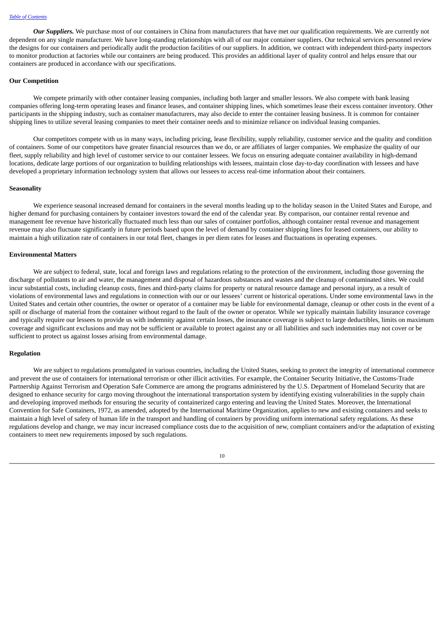*Our Suppliers.* We purchase most of our containers in China from manufacturers that have met our qualification requirements. We are currently not dependent on any single manufacturer. We have long-standing relationships with all of our major container suppliers. Our technical services personnel review the designs for our containers and periodically audit the production facilities of our suppliers. In addition, we contract with independent third-party inspectors to monitor production at factories while our containers are being produced. This provides an additional layer of quality control and helps ensure that our containers are produced in accordance with our specifications.

#### **Our Competition**

We compete primarily with other container leasing companies, including both larger and smaller lessors. We also compete with bank leasing companies offering long-term operating leases and finance leases, and container shipping lines, which sometimes lease their excess container inventory. Other participants in the shipping industry, such as container manufacturers, may also decide to enter the container leasing business. It is common for container shipping lines to utilize several leasing companies to meet their container needs and to minimize reliance on individual leasing companies.

Our competitors compete with us in many ways, including pricing, lease flexibility, supply reliability, customer service and the quality and condition of containers. Some of our competitors have greater financial resources than we do, or are affiliates of larger companies. We emphasize the quality of our fleet, supply reliability and high level of customer service to our container lessees. We focus on ensuring adequate container availability in high-demand locations, dedicate large portions of our organization to building relationships with lessees, maintain close day-to-day coordination with lessees and have developed a proprietary information technology system that allows our lessees to access real-time information about their containers.

#### **Seasonality**

We experience seasonal increased demand for containers in the several months leading up to the holiday season in the United States and Europe, and higher demand for purchasing containers by container investors toward the end of the calendar year. By comparison, our container rental revenue and management fee revenue have historically fluctuated much less than our sales of container portfolios, although container rental revenue and management revenue may also fluctuate significantly in future periods based upon the level of demand by container shipping lines for leased containers, our ability to maintain a high utilization rate of containers in our total fleet, changes in per diem rates for leases and fluctuations in operating expenses.

#### **Environmental Matters**

We are subject to federal, state, local and foreign laws and regulations relating to the protection of the environment, including those governing the discharge of pollutants to air and water, the management and disposal of hazardous substances and wastes and the cleanup of contaminated sites. We could incur substantial costs, including cleanup costs, fines and third-party claims for property or natural resource damage and personal injury, as a result of violations of environmental laws and regulations in connection with our or our lessees' current or historical operations. Under some environmental laws in the United States and certain other countries, the owner or operator of a container may be liable for environmental damage, cleanup or other costs in the event of a spill or discharge of material from the container without regard to the fault of the owner or operator. While we typically maintain liability insurance coverage and typically require our lessees to provide us with indemnity against certain losses, the insurance coverage is subject to large deductibles, limits on maximum coverage and significant exclusions and may not be sufficient or available to protect against any or all liabilities and such indemnities may not cover or be sufficient to protect us against losses arising from environmental damage.

#### **Regulation**

We are subject to regulations promulgated in various countries, including the United States, seeking to protect the integrity of international commerce and prevent the use of containers for international terrorism or other illicit activities. For example, the Container Security Initiative, the Customs-Trade Partnership Against Terrorism and Operation Safe Commerce are among the programs administered by the U.S. Department of Homeland Security that are designed to enhance security for cargo moving throughout the international transportation system by identifying existing vulnerabilities in the supply chain and developing improved methods for ensuring the security of containerized cargo entering and leaving the United States. Moreover, the International Convention for Safe Containers, 1972, as amended, adopted by the International Maritime Organization, applies to new and existing containers and seeks to maintain a high level of safety of human life in the transport and handling of containers by providing uniform international safety regulations. As these regulations develop and change, we may incur increased compliance costs due to the acquisition of new, compliant containers and/or the adaptation of existing containers to meet new requirements imposed by such regulations.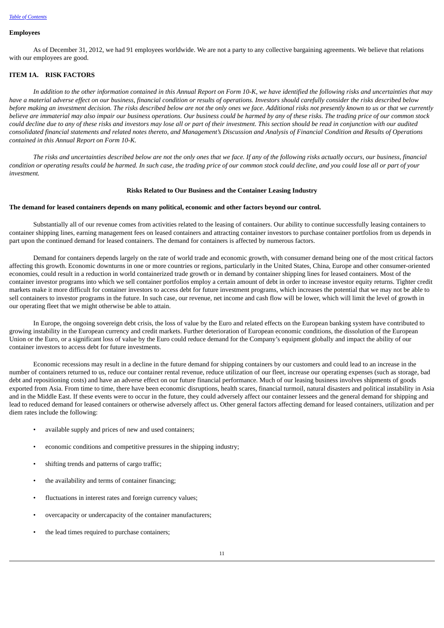#### **Employees**

As of December 31, 2012, we had 91 employees worldwide. We are not a party to any collective bargaining agreements. We believe that relations with our employees are good.

## <span id="page-10-0"></span>**ITEM 1A. RISK FACTORS**

In addition to the other information contained in this Annual Report on Form 10-K, we have identified the following risks and uncertainties that may have a material adverse effect on our business, financial condition or results of operations. Investors should carefully consider the risks described below before making an investment decision. The risks described below are not the only ones we face. Additional risks not presently known to us or that we currently believe are immaterial may also impair our business operations. Our business could be harmed by any of these risks. The trading price of our common stock could decline due to any of these risks and investors may lose all or part of their investment. This section should be read in conjunction with our audited consolidated financial statements and related notes thereto, and Management's Discussion and Analysis of Financial Condition and Results of Operations *contained in this Annual Report on Form 10-K.*

The risks and uncertainties described below are not the only ones that we face. If any of the following risks actually occurs, our business, financial condition or operating results could be harmed. In such case, the trading price of our common stock could decline, and you could lose all or part of your *investment.*

#### **Risks Related to Our Business and the Container Leasing Industry**

## **The demand for leased containers depends on many political, economic and other factors beyond our control.**

Substantially all of our revenue comes from activities related to the leasing of containers. Our ability to continue successfully leasing containers to container shipping lines, earning management fees on leased containers and attracting container investors to purchase container portfolios from us depends in part upon the continued demand for leased containers. The demand for containers is affected by numerous factors.

Demand for containers depends largely on the rate of world trade and economic growth, with consumer demand being one of the most critical factors affecting this growth. Economic downturns in one or more countries or regions, particularly in the United States, China, Europe and other consumer-oriented economies, could result in a reduction in world containerized trade growth or in demand by container shipping lines for leased containers. Most of the container investor programs into which we sell container portfolios employ a certain amount of debt in order to increase investor equity returns. Tighter credit markets make it more difficult for container investors to access debt for future investment programs, which increases the potential that we may not be able to sell containers to investor programs in the future. In such case, our revenue, net income and cash flow will be lower, which will limit the level of growth in our operating fleet that we might otherwise be able to attain.

In Europe, the ongoing sovereign debt crisis, the loss of value by the Euro and related effects on the European banking system have contributed to growing instability in the European currency and credit markets. Further deterioration of European economic conditions, the dissolution of the European Union or the Euro, or a significant loss of value by the Euro could reduce demand for the Company's equipment globally and impact the ability of our container investors to access debt for future investments.

Economic recessions may result in a decline in the future demand for shipping containers by our customers and could lead to an increase in the number of containers returned to us, reduce our container rental revenue, reduce utilization of our fleet, increase our operating expenses (such as storage, bad debt and repositioning costs) and have an adverse effect on our future financial performance. Much of our leasing business involves shipments of goods exported from Asia. From time to time, there have been economic disruptions, health scares, financial turmoil, natural disasters and political instability in Asia and in the Middle East. If these events were to occur in the future, they could adversely affect our container lessees and the general demand for shipping and lead to reduced demand for leased containers or otherwise adversely affect us. Other general factors affecting demand for leased containers, utilization and per diem rates include the following:

- available supply and prices of new and used containers;
- economic conditions and competitive pressures in the shipping industry;
- shifting trends and patterns of cargo traffic;
- the availability and terms of container financing;
- fluctuations in interest rates and foreign currency values;
- overcapacity or undercapacity of the container manufacturers;
- the lead times required to purchase containers;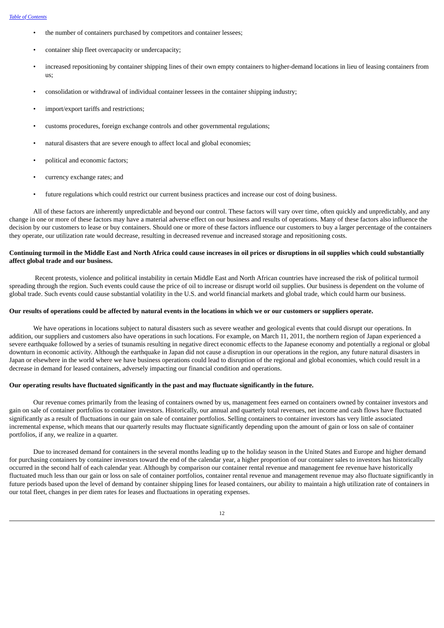- the number of containers purchased by competitors and container lessees;
- container ship fleet overcapacity or undercapacity;
- increased repositioning by container shipping lines of their own empty containers to higher-demand locations in lieu of leasing containers from us;
- consolidation or withdrawal of individual container lessees in the container shipping industry;
- import/export tariffs and restrictions;
- customs procedures, foreign exchange controls and other governmental regulations;
- natural disasters that are severe enough to affect local and global economies;
- political and economic factors;
- currency exchange rates; and
- future regulations which could restrict our current business practices and increase our cost of doing business.

All of these factors are inherently unpredictable and beyond our control. These factors will vary over time, often quickly and unpredictably, and any change in one or more of these factors may have a material adverse effect on our business and results of operations. Many of these factors also influence the decision by our customers to lease or buy containers. Should one or more of these factors influence our customers to buy a larger percentage of the containers they operate, our utilization rate would decrease, resulting in decreased revenue and increased storage and repositioning costs.

## Continuing turmoil in the Middle East and North Africa could cause increases in oil prices or disruptions in oil supplies which could substantially **affect global trade and our business.**

Recent protests, violence and political instability in certain Middle East and North African countries have increased the risk of political turmoil spreading through the region. Such events could cause the price of oil to increase or disrupt world oil supplies. Our business is dependent on the volume of global trade. Such events could cause substantial volatility in the U.S. and world financial markets and global trade, which could harm our business.

#### Our results of operations could be affected by natural events in the locations in which we or our customers or suppliers operate.

We have operations in locations subject to natural disasters such as severe weather and geological events that could disrupt our operations. In addition, our suppliers and customers also have operations in such locations. For example, on March 11, 2011, the northern region of Japan experienced a severe earthquake followed by a series of tsunamis resulting in negative direct economic effects to the Japanese economy and potentially a regional or global downturn in economic activity. Although the earthquake in Japan did not cause a disruption in our operations in the region, any future natural disasters in Japan or elsewhere in the world where we have business operations could lead to disruption of the regional and global economies, which could result in a decrease in demand for leased containers, adversely impacting our financial condition and operations.

## **Our operating results have fluctuated significantly in the past and may fluctuate significantly in the future.**

Our revenue comes primarily from the leasing of containers owned by us, management fees earned on containers owned by container investors and gain on sale of container portfolios to container investors. Historically, our annual and quarterly total revenues, net income and cash flows have fluctuated significantly as a result of fluctuations in our gain on sale of container portfolios. Selling containers to container investors has very little associated incremental expense, which means that our quarterly results may fluctuate significantly depending upon the amount of gain or loss on sale of container portfolios, if any, we realize in a quarter.

Due to increased demand for containers in the several months leading up to the holiday season in the United States and Europe and higher demand for purchasing containers by container investors toward the end of the calendar year, a higher proportion of our container sales to investors has historically occurred in the second half of each calendar year. Although by comparison our container rental revenue and management fee revenue have historically fluctuated much less than our gain or loss on sale of container portfolios, container rental revenue and management revenue may also fluctuate significantly in future periods based upon the level of demand by container shipping lines for leased containers, our ability to maintain a high utilization rate of containers in our total fleet, changes in per diem rates for leases and fluctuations in operating expenses.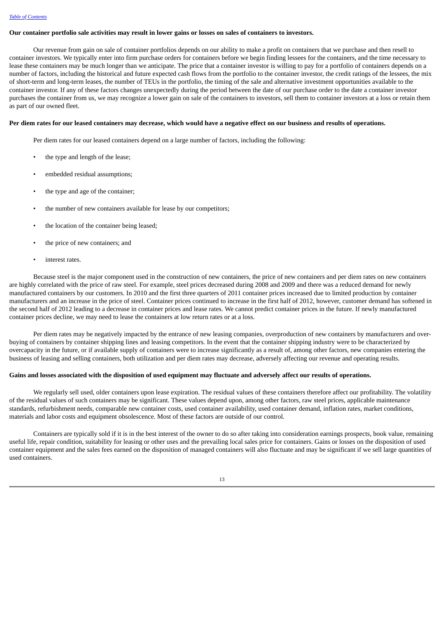#### Our container portfolio sale activities may result in lower gains or losses on sales of containers to investors.

Our revenue from gain on sale of container portfolios depends on our ability to make a profit on containers that we purchase and then resell to container investors. We typically enter into firm purchase orders for containers before we begin finding lessees for the containers, and the time necessary to lease these containers may be much longer than we anticipate. The price that a container investor is willing to pay for a portfolio of containers depends on a number of factors, including the historical and future expected cash flows from the portfolio to the container investor, the credit ratings of the lessees, the mix of short-term and long-term leases, the number of TEUs in the portfolio, the timing of the sale and alternative investment opportunities available to the container investor. If any of these factors changes unexpectedly during the period between the date of our purchase order to the date a container investor purchases the container from us, we may recognize a lower gain on sale of the containers to investors, sell them to container investors at a loss or retain them as part of our owned fleet.

#### Per diem rates for our leased containers may decrease, which would have a negative effect on our business and results of operations.

Per diem rates for our leased containers depend on a large number of factors, including the following:

- the type and length of the lease;
- embedded residual assumptions;
- the type and age of the container;
- the number of new containers available for lease by our competitors;
- the location of the container being leased;
- the price of new containers; and
- interest rates.

Because steel is the major component used in the construction of new containers, the price of new containers and per diem rates on new containers are highly correlated with the price of raw steel. For example, steel prices decreased during 2008 and 2009 and there was a reduced demand for newly manufactured containers by our customers. In 2010 and the first three quarters of 2011 container prices increased due to limited production by container manufacturers and an increase in the price of steel. Container prices continued to increase in the first half of 2012, however, customer demand has softened in the second half of 2012 leading to a decrease in container prices and lease rates. We cannot predict container prices in the future. If newly manufactured container prices decline, we may need to lease the containers at low return rates or at a loss.

Per diem rates may be negatively impacted by the entrance of new leasing companies, overproduction of new containers by manufacturers and overbuying of containers by container shipping lines and leasing competitors. In the event that the container shipping industry were to be characterized by overcapacity in the future, or if available supply of containers were to increase significantly as a result of, among other factors, new companies entering the business of leasing and selling containers, both utilization and per diem rates may decrease, adversely affecting our revenue and operating results.

### Gains and losses associated with the disposition of used equipment may fluctuate and adversely affect our results of operations.

We regularly sell used, older containers upon lease expiration. The residual values of these containers therefore affect our profitability. The volatility of the residual values of such containers may be significant. These values depend upon, among other factors, raw steel prices, applicable maintenance standards, refurbishment needs, comparable new container costs, used container availability, used container demand, inflation rates, market conditions, materials and labor costs and equipment obsolescence. Most of these factors are outside of our control.

Containers are typically sold if it is in the best interest of the owner to do so after taking into consideration earnings prospects, book value, remaining useful life, repair condition, suitability for leasing or other uses and the prevailing local sales price for containers. Gains or losses on the disposition of used container equipment and the sales fees earned on the disposition of managed containers will also fluctuate and may be significant if we sell large quantities of used containers.

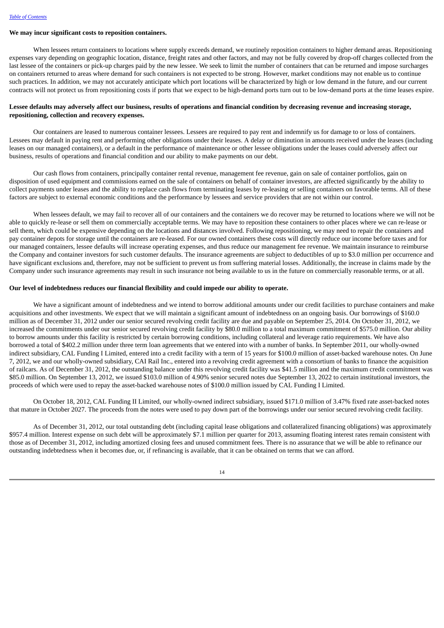#### **We may incur significant costs to reposition containers.**

When lessees return containers to locations where supply exceeds demand, we routinely reposition containers to higher demand areas. Repositioning expenses vary depending on geographic location, distance, freight rates and other factors, and may not be fully covered by drop-off charges collected from the last lessee of the containers or pick-up charges paid by the new lessee. We seek to limit the number of containers that can be returned and impose surcharges on containers returned to areas where demand for such containers is not expected to be strong. However, market conditions may not enable us to continue such practices. In addition, we may not accurately anticipate which port locations will be characterized by high or low demand in the future, and our current contracts will not protect us from repositioning costs if ports that we expect to be high-demand ports turn out to be low-demand ports at the time leases expire.

## Lessee defaults may adversely affect our business, results of operations and financial condition by decreasing revenue and increasing storage, **repositioning, collection and recovery expenses.**

Our containers are leased to numerous container lessees. Lessees are required to pay rent and indemnify us for damage to or loss of containers. Lessees may default in paying rent and performing other obligations under their leases. A delay or diminution in amounts received under the leases (including leases on our managed containers), or a default in the performance of maintenance or other lessee obligations under the leases could adversely affect our business, results of operations and financial condition and our ability to make payments on our debt.

Our cash flows from containers, principally container rental revenue, management fee revenue, gain on sale of container portfolios, gain on disposition of used equipment and commissions earned on the sale of containers on behalf of container investors, are affected significantly by the ability to collect payments under leases and the ability to replace cash flows from terminating leases by re-leasing or selling containers on favorable terms. All of these factors are subject to external economic conditions and the performance by lessees and service providers that are not within our control.

When lessees default, we may fail to recover all of our containers and the containers we do recover may be returned to locations where we will not be able to quickly re-lease or sell them on commercially acceptable terms. We may have to reposition these containers to other places where we can re-lease or sell them, which could be expensive depending on the locations and distances involved. Following repositioning, we may need to repair the containers and pay container depots for storage until the containers are re-leased. For our owned containers these costs will directly reduce our income before taxes and for our managed containers, lessee defaults will increase operating expenses, and thus reduce our management fee revenue. We maintain insurance to reimburse the Company and container investors for such customer defaults. The insurance agreements are subject to deductibles of up to \$3.0 million per occurrence and have significant exclusions and, therefore, may not be sufficient to prevent us from suffering material losses. Additionally, the increase in claims made by the Company under such insurance agreements may result in such insurance not being available to us in the future on commercially reasonable terms, or at all.

#### **Our level of indebtedness reduces our financial flexibility and could impede our ability to operate.**

We have a significant amount of indebtedness and we intend to borrow additional amounts under our credit facilities to purchase containers and make acquisitions and other investments. We expect that we will maintain a significant amount of indebtedness on an ongoing basis. Our borrowings of \$160.0 million as of December 31, 2012 under our senior secured revolving credit facility are due and payable on September 25, 2014. On October 31, 2012, we increased the commitments under our senior secured revolving credit facility by \$80.0 million to a total maximum commitment of \$575.0 million. Our ability to borrow amounts under this facility is restricted by certain borrowing conditions, including collateral and leverage ratio requirements. We have also borrowed a total of \$402.2 million under three term loan agreements that we entered into with a number of banks. In September 2011, our wholly-owned indirect subsidiary, CAL Funding I Limited, entered into a credit facility with a term of 15 years for \$100.0 million of asset-backed warehouse notes. On June 7, 2012, we and our wholly-owned subsidiary, CAI Rail Inc., entered into a revolving credit agreement with a consortium of banks to finance the acquisition of railcars. As of December 31, 2012, the outstanding balance under this revolving credit facility was \$41.5 million and the maximum credit commitment was \$85.0 million. On September 13, 2012, we issued \$103.0 million of 4.90% senior secured notes due September 13, 2022 to certain institutional investors, the proceeds of which were used to repay the asset-backed warehouse notes of \$100.0 million issued by CAL Funding I Limited.

On October 18, 2012, CAL Funding II Limited, our wholly-owned indirect subsidiary, issued \$171.0 million of 3.47% fixed rate asset-backed notes that mature in October 2027. The proceeds from the notes were used to pay down part of the borrowings under our senior secured revolving credit facility.

As of December 31, 2012, our total outstanding debt (including capital lease obligations and collateralized financing obligations) was approximately \$957.4 million. Interest expense on such debt will be approximately \$7.1 million per quarter for 2013, assuming floating interest rates remain consistent with those as of December 31, 2012, including amortized closing fees and unused commitment fees. There is no assurance that we will be able to refinance our outstanding indebtedness when it becomes due, or, if refinancing is available, that it can be obtained on terms that we can afford.

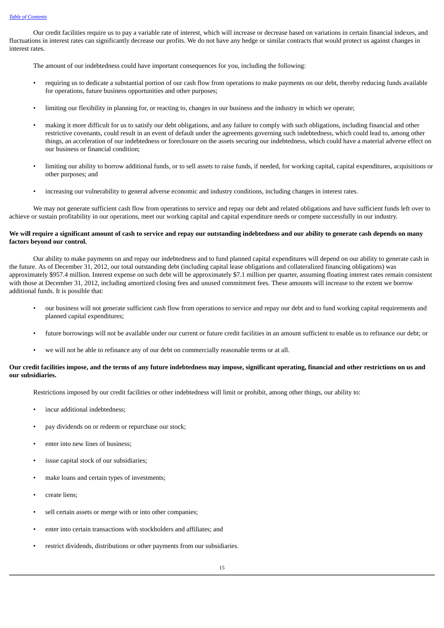Our credit facilities require us to pay a variable rate of interest, which will increase or decrease based on variations in certain financial indexes, and fluctuations in interest rates can significantly decrease our profits. We do not have any hedge or similar contracts that would protect us against changes in interest rates.

The amount of our indebtedness could have important consequences for you, including the following:

- requiring us to dedicate a substantial portion of our cash flow from operations to make payments on our debt, thereby reducing funds available for operations, future business opportunities and other purposes;
- limiting our flexibility in planning for, or reacting to, changes in our business and the industry in which we operate;
- making it more difficult for us to satisfy our debt obligations, and any failure to comply with such obligations, including financial and other restrictive covenants, could result in an event of default under the agreements governing such indebtedness, which could lead to, among other things, an acceleration of our indebtedness or foreclosure on the assets securing our indebtedness, which could have a material adverse effect on our business or financial condition;
- limiting our ability to borrow additional funds, or to sell assets to raise funds, if needed, for working capital, capital expenditures, acquisitions or other purposes; and
- increasing our vulnerability to general adverse economic and industry conditions, including changes in interest rates.

We may not generate sufficient cash flow from operations to service and repay our debt and related obligations and have sufficient funds left over to achieve or sustain profitability in our operations, meet our working capital and capital expenditure needs or compete successfully in our industry.

## We will require a significant amount of cash to service and repay our outstanding indebtedness and our ability to generate cash depends on many **factors beyond our control.**

Our ability to make payments on and repay our indebtedness and to fund planned capital expenditures will depend on our ability to generate cash in the future. As of December 31, 2012, our total outstanding debt (including capital lease obligations and collateralized financing obligations) was approximately \$957.4 million. Interest expense on such debt will be approximately \$7.1 million per quarter, assuming floating interest rates remain consistent with those at December 31, 2012, including amortized closing fees and unused commitment fees. These amounts will increase to the extent we borrow additional funds. It is possible that:

- our business will not generate sufficient cash flow from operations to service and repay our debt and to fund working capital requirements and planned capital expenditures;
- future borrowings will not be available under our current or future credit facilities in an amount sufficient to enable us to refinance our debt; or
- we will not be able to refinance any of our debt on commercially reasonable terms or at all.

## Our credit facilities impose, and the terms of any future indebtedness may impose, significant operating, financial and other restrictions on us and **our subsidiaries.**

Restrictions imposed by our credit facilities or other indebtedness will limit or prohibit, among other things, our ability to:

- incur additional indebtedness:
- pay dividends on or redeem or repurchase our stock;
- enter into new lines of business;
- issue capital stock of our subsidiaries;
- make loans and certain types of investments;
- create liens;
- sell certain assets or merge with or into other companies;
- enter into certain transactions with stockholders and affiliates; and
- restrict dividends, distributions or other payments from our subsidiaries.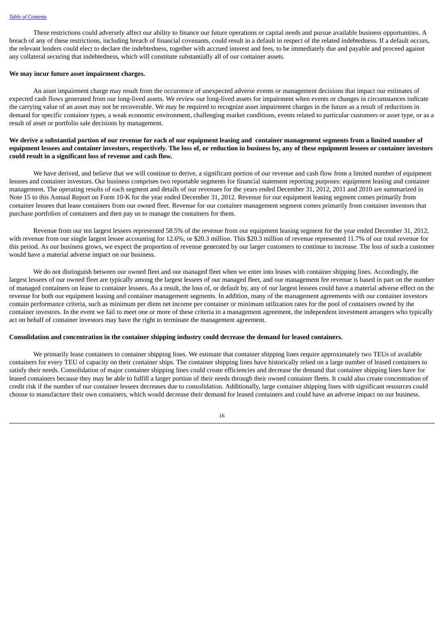These restrictions could adversely affect our ability to finance our future operations or capital needs and pursue available business opportunities. A breach of any of these restrictions, including breach of financial covenants, could result in a default in respect of the related indebtedness. If a default occurs, the relevant lenders could elect to declare the indebtedness, together with accrued interest and fees, to be immediately due and payable and proceed against any collateral securing that indebtedness, which will constitute substantially all of our container assets.

## **We may incur future asset impairment charges.**

An asset impairment charge may result from the occurrence of unexpected adverse events or management decisions that impact our estimates of expected cash flows generated from our long-lived assets. We review our long-lived assets for impairment when events or changes in circumstances indicate the carrying value of an asset may not be recoverable. We may be required to recognize asset impairment charges in the future as a result of reductions in demand for specific container types, a weak economic environment, challenging market conditions, events related to particular customers or asset type, or as a result of asset or portfolio sale decisions by management.

## We derive a substantial portion of our revenue for each of our equipment leasing and container management segments from a limited number of equipment lessees and container investors, respectively. The loss of, or reduction in business by, any of these equipment lessees or container investors **could result in a significant loss of revenue and cash flow.**

We have derived, and believe that we will continue to derive, a significant portion of our revenue and cash flow from a limited number of equipment lessees and container investors. Our business comprises two reportable segments for financial statement reporting purposes: equipment leasing and container management. The operating results of each segment and details of our revenues for the years ended December 31, 2012, 2011 and 2010 are summarized in Note 15 to this Annual Report on Form 10-K for the year ended December 31, 2012. Revenue for our equipment leasing segment comes primarily from container lessees that lease containers from our owned fleet. Revenue for our container management segment comes primarily from container investors that purchase portfolios of containers and then pay us to manage the containers for them.

Revenue from our ten largest lessees represented 58.5% of the revenue from our equipment leasing segment for the year ended December 31, 2012, with revenue from our single largest lessee accounting for 12.6%, or \$20.3 million. This \$20.3 million of revenue represented 11.7% of our total revenue for this period. As our business grows, we expect the proportion of revenue generated by our larger customers to continue to increase. The loss of such a customer would have a material adverse impact on our business.

We do not distinguish between our owned fleet and our managed fleet when we enter into leases with container shipping lines. Accordingly, the largest lessees of our owned fleet are typically among the largest lessees of our managed fleet, and our management fee revenue is based in part on the number of managed containers on lease to container lessees. As a result, the loss of, or default by, any of our largest lessees could have a material adverse effect on the revenue for both our equipment leasing and container management segments. In addition, many of the management agreements with our container investors contain performance criteria, such as minimum per diem net income per container or minimum utilization rates for the pool of containers owned by the container investors. In the event we fail to meet one or more of these criteria in a management agreement, the independent investment arrangers who typically act on behalf of container investors may have the right to terminate the management agreement.

## **Consolidation and concentration in the container shipping industry could decrease the demand for leased containers.**

We primarily lease containers to container shipping lines. We estimate that container shipping lines require approximately two TEUs of available containers for every TEU of capacity on their container ships. The container shipping lines have historically relied on a large number of leased containers to satisfy their needs. Consolidation of major container shipping lines could create efficiencies and decrease the demand that container shipping lines have for leased containers because they may be able to fulfill a larger portion of their needs through their owned container fleets. It could also create concentration of credit risk if the number of our container lessees decreases due to consolidation. Additionally, large container shipping lines with significant resources could choose to manufacture their own containers, which would decrease their demand for leased containers and could have an adverse impact on our business.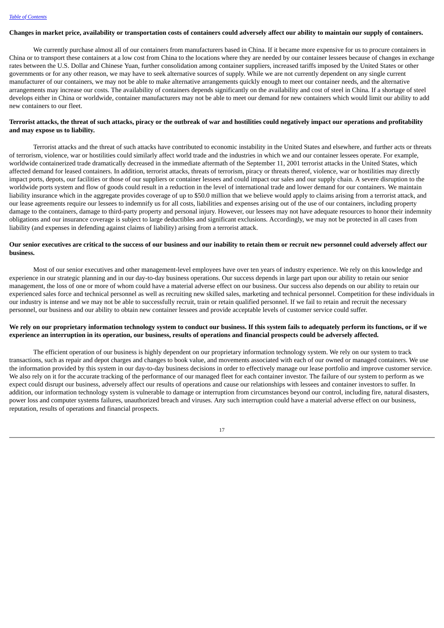#### Changes in market price, availability or transportation costs of containers could adversely affect our ability to maintain our supply of containers.

We currently purchase almost all of our containers from manufacturers based in China. If it became more expensive for us to procure containers in China or to transport these containers at a low cost from China to the locations where they are needed by our container lessees because of changes in exchange rates between the U.S. Dollar and Chinese Yuan, further consolidation among container suppliers, increased tariffs imposed by the United States or other governments or for any other reason, we may have to seek alternative sources of supply. While we are not currently dependent on any single current manufacturer of our containers, we may not be able to make alternative arrangements quickly enough to meet our container needs, and the alternative arrangements may increase our costs. The availability of containers depends significantly on the availability and cost of steel in China. If a shortage of steel develops either in China or worldwide, container manufacturers may not be able to meet our demand for new containers which would limit our ability to add new containers to our fleet.

## Terrorist attacks, the threat of such attacks, piracy or the outbreak of war and hostilities could negatively impact our operations and profitability **and may expose us to liability.**

Terrorist attacks and the threat of such attacks have contributed to economic instability in the United States and elsewhere, and further acts or threats of terrorism, violence, war or hostilities could similarly affect world trade and the industries in which we and our container lessees operate. For example, worldwide containerized trade dramatically decreased in the immediate aftermath of the September 11, 2001 terrorist attacks in the United States, which affected demand for leased containers. In addition, terrorist attacks, threats of terrorism, piracy or threats thereof, violence, war or hostilities may directly impact ports, depots, our facilities or those of our suppliers or container lessees and could impact our sales and our supply chain. A severe disruption to the worldwide ports system and flow of goods could result in a reduction in the level of international trade and lower demand for our containers. We maintain liability insurance which in the aggregate provides coverage of up to \$50.0 million that we believe would apply to claims arising from a terrorist attack, and our lease agreements require our lessees to indemnify us for all costs, liabilities and expenses arising out of the use of our containers, including property damage to the containers, damage to third-party property and personal injury. However, our lessees may not have adequate resources to honor their indemnity obligations and our insurance coverage is subject to large deductibles and significant exclusions. Accordingly, we may not be protected in all cases from liability (and expenses in defending against claims of liability) arising from a terrorist attack.

#### Our senior executives are critical to the success of our business and our inability to retain them or recruit new personnel could adversely affect our **business.**

Most of our senior executives and other management-level employees have over ten years of industry experience. We rely on this knowledge and experience in our strategic planning and in our day-to-day business operations. Our success depends in large part upon our ability to retain our senior management, the loss of one or more of whom could have a material adverse effect on our business. Our success also depends on our ability to retain our experienced sales force and technical personnel as well as recruiting new skilled sales, marketing and technical personnel. Competition for these individuals in our industry is intense and we may not be able to successfully recruit, train or retain qualified personnel. If we fail to retain and recruit the necessary personnel, our business and our ability to obtain new container lessees and provide acceptable levels of customer service could suffer.

## We rely on our proprietary information technology system to conduct our business. If this system fails to adequately perform its functions, or if we experience an interruption in its operation, our business, results of operations and financial prospects could be adversely affected.

The efficient operation of our business is highly dependent on our proprietary information technology system. We rely on our system to track transactions, such as repair and depot charges and changes to book value, and movements associated with each of our owned or managed containers. We use the information provided by this system in our day-to-day business decisions in order to effectively manage our lease portfolio and improve customer service. We also rely on it for the accurate tracking of the performance of our managed fleet for each container investor. The failure of our system to perform as we expect could disrupt our business, adversely affect our results of operations and cause our relationships with lessees and container investors to suffer. In addition, our information technology system is vulnerable to damage or interruption from circumstances beyond our control, including fire, natural disasters, power loss and computer systems failures, unauthorized breach and viruses. Any such interruption could have a material adverse effect on our business, reputation, results of operations and financial prospects.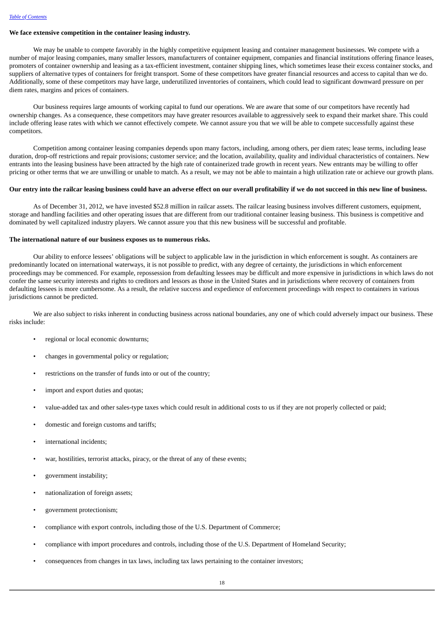#### **We face extensive competition in the container leasing industry.**

We may be unable to compete favorably in the highly competitive equipment leasing and container management businesses. We compete with a number of major leasing companies, many smaller lessors, manufacturers of container equipment, companies and financial institutions offering finance leases, promoters of container ownership and leasing as a tax-efficient investment, container shipping lines, which sometimes lease their excess container stocks, and suppliers of alternative types of containers for freight transport. Some of these competitors have greater financial resources and access to capital than we do. Additionally, some of these competitors may have large, underutilized inventories of containers, which could lead to significant downward pressure on per diem rates, margins and prices of containers.

Our business requires large amounts of working capital to fund our operations. We are aware that some of our competitors have recently had ownership changes. As a consequence, these competitors may have greater resources available to aggressively seek to expand their market share. This could include offering lease rates with which we cannot effectively compete. We cannot assure you that we will be able to compete successfully against these competitors.

Competition among container leasing companies depends upon many factors, including, among others, per diem rates; lease terms, including lease duration, drop-off restrictions and repair provisions; customer service; and the location, availability, quality and individual characteristics of containers. New entrants into the leasing business have been attracted by the high rate of containerized trade growth in recent years. New entrants may be willing to offer pricing or other terms that we are unwilling or unable to match. As a result, we may not be able to maintain a high utilization rate or achieve our growth plans.

#### Our entry into the railcar leasing business could have an adverse effect on our overall profitability if we do not succeed in this new line of business.

As of December 31, 2012, we have invested \$52.8 million in railcar assets. The railcar leasing business involves different customers, equipment, storage and handling facilities and other operating issues that are different from our traditional container leasing business. This business is competitive and dominated by well capitalized industry players. We cannot assure you that this new business will be successful and profitable.

#### **The international nature of our business exposes us to numerous risks.**

Our ability to enforce lessees' obligations will be subject to applicable law in the jurisdiction in which enforcement is sought. As containers are predominantly located on international waterways, it is not possible to predict, with any degree of certainty, the jurisdictions in which enforcement proceedings may be commenced. For example, repossession from defaulting lessees may be difficult and more expensive in jurisdictions in which laws do not confer the same security interests and rights to creditors and lessors as those in the United States and in jurisdictions where recovery of containers from defaulting lessees is more cumbersome. As a result, the relative success and expedience of enforcement proceedings with respect to containers in various jurisdictions cannot be predicted.

We are also subject to risks inherent in conducting business across national boundaries, any one of which could adversely impact our business. These risks include:

- regional or local economic downturns;
- changes in governmental policy or regulation;
- restrictions on the transfer of funds into or out of the country;
- import and export duties and quotas;
- value-added tax and other sales-type taxes which could result in additional costs to us if they are not properly collected or paid;
- domestic and foreign customs and tariffs;
- international incidents;
- war, hostilities, terrorist attacks, piracy, or the threat of any of these events;
- government instability;
- nationalization of foreign assets;
- government protectionism;
- compliance with export controls, including those of the U.S. Department of Commerce;
- compliance with import procedures and controls, including those of the U.S. Department of Homeland Security;
- consequences from changes in tax laws, including tax laws pertaining to the container investors;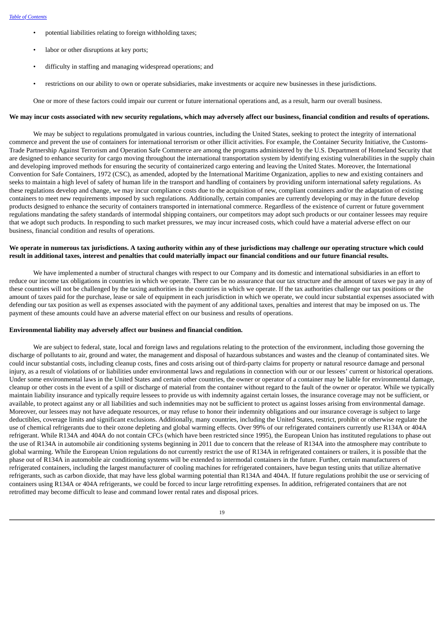- potential liabilities relating to foreign withholding taxes;
- labor or other disruptions at key ports;
- difficulty in staffing and managing widespread operations; and
- restrictions on our ability to own or operate subsidiaries, make investments or acquire new businesses in these jurisdictions.

One or more of these factors could impair our current or future international operations and, as a result, harm our overall business.

#### We may incur costs associated with new security regulations, which may adversely affect our business, financial condition and results of operations.

We may be subject to regulations promulgated in various countries, including the United States, seeking to protect the integrity of international commerce and prevent the use of containers for international terrorism or other illicit activities. For example, the Container Security Initiative, the Customs-Trade Partnership Against Terrorism and Operation Safe Commerce are among the programs administered by the U.S. Department of Homeland Security that are designed to enhance security for cargo moving throughout the international transportation system by identifying existing vulnerabilities in the supply chain and developing improved methods for ensuring the security of containerized cargo entering and leaving the United States. Moreover, the International Convention for Safe Containers, 1972 (CSC), as amended, adopted by the International Maritime Organization, applies to new and existing containers and seeks to maintain a high level of safety of human life in the transport and handling of containers by providing uniform international safety regulations. As these regulations develop and change, we may incur compliance costs due to the acquisition of new, compliant containers and/or the adaptation of existing containers to meet new requirements imposed by such regulations. Additionally, certain companies are currently developing or may in the future develop products designed to enhance the security of containers transported in international commerce. Regardless of the existence of current or future government regulations mandating the safety standards of intermodal shipping containers, our competitors may adopt such products or our container lessees may require that we adopt such products. In responding to such market pressures, we may incur increased costs, which could have a material adverse effect on our business, financial condition and results of operations.

## We operate in numerous tax jurisdictions. A taxing authority within any of these jurisdictions may challenge our operating structure which could result in additional taxes, interest and penalties that could materially impact our financial conditions and our future financial results.

We have implemented a number of structural changes with respect to our Company and its domestic and international subsidiaries in an effort to reduce our income tax obligations in countries in which we operate. There can be no assurance that our tax structure and the amount of taxes we pay in any of these countries will not be challenged by the taxing authorities in the countries in which we operate. If the tax authorities challenge our tax positions or the amount of taxes paid for the purchase, lease or sale of equipment in each jurisdiction in which we operate, we could incur substantial expenses associated with defending our tax position as well as expenses associated with the payment of any additional taxes, penalties and interest that may be imposed on us. The payment of these amounts could have an adverse material effect on our business and results of operations.

#### **Environmental liability may adversely affect our business and financial condition.**

We are subject to federal, state, local and foreign laws and regulations relating to the protection of the environment, including those governing the discharge of pollutants to air, ground and water, the management and disposal of hazardous substances and wastes and the cleanup of contaminated sites. We could incur substantial costs, including cleanup costs, fines and costs arising out of third-party claims for property or natural resource damage and personal injury, as a result of violations of or liabilities under environmental laws and regulations in connection with our or our lessees' current or historical operations. Under some environmental laws in the United States and certain other countries, the owner or operator of a container may be liable for environmental damage, cleanup or other costs in the event of a spill or discharge of material from the container without regard to the fault of the owner or operator. While we typically maintain liability insurance and typically require lessees to provide us with indemnity against certain losses, the insurance coverage may not be sufficient, or available, to protect against any or all liabilities and such indemnities may not be sufficient to protect us against losses arising from environmental damage. Moreover, our lessees may not have adequate resources, or may refuse to honor their indemnity obligations and our insurance coverage is subject to large deductibles, coverage limits and significant exclusions. Additionally, many countries, including the United States, restrict, prohibit or otherwise regulate the use of chemical refrigerants due to their ozone depleting and global warming effects. Over 99% of our refrigerated containers currently use R134A or 404A refrigerant. While R134A and 404A do not contain CFCs (which have been restricted since 1995), the European Union has instituted regulations to phase out the use of R134A in automobile air conditioning systems beginning in 2011 due to concern that the release of R134A into the atmosphere may contribute to global warming. While the European Union regulations do not currently restrict the use of R134A in refrigerated containers or trailers, it is possible that the phase out of R134A in automobile air conditioning systems will be extended to intermodal containers in the future. Further, certain manufacturers of refrigerated containers, including the largest manufacturer of cooling machines for refrigerated containers, have begun testing units that utilize alternative refrigerants, such as carbon dioxide, that may have less global warming potential than R134A and 404A. If future regulations prohibit the use or servicing of containers using R134A or 404A refrigerants, we could be forced to incur large retrofitting expenses. In addition, refrigerated containers that are not retrofitted may become difficult to lease and command lower rental rates and disposal prices.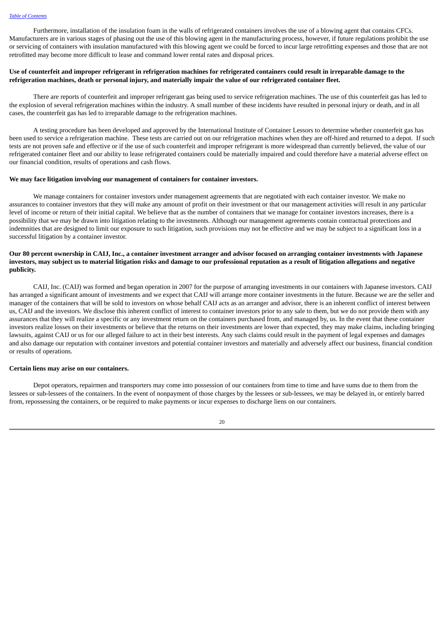Furthermore, installation of the insulation foam in the walls of refrigerated containers involves the use of a blowing agent that contains CFCs. Manufacturers are in various stages of phasing out the use of this blowing agent in the manufacturing process, however, if future regulations prohibit the use or servicing of containers with insulation manufactured with this blowing agent we could be forced to incur large retrofitting expenses and those that are not retrofitted may become more difficult to lease and command lower rental rates and disposal prices.

## Use of counterfeit and improper refrigerant in refrigeration machines for refrigerated containers could result in irreparable damage to the refrigeration machines, death or personal injury, and materially impair the value of our refrigerated container fleet.

There are reports of counterfeit and improper refrigerant gas being used to service refrigeration machines. The use of this counterfeit gas has led to the explosion of several refrigeration machines within the industry. A small number of these incidents have resulted in personal injury or death, and in all cases, the counterfeit gas has led to irreparable damage to the refrigeration machines.

A testing procedure has been developed and approved by the International Institute of Container Lessors to determine whether counterfeit gas has been used to service a refrigeration machine. These tests are carried out on our refrigeration machines when they are off-hired and returned to a depot. If such tests are not proven safe and effective or if the use of such counterfeit and improper refrigerant is more widespread than currently believed, the value of our refrigerated container fleet and our ability to lease refrigerated containers could be materially impaired and could therefore have a material adverse effect on our financial condition, results of operations and cash flows.

#### **We may face litigation involving our management of containers for container investors.**

We manage containers for container investors under management agreements that are negotiated with each container investor. We make no assurances to container investors that they will make any amount of profit on their investment or that our management activities will result in any particular level of income or return of their initial capital. We believe that as the number of containers that we manage for container investors increases, there is a possibility that we may be drawn into litigation relating to the investments. Although our management agreements contain contractual protections and indemnities that are designed to limit our exposure to such litigation, such provisions may not be effective and we may be subject to a significant loss in a successful litigation by a container investor.

#### Our 80 percent ownership in CAIJ, Inc., a container investment arranger and advisor focused on arranging container investments with Japanese investors, may subject us to material litigation risks and damage to our professional reputation as a result of litigation allegations and negative **publicity.**

CAIJ, Inc. (CAIJ) was formed and began operation in 2007 for the purpose of arranging investments in our containers with Japanese investors. CAIJ has arranged a significant amount of investments and we expect that CAIJ will arrange more container investments in the future. Because we are the seller and manager of the containers that will be sold to investors on whose behalf CAIJ acts as an arranger and advisor, there is an inherent conflict of interest between us, CAIJ and the investors. We disclose this inherent conflict of interest to container investors prior to any sale to them, but we do not provide them with any assurances that they will realize a specific or any investment return on the containers purchased from, and managed by, us. In the event that these container investors realize losses on their investments or believe that the returns on their investments are lower than expected, they may make claims, including bringing lawsuits, against CAIJ or us for our alleged failure to act in their best interests. Any such claims could result in the payment of legal expenses and damages and also damage our reputation with container investors and potential container investors and materially and adversely affect our business, financial condition or results of operations.

#### **Certain liens may arise on our containers.**

Depot operators, repairmen and transporters may come into possession of our containers from time to time and have sums due to them from the lessees or sub-lessees of the containers. In the event of nonpayment of those charges by the lessees or sub-lessees, we may be delayed in, or entirely barred from, repossessing the containers, or be required to make payments or incur expenses to discharge liens on our containers.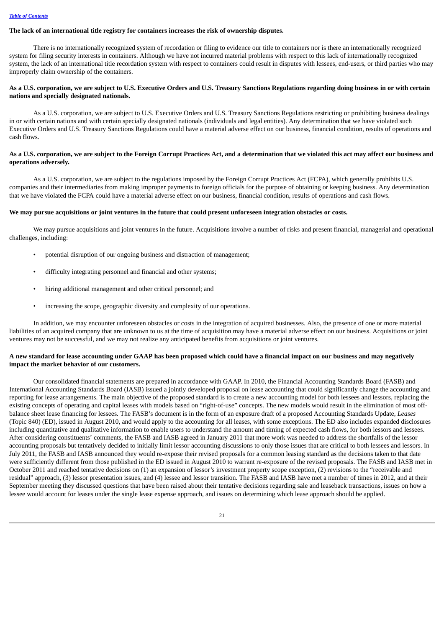#### **The lack of an international title registry for containers increases the risk of ownership disputes.**

There is no internationally recognized system of recordation or filing to evidence our title to containers nor is there an internationally recognized system for filing security interests in containers. Although we have not incurred material problems with respect to this lack of internationally recognized system, the lack of an international title recordation system with respect to containers could result in disputes with lessees, end-users, or third parties who may improperly claim ownership of the containers.

## As a U.S. corporation, we are subject to U.S. Executive Orders and U.S. Treasury Sanctions Regulations regarding doing business in or with certain **nations and specially designated nationals.**

As a U.S. corporation, we are subject to U.S. Executive Orders and U.S. Treasury Sanctions Regulations restricting or prohibiting business dealings in or with certain nations and with certain specially designated nationals (individuals and legal entities). Any determination that we have violated such Executive Orders and U.S. Treasury Sanctions Regulations could have a material adverse effect on our business, financial condition, results of operations and cash flows.

#### As a U.S. corporation, we are subject to the Foreign Corrupt Practices Act, and a determination that we violated this act may affect our business and **operations adversely.**

As a U.S. corporation, we are subject to the regulations imposed by the Foreign Corrupt Practices Act (FCPA), which generally prohibits U.S. companies and their intermediaries from making improper payments to foreign officials for the purpose of obtaining or keeping business. Any determination that we have violated the FCPA could have a material adverse effect on our business, financial condition, results of operations and cash flows.

#### We may pursue acquisitions or joint ventures in the future that could present unforeseen integration obstacles or costs.

We may pursue acquisitions and joint ventures in the future. Acquisitions involve a number of risks and present financial, managerial and operational challenges, including:

- potential disruption of our ongoing business and distraction of management;
- difficulty integrating personnel and financial and other systems;
- hiring additional management and other critical personnel; and
- increasing the scope, geographic diversity and complexity of our operations.

In addition, we may encounter unforeseen obstacles or costs in the integration of acquired businesses. Also, the presence of one or more material liabilities of an acquired company that are unknown to us at the time of acquisition may have a material adverse effect on our business. Acquisitions or joint ventures may not be successful, and we may not realize any anticipated benefits from acquisitions or joint ventures.

## A new standard for lease accounting under GAAP has been proposed which could have a financial impact on our business and may negatively **impact the market behavior of our customers.**

Our consolidated financial statements are prepared in accordance with GAAP. In 2010, the Financial Accounting Standards Board (FASB) and International Accounting Standards Board (IASB) issued a jointly developed proposal on lease accounting that could significantly change the accounting and reporting for lease arrangements. The main objective of the proposed standard is to create a new accounting model for both lessees and lessors, replacing the existing concepts of operating and capital leases with models based on "right-of-use" concepts. The new models would result in the elimination of most offbalance sheet lease financing for lessees. The FASB's document is in the form of an exposure draft of a proposed Accounting Standards Update, *Leases* (Topic 840) (ED), issued in August 2010, and would apply to the accounting for all leases, with some exceptions. The ED also includes expanded disclosures including quantitative and qualitative information to enable users to understand the amount and timing of expected cash flows, for both lessors and lessees. After considering constituents' comments, the FASB and IASB agreed in January 2011 that more work was needed to address the shortfalls of the lessor accounting proposals but tentatively decided to initially limit lessor accounting discussions to only those issues that are critical to both lessees and lessors. In July 2011, the FASB and IASB announced they would re-expose their revised proposals for a common leasing standard as the decisions taken to that date were sufficiently different from those published in the ED issued in August 2010 to warrant re-exposure of the revised proposals. The FASB and IASB met in October 2011 and reached tentative decisions on (1) an expansion of lessor's investment property scope exception, (2) revisions to the "receivable and residual" approach, (3) lessor presentation issues, and (4) lessee and lessor transition. The FASB and IASB have met a number of times in 2012, and at their September meeting they discussed questions that have been raised about their tentative decisions regarding sale and leaseback transactions, issues on how a lessee would account for leases under the single lease expense approach, and issues on determining which lease approach should be applied.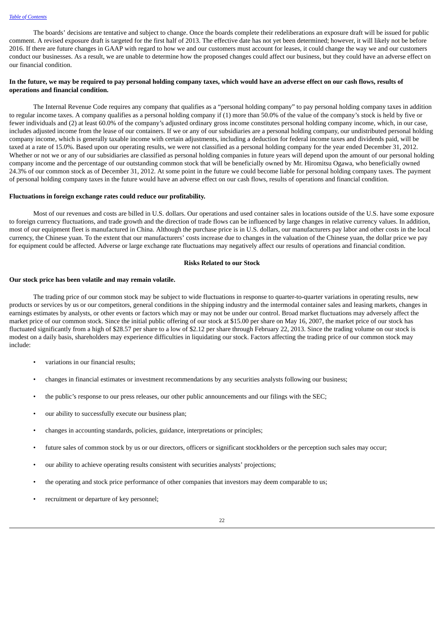The boards' decisions are tentative and subject to change. Once the boards complete their redeliberations an exposure draft will be issued for public comment. A revised exposure draft is targeted for the first half of 2013. The effective date has not yet been determined; however, it will likely not be before 2016. If there are future changes in GAAP with regard to how we and our customers must account for leases, it could change the way we and our customers conduct our businesses. As a result, we are unable to determine how the proposed changes could affect our business, but they could have an adverse effect on our financial condition.

## In the future, we may be required to pay personal holding company taxes, which would have an adverse effect on our cash flows, results of **operations and financial condition.**

The Internal Revenue Code requires any company that qualifies as a "personal holding company" to pay personal holding company taxes in addition to regular income taxes. A company qualifies as a personal holding company if (1) more than 50.0% of the value of the company's stock is held by five or fewer individuals and (2) at least 60.0% of the company's adjusted ordinary gross income constitutes personal holding company income, which, in our case, includes adjusted income from the lease of our containers. If we or any of our subsidiaries are a personal holding company, our undistributed personal holding company income, which is generally taxable income with certain adjustments, including a deduction for federal income taxes and dividends paid, will be taxed at a rate of 15.0%. Based upon our operating results, we were not classified as a personal holding company for the year ended December 31, 2012. Whether or not we or any of our subsidiaries are classified as personal holding companies in future years will depend upon the amount of our personal holding company income and the percentage of our outstanding common stock that will be beneficially owned by Mr. Hiromitsu Ogawa, who beneficially owned 24.3% of our common stock as of December 31, 2012. At some point in the future we could become liable for personal holding company taxes. The payment of personal holding company taxes in the future would have an adverse effect on our cash flows, results of operations and financial condition.

#### **Fluctuations in foreign exchange rates could reduce our profitability.**

Most of our revenues and costs are billed in U.S. dollars. Our operations and used container sales in locations outside of the U.S. have some exposure to foreign currency fluctuations, and trade growth and the direction of trade flows can be influenced by large changes in relative currency values. In addition, most of our equipment fleet is manufactured in China. Although the purchase price is in U.S. dollars, our manufacturers pay labor and other costs in the local currency, the Chinese yuan. To the extent that our manufacturers' costs increase due to changes in the valuation of the Chinese yuan, the dollar price we pay for equipment could be affected. Adverse or large exchange rate fluctuations may negatively affect our results of operations and financial condition.

#### **Risks Related to our Stock**

#### **Our stock price has been volatile and may remain volatile.**

The trading price of our common stock may be subject to wide fluctuations in response to quarter-to-quarter variations in operating results, new products or services by us or our competitors, general conditions in the shipping industry and the intermodal container sales and leasing markets, changes in earnings estimates by analysts, or other events or factors which may or may not be under our control. Broad market fluctuations may adversely affect the market price of our common stock. Since the initial public offering of our stock at \$15.00 per share on May 16, 2007, the market price of our stock has fluctuated significantly from a high of \$28.57 per share to a low of \$2.12 per share through February 22, 2013. Since the trading volume on our stock is modest on a daily basis, shareholders may experience difficulties in liquidating our stock. Factors affecting the trading price of our common stock may include:

- variations in our financial results;
- changes in financial estimates or investment recommendations by any securities analysts following our business;
- the public's response to our press releases, our other public announcements and our filings with the SEC;
- our ability to successfully execute our business plan;
- changes in accounting standards, policies, guidance, interpretations or principles;
- future sales of common stock by us or our directors, officers or significant stockholders or the perception such sales may occur;
- our ability to achieve operating results consistent with securities analysts' projections;
- the operating and stock price performance of other companies that investors may deem comparable to us;
- recruitment or departure of key personnel;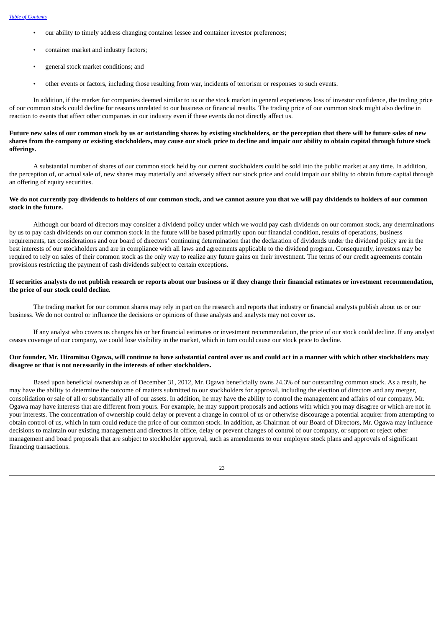- our ability to timely address changing container lessee and container investor preferences;
- container market and industry factors;
- general stock market conditions; and
- other events or factors, including those resulting from war, incidents of terrorism or responses to such events.

In addition, if the market for companies deemed similar to us or the stock market in general experiences loss of investor confidence, the trading price of our common stock could decline for reasons unrelated to our business or financial results. The trading price of our common stock might also decline in reaction to events that affect other companies in our industry even if these events do not directly affect us.

## Future new sales of our common stock by us or outstanding shares by existing stockholders, or the perception that there will be future sales of new shares from the company or existing stockholders, may cause our stock price to decline and impair our ability to obtain capital through future stock **offerings.**

A substantial number of shares of our common stock held by our current stockholders could be sold into the public market at any time. In addition, the perception of, or actual sale of, new shares may materially and adversely affect our stock price and could impair our ability to obtain future capital through an offering of equity securities.

#### We do not currently pay dividends to holders of our common stock, and we cannot assure you that we will pay dividends to holders of our common **stock in the future.**

Although our board of directors may consider a dividend policy under which we would pay cash dividends on our common stock, any determinations by us to pay cash dividends on our common stock in the future will be based primarily upon our financial condition, results of operations, business requirements, tax considerations and our board of directors' continuing determination that the declaration of dividends under the dividend policy are in the best interests of our stockholders and are in compliance with all laws and agreements applicable to the dividend program. Consequently, investors may be required to rely on sales of their common stock as the only way to realize any future gains on their investment. The terms of our credit agreements contain provisions restricting the payment of cash dividends subject to certain exceptions.

## If securities analysts do not publish research or reports about our business or if they change their financial estimates or investment recommendation, **the price of our stock could decline.**

The trading market for our common shares may rely in part on the research and reports that industry or financial analysts publish about us or our business. We do not control or influence the decisions or opinions of these analysts and analysts may not cover us.

If any analyst who covers us changes his or her financial estimates or investment recommendation, the price of our stock could decline. If any analyst ceases coverage of our company, we could lose visibility in the market, which in turn could cause our stock price to decline.

## Our founder, Mr. Hiromitsu Ogawa, will continue to have substantial control over us and could act in a manner with which other stockholders may **disagree or that is not necessarily in the interests of other stockholders.**

Based upon beneficial ownership as of December 31, 2012, Mr. Ogawa beneficially owns 24.3% of our outstanding common stock. As a result, he may have the ability to determine the outcome of matters submitted to our stockholders for approval, including the election of directors and any merger, consolidation or sale of all or substantially all of our assets. In addition, he may have the ability to control the management and affairs of our company. Mr. Ogawa may have interests that are different from yours. For example, he may support proposals and actions with which you may disagree or which are not in your interests. The concentration of ownership could delay or prevent a change in control of us or otherwise discourage a potential acquirer from attempting to obtain control of us, which in turn could reduce the price of our common stock. In addition, as Chairman of our Board of Directors, Mr. Ogawa may influence decisions to maintain our existing management and directors in office, delay or prevent changes of control of our company, or support or reject other management and board proposals that are subject to stockholder approval, such as amendments to our employee stock plans and approvals of significant financing transactions.

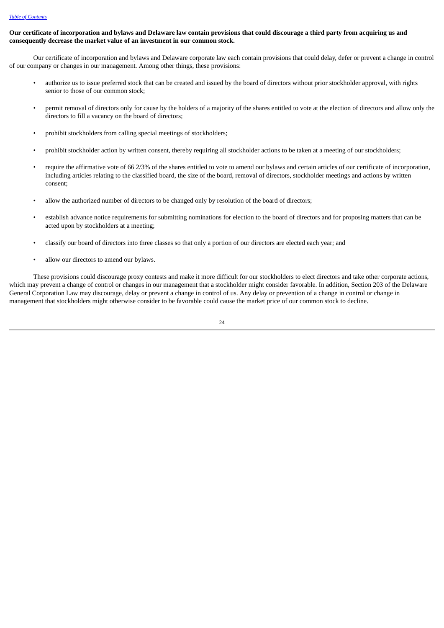## Our certificate of incorporation and bylaws and Delaware law contain provisions that could discourage a third party from acquiring us and **consequently decrease the market value of an investment in our common stock.**

Our certificate of incorporation and bylaws and Delaware corporate law each contain provisions that could delay, defer or prevent a change in control of our company or changes in our management. Among other things, these provisions:

- authorize us to issue preferred stock that can be created and issued by the board of directors without prior stockholder approval, with rights senior to those of our common stock;
- permit removal of directors only for cause by the holders of a majority of the shares entitled to vote at the election of directors and allow only the directors to fill a vacancy on the board of directors;
- prohibit stockholders from calling special meetings of stockholders;
- prohibit stockholder action by written consent, thereby requiring all stockholder actions to be taken at a meeting of our stockholders;
- require the affirmative vote of 66 2/3% of the shares entitled to vote to amend our bylaws and certain articles of our certificate of incorporation, including articles relating to the classified board, the size of the board, removal of directors, stockholder meetings and actions by written consent;
- allow the authorized number of directors to be changed only by resolution of the board of directors;
- establish advance notice requirements for submitting nominations for election to the board of directors and for proposing matters that can be acted upon by stockholders at a meeting;
- classify our board of directors into three classes so that only a portion of our directors are elected each year; and
- allow our directors to amend our bylaws.

These provisions could discourage proxy contests and make it more difficult for our stockholders to elect directors and take other corporate actions, which may prevent a change of control or changes in our management that a stockholder might consider favorable. In addition, Section 203 of the Delaware General Corporation Law may discourage, delay or prevent a change in control of us. Any delay or prevention of a change in control or change in management that stockholders might otherwise consider to be favorable could cause the market price of our common stock to decline.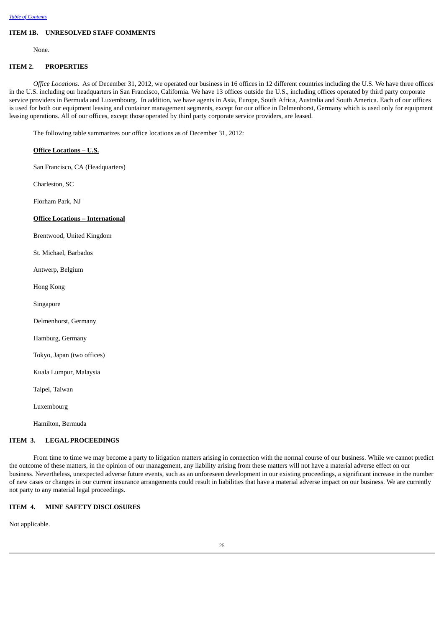## **ITEM 1B. UNRESOLVED STAFF COMMENTS**

<span id="page-24-1"></span><span id="page-24-0"></span>None.

#### **ITEM 2. PROPERTIES**

*Office Locations.* As of December 31, 2012, we operated our business in 16 offices in 12 different countries including the U.S. We have three offices in the U.S. including our headquarters in San Francisco, California. We have 13 offices outside the U.S., including offices operated by third party corporate service providers in Bermuda and Luxembourg. In addition, we have agents in Asia, Europe, South Africa, Australia and South America. Each of our offices is used for both our equipment leasing and container management segments, except for our office in Delmenhorst, Germany which is used only for equipment leasing operations. All of our offices, except those operated by third party corporate service providers, are leased.

The following table summarizes our office locations as of December 31, 2012:

## **Office Locations – U.S.**

San Francisco, CA (Headquarters)

Charleston, SC

Florham Park, NJ

#### **Office Locations – International**

Brentwood, United Kingdom

St. Michael, Barbados

Antwerp, Belgium

Hong Kong

Singapore

Delmenhorst, Germany

Hamburg, Germany

Tokyo, Japan (two offices)

Kuala Lumpur, Malaysia

Taipei, Taiwan

Luxembourg

<span id="page-24-2"></span>Hamilton, Bermuda

## **ITEM 3. LEGAL PROCEEDINGS**

From time to time we may become a party to litigation matters arising in connection with the normal course of our business. While we cannot predict the outcome of these matters, in the opinion of our management, any liability arising from these matters will not have a material adverse effect on our business. Nevertheless, unexpected adverse future events, such as an unforeseen development in our existing proceedings, a significant increase in the number of new cases or changes in our current insurance arrangements could result in liabilities that have a material adverse impact on our business. We are currently not party to any material legal proceedings.

## <span id="page-24-3"></span>**ITEM 4. MINE SAFETY DISCLOSURES**

Not applicable.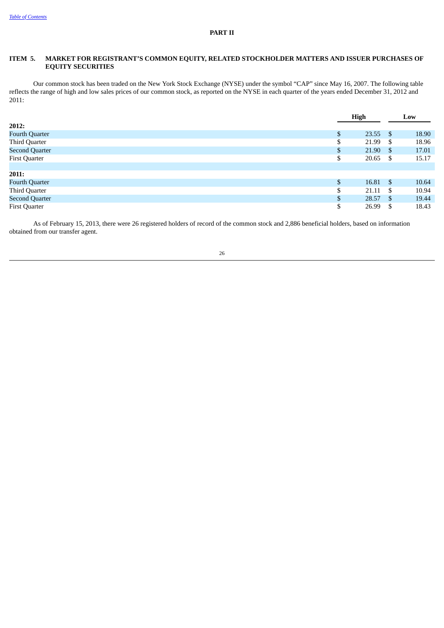## **PART II**

## <span id="page-25-0"></span>**ITEM 5. MARKET FOR REGISTRANT'S COMMON EQUITY, RELATED STOCKHOLDER MATTERS AND ISSUER PURCHASES OF EQUITY SECURITIES**

Our common stock has been traded on the New York Stock Exchange (NYSE) under the symbol "CAP" since May 16, 2007. The following table reflects the range of high and low sales prices of our common stock, as reported on the NYSE in each quarter of the years ended December 31, 2012 and 2011:

|                       | <b>High</b> |               | Low   |
|-----------------------|-------------|---------------|-------|
| 2012:                 |             |               |       |
| <b>Fourth Quarter</b> | \$<br>23.55 | - \$          | 18.90 |
| Third Quarter         | \$<br>21.99 | -S            | 18.96 |
| <b>Second Quarter</b> | \$<br>21.90 | <sup>\$</sup> | 17.01 |
| <b>First Quarter</b>  | \$<br>20.65 | \$            | 15.17 |
|                       |             |               |       |
| 2011:                 |             |               |       |
| <b>Fourth Quarter</b> | \$<br>16.81 | -S            | 10.64 |
| Third Quarter         | \$<br>21.11 | -\$           | 10.94 |
| <b>Second Quarter</b> | \$<br>28.57 | -S            | 19.44 |
| <b>First Quarter</b>  | \$<br>26.99 | -S            | 18.43 |

As of February 15, 2013, there were 26 registered holders of record of the common stock and 2,886 beneficial holders, based on information obtained from our transfer agent.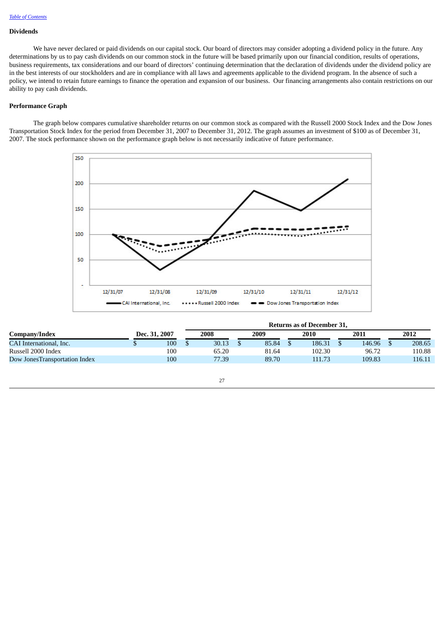## **Dividends**

We have never declared or paid dividends on our capital stock. Our board of directors may consider adopting a dividend policy in the future. Any determinations by us to pay cash dividends on our common stock in the future will be based primarily upon our financial condition, results of operations, business requirements, tax considerations and our board of directors' continuing determination that the declaration of dividends under the dividend policy are in the best interests of our stockholders and are in compliance with all laws and agreements applicable to the dividend program. In the absence of such a policy, we intend to retain future earnings to finance the operation and expansion of our business. Our financing arrangements also contain restrictions on our ability to pay cash dividends.

## **Performance Graph**

The graph below compares cumulative shareholder returns on our common stock as compared with the Russell 2000 Stock Index and the Dow Jones Transportation Stock Index for the period from December 31, 2007 to December 31, 2012. The graph assumes an investment of \$100 as of December 31, 2007. The stock performance shown on the performance graph below is not necessarily indicative of future performance.



|                                | <b>Returns as of December 31.</b> |  |       |  |       |  |        |  |        |  |        |  |
|--------------------------------|-----------------------------------|--|-------|--|-------|--|--------|--|--------|--|--------|--|
| Company/Index                  | Dec. 31, 2007                     |  | 2008  |  | 2009  |  | 2010   |  | 2011   |  | 2012   |  |
| CAI International, Inc.        | 100                               |  | 30.13 |  | 85.84 |  | 186.31 |  | 146.96 |  | 208.65 |  |
| Russell 2000 Index             | 100                               |  | 65.20 |  | 81.64 |  | 102.30 |  | 96.72  |  | 110.88 |  |
| Dow Jones Transportation Index | 100                               |  | 77.39 |  | 89.70 |  | 111.73 |  | 109.83 |  | 116.11 |  |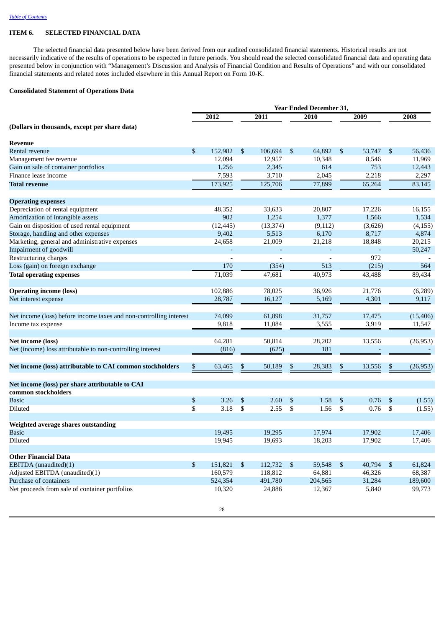## <span id="page-27-0"></span>**ITEM 6. SELECTED FINANCIAL DATA**

The selected financial data presented below have been derived from our audited consolidated financial statements. Historical results are not necessarily indicative of the results of operations to be expected in future periods. You should read the selected consolidated financial data and operating data presented below in conjunction with "Management's Discussion and Analysis of Financial Condition and Results of Operations" and with our consolidated financial statements and related notes included elsewhere in this Annual Report on Form 10-K.

## **Consolidated Statement of Operations Data**

|                                                                    | <b>Year Ended December 31,</b> |           |            |           |                           |          |                           |         |                |           |
|--------------------------------------------------------------------|--------------------------------|-----------|------------|-----------|---------------------------|----------|---------------------------|---------|----------------|-----------|
|                                                                    |                                | 2012      |            | 2011      |                           | 2010     |                           | 2009    |                | 2008      |
| (Dollars in thousands, except per share data)                      |                                |           |            |           |                           |          |                           |         |                |           |
| <b>Revenue</b>                                                     |                                |           |            |           |                           |          |                           |         |                |           |
| Rental revenue                                                     | $\mathbb{S}$                   | 152.982   | \$         | 106,694   | \$                        | 64,892   | $\mathfrak{S}$            | 53,747  | $\mathfrak{S}$ | 56,436    |
| Management fee revenue                                             |                                | 12,094    |            | 12,957    |                           | 10,348   |                           | 8,546   |                | 11,969    |
| Gain on sale of container portfolios                               |                                | 1,256     |            | 2,345     |                           | 614      |                           | 753     |                | 12,443    |
| Finance lease income                                               |                                | 7,593     |            | 3,710     |                           | 2,045    |                           | 2,218   |                | 2,297     |
| <b>Total revenue</b>                                               |                                | 173,925   |            | 125,706   |                           | 77,899   |                           | 65,264  |                | 83,145    |
| <b>Operating expenses</b>                                          |                                |           |            |           |                           |          |                           |         |                |           |
| Depreciation of rental equipment                                   |                                | 48,352    |            | 33,633    |                           | 20,807   |                           | 17,226  |                | 16,155    |
| Amortization of intangible assets                                  |                                | 902       |            | 1,254     |                           | 1,377    |                           | 1,566   |                | 1,534     |
| Gain on disposition of used rental equipment                       |                                | (12, 445) |            | (13, 374) |                           | (9, 112) |                           | (3,626) |                | (4, 155)  |
| Storage, handling and other expenses                               |                                | 9,402     |            | 5,513     |                           | 6,170    |                           | 8,717   |                | 4,874     |
| Marketing, general and administrative expenses                     |                                | 24,658    |            | 21,009    |                           | 21,218   |                           | 18,848  |                | 20,215    |
| Impairment of goodwill                                             |                                |           |            |           |                           |          |                           |         |                | 50,247    |
| Restructuring charges                                              |                                |           |            |           |                           |          |                           | 972     |                |           |
| Loss (gain) on foreign exchange                                    |                                | 170       |            | (354)     |                           | 513      |                           | (215)   |                | 564       |
| <b>Total operating expenses</b>                                    |                                | 71,039    |            | 47,681    |                           | 40,973   |                           | 43,488  |                | 89,434    |
| <b>Operating income (loss)</b>                                     |                                | 102,886   |            | 78,025    |                           | 36,926   |                           | 21,776  |                | (6, 289)  |
| Net interest expense                                               |                                | 28,787    |            | 16,127    |                           | 5,169    |                           | 4,301   |                | 9,117     |
| Net income (loss) before income taxes and non-controlling interest |                                | 74,099    |            | 61,898    |                           | 31,757   |                           | 17,475  |                | (15, 406) |
| Income tax expense                                                 |                                | 9,818     |            | 11,084    |                           | 3,555    |                           | 3,919   |                | 11,547    |
| <b>Net income (loss)</b>                                           |                                | 64,281    |            | 50,814    |                           | 28,202   |                           | 13,556  |                | (26,953)  |
| Net (income) loss attributable to non-controlling interest         |                                | (816)     |            | (625)     |                           | 181      |                           |         |                |           |
| Net income (loss) attributable to CAI common stockholders          | \$                             | 63,465    | \$         | 50,189    | \$                        | 28,383   | \$                        | 13,556  | \$             | (26, 953) |
| Net income (loss) per share attributable to CAI                    |                                |           |            |           |                           |          |                           |         |                |           |
| common stockholders                                                |                                |           |            |           |                           |          |                           |         |                |           |
| <b>Basic</b>                                                       | \$                             | 3.26      | \$         | 2.60      | $\boldsymbol{\mathsf{S}}$ | 1.58     | $\boldsymbol{\mathsf{S}}$ | 0.76    | \$             | (1.55)    |
| Diluted                                                            | \$                             | 3.18      | \$         | 2.55      | \$                        | 1.56     | \$                        | 0.76    | \$             | (1.55)    |
| Weighted average shares outstanding                                |                                |           |            |           |                           |          |                           |         |                |           |
| Basic                                                              |                                | 19,495    |            | 19,295    |                           | 17,974   |                           | 17,902  |                | 17,406    |
| Diluted                                                            |                                | 19,945    |            | 19,693    |                           | 18,203   |                           | 17,902  |                | 17,406    |
| <b>Other Financial Data</b>                                        |                                |           |            |           |                           |          |                           |         |                |           |
| EBITDA (unaudited)(1)                                              | \$                             | 151,821   | $\sqrt{3}$ | 112,732   | $\mathcal{S}$             | 59,548   | $\sqrt{5}$                | 40,794  | $\mathfrak{s}$ | 61,824    |
| Adjusted EBITDA (unaudited)(1)                                     |                                | 160,579   |            | 118,812   |                           | 64,881   |                           | 46,326  |                | 68,387    |
| Purchase of containers                                             |                                | 524,354   |            | 491,780   |                           | 204,565  |                           | 31,284  |                | 189,600   |
| Net proceeds from sale of container portfolios                     |                                | 10,320    |            | 24,886    |                           | 12,367   |                           | 5,840   |                | 99,773    |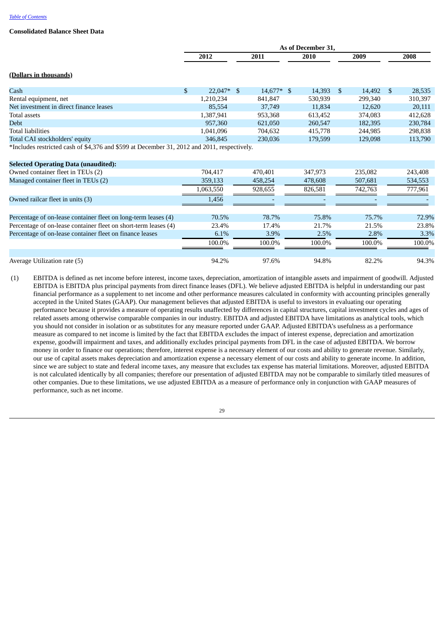## **Consolidated Balance Sheet Data**

|                                                                                             |                              |              | As of December 31, |              |                |
|---------------------------------------------------------------------------------------------|------------------------------|--------------|--------------------|--------------|----------------|
|                                                                                             | 2012                         | 2011         | 2010               | 2009         | 2008           |
| (Dollars in thousands)                                                                      |                              |              |                    |              |                |
| Cash                                                                                        | $\mathbb{S}$<br>$22,047*$ \$ | $14.677*$ \$ | 14.393             | \$<br>14,492 | - \$<br>28,535 |
| Rental equipment, net                                                                       | 1,210,234                    | 841,847      | 530,939            | 299,340      | 310,397        |
| Net investment in direct finance leases                                                     | 85,554                       | 37,749       | 11.834             | 12,620       | 20,111         |
| Total assets                                                                                | 1,387,941                    | 953,368      | 613,452            | 374,083      | 412,628        |
| Debt                                                                                        | 957,360                      | 621,050      | 260,547            | 182,395      | 230,784        |
| <b>Total liabilities</b>                                                                    | 1,041,096                    | 704,632      | 415,778            | 244,985      | 298,838        |
| Total CAI stockholders' equity                                                              | 346,845                      | 230,036      | 179,599            | 129,098      | 113,790        |
| *Includes restricted cash of \$4,376 and \$599 at December 31, 2012 and 2011, respectively. |                              |              |                    |              |                |
| <b>Selected Operating Data (unaudited):</b>                                                 |                              |              |                    |              |                |
| Owned container fleet in TEUs (2)                                                           | 704,417                      | 470.401      | 347,973            | 235,082      | 243,408        |
| Managed container fleet in TEUs (2)                                                         | 359,133                      | 458,254      | 478,608            | 507,681      | 534,553        |
|                                                                                             | 1,063,550                    | 928,655      | 826,581            | 742,763      | 777,961        |
| Owned railcar fleet in units (3)                                                            | 1,456                        |              |                    |              |                |
| Percentage of on-lease container fleet on long-term leases (4)                              | 70.5%                        | 78.7%        | 75.8%              | 75.7%        | 72.9%          |
| Percentage of on-lease container fleet on short-term leases (4)                             | 23.4%                        | 17.4%        | 21.7%              | 21.5%        | 23.8%          |
| Percentage of on-lease container fleet on finance leases                                    | 6.1%                         | 3.9%         | 2.5%               | 2.8%         | 3.3%           |
|                                                                                             | 100.0%                       | 100.0%       | 100.0%             | 100.0%       | 100.0%         |
| Average Utilization rate (5)                                                                | 94.2%                        | 97.6%        | 94.8%              | 82.2%        | 94.3%          |

(1) EBITDA is defined as net income before interest, income taxes, depreciation, amortization of intangible assets and impairment of goodwill. Adjusted EBITDA is EBITDA plus principal payments from direct finance leases (DFL). We believe adjusted EBITDA is helpful in understanding our past financial performance as a supplement to net income and other performance measures calculated in conformity with accounting principles generally accepted in the United States (GAAP). Our management believes that adjusted EBITDA is useful to investors in evaluating our operating performance because it provides a measure of operating results unaffected by differences in capital structures, capital investment cycles and ages of related assets among otherwise comparable companies in our industry. EBITDA and adjusted EBITDA have limitations as analytical tools, which you should not consider in isolation or as substitutes for any measure reported under GAAP. Adjusted EBITDA's usefulness as a performance measure as compared to net income is limited by the fact that EBITDA excludes the impact of interest expense, depreciation and amortization expense, goodwill impairment and taxes, and additionally excludes principal payments from DFL in the case of adjusted EBITDA. We borrow money in order to finance our operations; therefore, interest expense is a necessary element of our costs and ability to generate revenue. Similarly, our use of capital assets makes depreciation and amortization expense a necessary element of our costs and ability to generate income. In addition, since we are subject to state and federal income taxes, any measure that excludes tax expense has material limitations. Moreover, adjusted EBITDA is not calculated identically by all companies; therefore our presentation of adjusted EBITDA may not be comparable to similarly titled measures of other companies. Due to these limitations, we use adjusted EBITDA as a measure of performance only in conjunction with GAAP measures of performance, such as net income.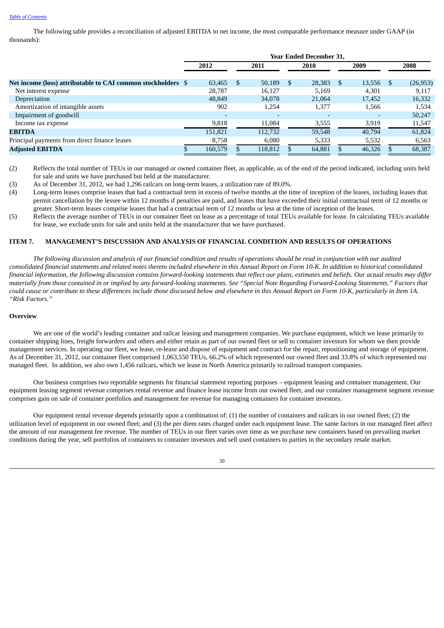The following table provides a reconciliation of adjusted EBITDA to net income, the most comparable performance measure under GAAP (in thousands):

|                                                              | <b>Year Ended December 31,</b> |                          |    |                          |   |                          |      |        |   |           |  |  |
|--------------------------------------------------------------|--------------------------------|--------------------------|----|--------------------------|---|--------------------------|------|--------|---|-----------|--|--|
|                                                              |                                | 2012                     |    | 2011                     |   | 2010                     | 2009 |        |   | 2008      |  |  |
| Net income (loss) attributable to CAI common stockholders \$ |                                | 63,465                   | \$ | 50,189                   | S | 28,383                   | \$   | 13,556 | S | (26, 953) |  |  |
| Net interest expense                                         |                                | 28.787                   |    | 16,127                   |   | 5,169                    |      | 4,301  |   | 9,117     |  |  |
| Depreciation                                                 |                                | 48,849                   |    | 34,078                   |   | 21,064                   |      | 17,452 |   | 16,332    |  |  |
| Amortization of intangible assets                            |                                | 902                      |    | 1,254                    |   | 1,377                    |      | 1,566  |   | 1,534     |  |  |
| Impairment of goodwill                                       |                                | $\overline{\phantom{0}}$ |    | $\overline{\phantom{0}}$ |   | $\overline{\phantom{a}}$ |      | ۰      |   | 50,247    |  |  |
| Income tax expense                                           |                                | 9,818                    |    | 11,084                   |   | 3,555                    |      | 3,919  |   | 11,547    |  |  |
| <b>EBITDA</b>                                                |                                | 151,821                  |    | 112,732                  |   | 59,548                   |      | 40,794 |   | 61,824    |  |  |
| Principal payments from direct finance leases                |                                | 8,758                    |    | 6,080                    |   | 5,333                    |      | 5,532  |   | 6,563     |  |  |
| <b>Adjusted EBITDA</b>                                       |                                | 160,579                  |    | 118,812                  |   | 64,881                   |      | 46,326 |   | 68,387    |  |  |

(2) Reflects the total number of TEUs in our managed or owned container fleet, as applicable, as of the end of the period indicated, including units held for sale and units we have purchased but held at the manufacturer.

(3) As of December 31, 2012, we had 1,296 railcars on long-term leases, a utilization rate of 89.0%.

- (4) Long-term leases comprise leases that had a contractual term in excess of twelve months at the time of inception of the leases, including leases that permit cancellation by the lessee within 12 months if penalties are paid, and leases that have exceeded their initial contractual term of 12 months or greater. Short-term leases comprise leases that had a contractual term of 12 months or less at the time of inception of the leases.
- (5) Reflects the average number of TEUs in our container fleet on lease as a percentage of total TEUs available for lease. In calculating TEUs available for lease, we exclude units for sale and units held at the manufacturer that we have purchased.

## <span id="page-29-0"></span>**ITEM 7. MANAGEMENT'S DISCUSSION AND ANALYSIS OF FINANCIAL CONDITION AND RESULTS OF OPERATIONS**

The following discussion and analysis of our financial condition and results of operations should be read in conjunction with our audited consolidated financial statements and related notes thereto included elsewhere in this Annual Report on Form 10-K. In addition to historical consolidated financial information, the following discussion contains forward-looking statements that reflect our plans, estimates and beliefs. Our actual results may differ materially from those contained in or implied by any forward-looking statements. See "Special Note Regarding Forward-Looking Statements." Factors that could cause or contribute to these differences include those discussed below and elsewhere in this Annual Report on Form 10-K, particularly in Item 1A. *"Risk Factors."*

#### **Overview**

We are one of the world's leading container and railcar leasing and management companies. We purchase equipment, which we lease primarily to container shipping lines, freight forwarders and others and either retain as part of our owned fleet or sell to container investors for whom we then provide management services. In operating our fleet, we lease, re-lease and dispose of equipment and contract for the repair, repositioning and storage of equipment. As of December 31, 2012, our container fleet comprised 1,063,550 TEUs, 66.2% of which represented our owned fleet and 33.8% of which represented our managed fleet. In addition, we also own 1,456 railcars, which we lease in North America primarily to railroad transport companies.

Our business comprises two reportable segments for financial statement reporting purposes – equipment leasing and container management. Our equipment leasing segment revenue comprises rental revenue and finance lease income from our owned fleet, and our container management segment revenue comprises gain on sale of container portfolios and management fee revenue for managing containers for container investors.

Our equipment rental revenue depends primarily upon a combination of: (1) the number of containers and railcars in our owned fleet; (2) the utilization level of equipment in our owned fleet; and (3) the per diem rates charged under each equipment lease. The same factors in our managed fleet affect the amount of our management fee revenue. The number of TEUs in our fleet varies over time as we purchase new containers based on prevailing market conditions during the year, sell portfolios of containers to container investors and sell used containers to parties in the secondary resale market.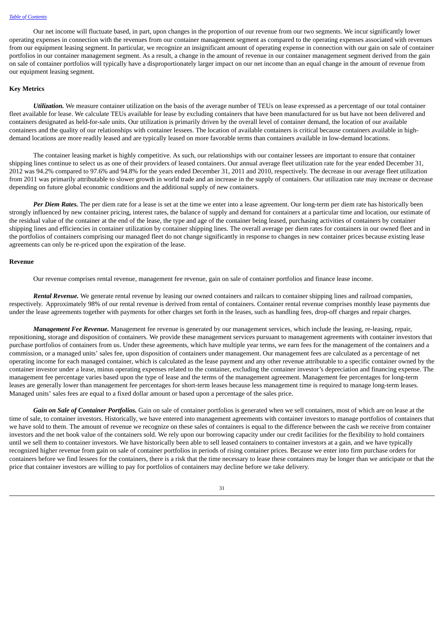Our net income will fluctuate based, in part, upon changes in the proportion of our revenue from our two segments. We incur significantly lower operating expenses in connection with the revenues from our container management segment as compared to the operating expenses associated with revenues from our equipment leasing segment. In particular, we recognize an insignificant amount of operating expense in connection with our gain on sale of container portfolios in our container management segment. As a result, a change in the amount of revenue in our container management segment derived from the gain on sale of container portfolios will typically have a disproportionately larger impact on our net income than an equal change in the amount of revenue from our equipment leasing segment.

#### **Key Metrics**

*Utilization.* We measure container utilization on the basis of the average number of TEUs on lease expressed as a percentage of our total container fleet available for lease. We calculate TEUs available for lease by excluding containers that have been manufactured for us but have not been delivered and containers designated as held-for-sale units. Our utilization is primarily driven by the overall level of container demand, the location of our available containers and the quality of our relationships with container lessees. The location of available containers is critical because containers available in highdemand locations are more readily leased and are typically leased on more favorable terms than containers available in low-demand locations.

The container leasing market is highly competitive. As such, our relationships with our container lessees are important to ensure that container shipping lines continue to select us as one of their providers of leased containers. Our annual average fleet utilization rate for the year ended December 31, 2012 was 94.2% compared to 97.6% and 94.8% for the years ended December 31, 2011 and 2010, respectively. The decrease in our average fleet utilization from 2011 was primarily attributable to slower growth in world trade and an increase in the supply of containers. Our utilization rate may increase or decrease depending on future global economic conditions and the additional supply of new containers.

*Per Diem Rates.* The per diem rate for a lease is set at the time we enter into a lease agreement. Our long-term per diem rate has historically been strongly influenced by new container pricing, interest rates, the balance of supply and demand for containers at a particular time and location, our estimate of the residual value of the container at the end of the lease, the type and age of the container being leased, purchasing activities of containers by container shipping lines and efficiencies in container utilization by container shipping lines. The overall average per diem rates for containers in our owned fleet and in the portfolios of containers comprising our managed fleet do not change significantly in response to changes in new container prices because existing lease agreements can only be re-priced upon the expiration of the lease.

#### **Revenue**

Our revenue comprises rental revenue, management fee revenue, gain on sale of container portfolios and finance lease income.

*Rental Revenue.* We generate rental revenue by leasing our owned containers and railcars to container shipping lines and railroad companies, respectively. Approximately 98% of our rental revenue is derived from rental of containers. Container rental revenue comprises monthly lease payments due under the lease agreements together with payments for other charges set forth in the leases, such as handling fees, drop-off charges and repair charges.

*Management Fee Revenue.* Management fee revenue is generated by our management services, which include the leasing, re-leasing, repair, repositioning, storage and disposition of containers. We provide these management services pursuant to management agreements with container investors that purchase portfolios of containers from us. Under these agreements, which have multiple year terms, we earn fees for the management of the containers and a commission, or a managed units' sales fee, upon disposition of containers under management. Our management fees are calculated as a percentage of net operating income for each managed container, which is calculated as the lease payment and any other revenue attributable to a specific container owned by the container investor under a lease, minus operating expenses related to the container, excluding the container investor's depreciation and financing expense. The management fee percentage varies based upon the type of lease and the terms of the management agreement. Management fee percentages for long-term leases are generally lower than management fee percentages for short-term leases because less management time is required to manage long-term leases. Managed units' sales fees are equal to a fixed dollar amount or based upon a percentage of the sales price.

*Gain on Sale of Container Portfolios.* Gain on sale of container portfolios is generated when we sell containers, most of which are on lease at the time of sale, to container investors. Historically, we have entered into management agreements with container investors to manage portfolios of containers that we have sold to them. The amount of revenue we recognize on these sales of containers is equal to the difference between the cash we receive from container investors and the net book value of the containers sold. We rely upon our borrowing capacity under our credit facilities for the flexibility to hold containers until we sell them to container investors. We have historically been able to sell leased containers to container investors at a gain, and we have typically recognized higher revenue from gain on sale of container portfolios in periods of rising container prices. Because we enter into firm purchase orders for containers before we find lessees for the containers, there is a risk that the time necessary to lease these containers may be longer than we anticipate or that the price that container investors are willing to pay for portfolios of containers may decline before we take delivery.

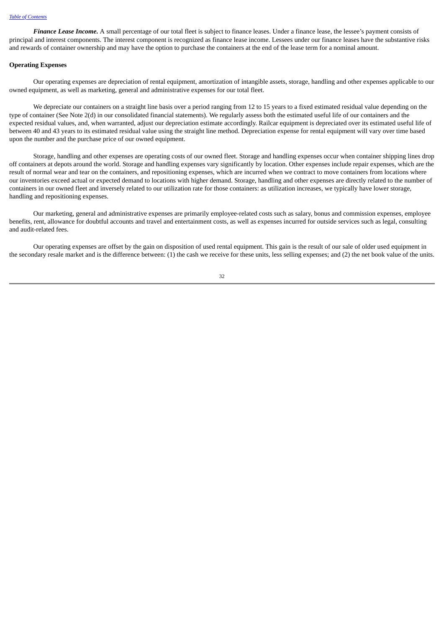*Finance Lease Income.* A small percentage of our total fleet is subject to finance leases. Under a finance lease, the lessee's payment consists of principal and interest components. The interest component is recognized as finance lease income. Lessees under our finance leases have the substantive risks and rewards of container ownership and may have the option to purchase the containers at the end of the lease term for a nominal amount.

## **Operating Expenses**

Our operating expenses are depreciation of rental equipment, amortization of intangible assets, storage, handling and other expenses applicable to our owned equipment, as well as marketing, general and administrative expenses for our total fleet.

We depreciate our containers on a straight line basis over a period ranging from 12 to 15 years to a fixed estimated residual value depending on the type of container (See Note 2(d) in our consolidated financial statements). We regularly assess both the estimated useful life of our containers and the expected residual values, and, when warranted, adjust our depreciation estimate accordingly. Railcar equipment is depreciated over its estimated useful life of between 40 and 43 years to its estimated residual value using the straight line method. Depreciation expense for rental equipment will vary over time based upon the number and the purchase price of our owned equipment.

Storage, handling and other expenses are operating costs of our owned fleet. Storage and handling expenses occur when container shipping lines drop off containers at depots around the world. Storage and handling expenses vary significantly by location. Other expenses include repair expenses, which are the result of normal wear and tear on the containers, and repositioning expenses, which are incurred when we contract to move containers from locations where our inventories exceed actual or expected demand to locations with higher demand. Storage, handling and other expenses are directly related to the number of containers in our owned fleet and inversely related to our utilization rate for those containers: as utilization increases, we typically have lower storage, handling and repositioning expenses.

Our marketing, general and administrative expenses are primarily employee-related costs such as salary, bonus and commission expenses, employee benefits, rent, allowance for doubtful accounts and travel and entertainment costs, as well as expenses incurred for outside services such as legal, consulting and audit-related fees.

Our operating expenses are offset by the gain on disposition of used rental equipment. This gain is the result of our sale of older used equipment in the secondary resale market and is the difference between: (1) the cash we receive for these units, less selling expenses; and (2) the net book value of the units.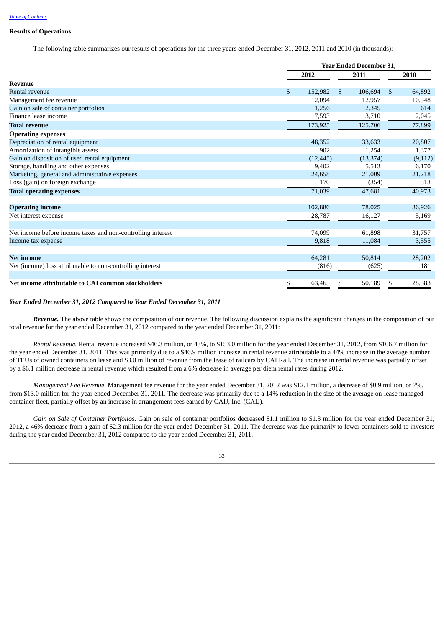## **Results of Operations**

The following table summarizes our results of operations for the three years ended December 31, 2012, 2011 and 2010 (in thousands):

|                                                             |               | <b>Year Ended December 31,</b> |                         |    |                        |  |  |  |
|-------------------------------------------------------------|---------------|--------------------------------|-------------------------|----|------------------------|--|--|--|
|                                                             | 2012          |                                | 2011                    |    | 2010                   |  |  |  |
| <b>Revenue</b>                                              |               |                                |                         |    |                        |  |  |  |
| Rental revenue                                              | \$<br>152,982 |                                | $\mathbb{S}$<br>106.694 |    | $\mathbb{S}$<br>64,892 |  |  |  |
| Management fee revenue                                      | 12,094        |                                | 12,957                  |    | 10,348                 |  |  |  |
| Gain on sale of container portfolios                        | 1,256         |                                | 2,345                   |    | 614                    |  |  |  |
| Finance lease income                                        | 7,593         |                                | 3,710                   |    | 2,045                  |  |  |  |
| <b>Total revenue</b>                                        | 173,925       |                                | 125,706                 |    | 77,899                 |  |  |  |
| <b>Operating expenses</b>                                   |               |                                |                         |    |                        |  |  |  |
| Depreciation of rental equipment                            | 48,352        |                                | 33,633                  |    | 20,807                 |  |  |  |
| Amortization of intangible assets                           | 902           |                                | 1,254                   |    | 1,377                  |  |  |  |
| Gain on disposition of used rental equipment                | (12, 445)     |                                | (13, 374)               |    | (9, 112)               |  |  |  |
| Storage, handling and other expenses                        | 9,402         |                                | 5,513                   |    | 6,170                  |  |  |  |
| Marketing, general and administrative expenses              | 24,658        |                                | 21,009                  |    | 21,218                 |  |  |  |
| Loss (gain) on foreign exchange                             | 170           |                                | (354)                   |    | 513                    |  |  |  |
| <b>Total operating expenses</b>                             | 71,039        |                                | 47.681                  |    | 40,973                 |  |  |  |
| <b>Operating income</b>                                     | 102,886       |                                | 78,025                  |    | 36,926                 |  |  |  |
| Net interest expense                                        | 28,787        |                                | 16,127                  |    | 5,169                  |  |  |  |
| Net income before income taxes and non-controlling interest | 74,099        |                                | 61,898                  |    | 31,757                 |  |  |  |
|                                                             | 9,818         |                                | 11,084                  |    |                        |  |  |  |
| Income tax expense                                          |               |                                |                         |    | 3,555                  |  |  |  |
| <b>Net income</b>                                           | 64,281        |                                | 50,814                  |    | 28,202                 |  |  |  |
| Net (income) loss attributable to non-controlling interest  | (816)         |                                | (625)                   |    | 181                    |  |  |  |
| Net income attributable to CAI common stockholders          | \$<br>63,465  |                                | 50,189<br>\$            | \$ | 28,383                 |  |  |  |

#### *Year Ended December 31, 2012 Compared to Year Ended December 31, 2011*

*Revenue.* The above table shows the composition of our revenue. The following discussion explains the significant changes in the composition of our total revenue for the year ended December 31, 2012 compared to the year ended December 31, 2011:

*Rental Revenue.* Rental revenue increased \$46.3 million, or 43%, to \$153.0 million for the year ended December 31, 2012, from \$106.7 million for the year ended December 31, 2011. This was primarily due to a \$46.9 million increase in rental revenue attributable to a 44% increase in the average number of TEUs of owned containers on lease and \$3.0 million of revenue from the lease of railcars by CAI Rail. The increase in rental revenue was partially offset by a \$6.1 million decrease in rental revenue which resulted from a 6% decrease in average per diem rental rates during 2012.

*Management Fee Revenue.* Management fee revenue for the year ended December 31, 2012 was \$12.1 million, a decrease of \$0.9 million, or 7%, from \$13.0 million for the year ended December 31, 2011. The decrease was primarily due to a 14% reduction in the size of the average on-lease managed container fleet, partially offset by an increase in arrangement fees earned by CAIJ, Inc. (CAIJ).

*Gain on Sale of Container Portfolios*. Gain on sale of container portfolios decreased \$1.1 million to \$1.3 million for the year ended December 31, 2012, a 46% decrease from a gain of \$2.3 million for the year ended December 31, 2011. The decrease was due primarily to fewer containers sold to investors during the year ended December 31, 2012 compared to the year ended December 31, 2011.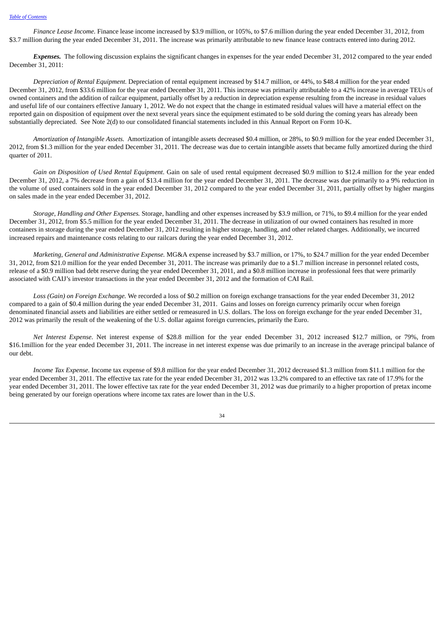*Finance Lease Income.* Finance lease income increased by \$3.9 million, or 105%, to \$7.6 million during the year ended December 31, 2012, from \$3.7 million during the year ended December 31, 2011. The increase was primarily attributable to new finance lease contracts entered into during 2012.

*Expenses.* The following discussion explains the significant changes in expenses for the year ended December 31, 2012 compared to the year ended December 31, 2011:

*Depreciation of Rental Equipment.* Depreciation of rental equipment increased by \$14.7 million, or 44%, to \$48.4 million for the year ended December 31, 2012, from \$33.6 million for the year ended December 31, 2011. This increase was primarily attributable to a 42% increase in average TEUs of owned containers and the addition of railcar equipment, partially offset by a reduction in depreciation expense resulting from the increase in residual values and useful life of our containers effective January 1, 2012. We do not expect that the change in estimated residual values will have a material effect on the reported gain on disposition of equipment over the next several years since the equipment estimated to be sold during the coming years has already been substantially depreciated. See Note 2(d) to our consolidated financial statements included in this Annual Report on Form 10-K.

*Amortization of Intangible Assets.* Amortization of intangible assets decreased \$0.4 million, or 28%, to \$0.9 million for the year ended December 31, 2012, from \$1.3 million for the year ended December 31, 2011. The decrease was due to certain intangible assets that became fully amortized during the third quarter of 2011.

*Gain on Disposition of Used Rental Equipment*. Gain on sale of used rental equipment decreased \$0.9 million to \$12.4 million for the year ended December 31, 2012, a 7% decrease from a gain of \$13.4 million for the year ended December 31, 2011. The decrease was due primarily to a 9% reduction in the volume of used containers sold in the year ended December 31, 2012 compared to the year ended December 31, 2011, partially offset by higher margins on sales made in the year ended December 31, 2012.

*Storage, Handling and Other Expenses.* Storage, handling and other expenses increased by \$3.9 million, or 71%, to \$9.4 million for the year ended December 31, 2012, from \$5.5 million for the year ended December 31, 2011. The decrease in utilization of our owned containers has resulted in more containers in storage during the year ended December 31, 2012 resulting in higher storage, handling, and other related charges. Additionally, we incurred increased repairs and maintenance costs relating to our railcars during the year ended December 31, 2012.

*Marketing, General and Administrative Expense.* MG&A expense increased by \$3.7 million, or 17%, to \$24.7 million for the year ended December 31, 2012, from \$21.0 million for the year ended December 31, 2011. The increase was primarily due to a \$1.7 million increase in personnel related costs, release of a \$0.9 million bad debt reserve during the year ended December 31, 2011, and a \$0.8 million increase in professional fees that were primarily associated with CAIJ's investor transactions in the year ended December 31, 2012 and the formation of CAI Rail.

*Loss (Gain) on Foreign Exchange.* We recorded a loss of \$0.2 million on foreign exchange transactions for the year ended December 31, 2012 compared to a gain of \$0.4 million during the year ended December 31, 2011. Gains and losses on foreign currency primarily occur when foreign denominated financial assets and liabilities are either settled or remeasured in U.S. dollars. The loss on foreign exchange for the year ended December 31, 2012 was primarily the result of the weakening of the U.S. dollar against foreign currencies, primarily the Euro.

*Net Interest Expense*. Net interest expense of \$28.8 million for the year ended December 31, 2012 increased \$12.7 million, or 79%, from \$16.1million for the year ended December 31, 2011. The increase in net interest expense was due primarily to an increase in the average principal balance of our debt.

*Income Tax Expense.* Income tax expense of \$9.8 million for the year ended December 31, 2012 decreased \$1.3 million from \$11.1 million for the year ended December 31, 2011. The effective tax rate for the year ended December 31, 2012 was 13.2% compared to an effective tax rate of 17.9% for the year ended December 31, 2011. The lower effective tax rate for the year ended December 31, 2012 was due primarily to a higher proportion of pretax income being generated by our foreign operations where income tax rates are lower than in the U.S.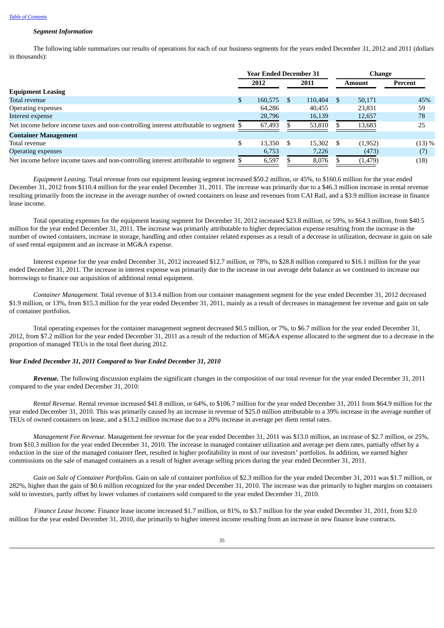## *Segment Information*

The following table summarizes our results of operations for each of our business segments for the years ended December 31, 2012 and 2011 (dollars in thousands):

|                                                                                        | <b>Year Ended December 31</b> |         |  |         | <b>Change</b> |          |         |
|----------------------------------------------------------------------------------------|-------------------------------|---------|--|---------|---------------|----------|---------|
|                                                                                        |                               | 2012    |  | 2011    |               | Amount   | Percent |
| <b>Equipment Leasing</b>                                                               |                               |         |  |         |               |          |         |
| Total revenue<br>\$                                                                    |                               | 160,575 |  | 110,404 | -S            | 50.171   | 45%     |
| Operating expenses                                                                     |                               | 64,286  |  | 40,455  |               | 23,831   | 59      |
| Interest expense                                                                       |                               | 28,796  |  | 16,139  |               | 12,657   | 78      |
| Net income before income taxes and non-controlling interest attributable to segment \$ |                               | 67,493  |  | 53,810  |               | 13,683   | 25      |
| <b>Container Management</b>                                                            |                               |         |  |         |               |          |         |
| \$<br>Total revenue                                                                    |                               | 13,350  |  | 15,302  | -S            | (1,952)  | (13) %  |
| Operating expenses                                                                     |                               | 6,753   |  | 7,226   |               | (473)    | (7)     |
| Net income before income taxes and non-controlling interest attributable to segment \$ |                               | 6,597   |  | 8,076   |               | (1, 479) | (18)    |

*Equipment Leasing.* Total revenue from our equipment leasing segment increased \$50.2 million, or 45%, to \$160.6 million for the year ended December 31, 2012 from \$110.4 million for the year ended December 31, 2011. The increase was primarily due to a \$46.3 million increase in rental revenue resulting primarily from the increase in the average number of owned containers on lease and revenues from CAI Rail, and a \$3.9 million increase in finance lease income.

Total operating expenses for the equipment leasing segment for December 31, 2012 increased \$23.8 million, or 59%, to \$64.3 million, from \$40.5 million for the year ended December 31, 2011. The increase was primarily attributable to higher depreciation expense resulting from the increase in the number of owned containers, increase in storage, handling and other container related expenses as a result of a decrease in utilization, decrease in gain on sale of used rental equipment and an increase in MG&A expense.

Interest expense for the year ended December 31, 2012 increased \$12.7 million, or 78%, to \$28.8 million compared to \$16.1 million for the year ended December 31, 2011. The increase in interest expense was primarily due to the increase in our average debt balance as we continued to increase our borrowings to finance our acquisition of additional rental equipment.

*Container Management.* Total revenue of \$13.4 million from our container management segment for the year ended December 31, 2012 decreased \$1.9 million, or 13%, from \$15.3 million for the year ended December 31, 2011, mainly as a result of decreases in management fee revenue and gain on sale of container portfolios.

Total operating expenses for the container management segment decreased \$0.5 million, or 7%, to \$6.7 million for the year ended December 31, 2012, from \$7.2 million for the year ended December 31, 2011 as a result of the reduction of MG&A expense allocated to the segment due to a decrease in the proportion of managed TEUs in the total fleet during 2012.

#### *Year Ended December 31, 2011 Compared to Year Ended December 31, 2010*

*Revenue.* The following discussion explains the significant changes in the composition of our total revenue for the year ended December 31, 2011 compared to the year ended December 31, 2010:

*Rental Revenue.* Rental revenue increased \$41.8 million, or 64%, to \$106.7 million for the year ended December 31, 2011 from \$64.9 million for the year ended December 31, 2010. This was primarily caused by an increase in revenue of \$25.0 million attributable to a 39% increase in the average number of TEUs of owned containers on lease, and a \$13.2 million increase due to a 20% increase in average per diem rental rates.

*Management Fee Revenue.* Management fee revenue for the year ended December 31, 2011 was \$13.0 million, an increase of \$2.7 million, or 25%, from \$10.3 million for the year ended December 31, 2010. The increase in managed container utilization and average per diem rates, partially offset by a reduction in the size of the managed container fleet, resulted in higher profitability in most of our investors' portfolios. In addition, we earned higher commissions on the sale of managed containers as a result of higher average selling prices during the year ended December 31, 2011.

*Gain on Sale of Container Portfolios.* Gain on sale of container portfolios of \$2.3 million for the year ended December 31, 2011 was \$1.7 million, or 282%, higher than the gain of \$0.6 million recognized for the year ended December 31, 2010. The increase was due primarily to higher margins on containers sold to investors, partly offset by lower volumes of containers sold compared to the year ended December 31, 2010.

*Finance Lease Income.* Finance lease income increased \$1.7 million, or 81%, to \$3.7 million for the year ended December 31, 2011, from \$2.0 million for the year ended December 31, 2010, due primarily to higher interest income resulting from an increase in new finance lease contracts.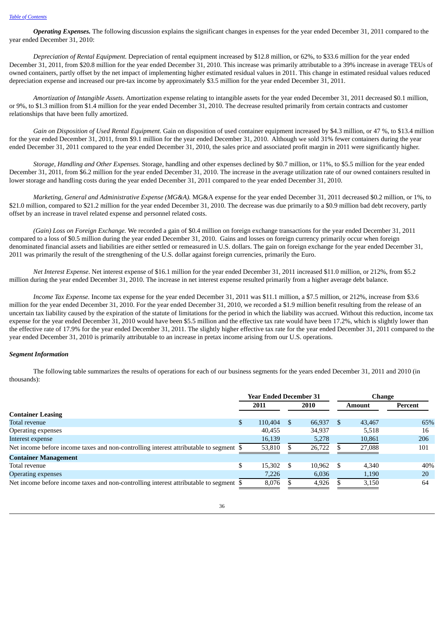*Operating Expenses.* The following discussion explains the significant changes in expenses for the year ended December 31, 2011 compared to the year ended December 31, 2010:

*Depreciation of Rental Equipment.* Depreciation of rental equipment increased by \$12.8 million, or 62%, to \$33.6 million for the year ended December 31, 2011, from \$20.8 million for the year ended December 31, 2010. This increase was primarily attributable to a 39% increase in average TEUs of owned containers, partly offset by the net impact of implementing higher estimated residual values in 2011. This change in estimated residual values reduced depreciation expense and increased our pre-tax income by approximately \$3.5 million for the year ended December 31, 2011.

*Amortization of Intangible Assets*. Amortization expense relating to intangible assets for the year ended December 31, 2011 decreased \$0.1 million, or 9%, to \$1.3 million from \$1.4 million for the year ended December 31, 2010. The decrease resulted primarily from certain contracts and customer relationships that have been fully amortized.

*Gain on Disposition of Used Rental Equipment.* Gain on disposition of used container equipment increased by \$4.3 million, or 47 %, to \$13.4 million for the year ended December 31, 2011, from \$9.1 million for the year ended December 31, 2010. Although we sold 31% fewer containers during the year ended December 31, 2011 compared to the year ended December 31, 2010, the sales price and associated profit margin in 2011 were significantly higher.

*Storage, Handling and Other Expenses.* Storage, handling and other expenses declined by \$0.7 million, or 11%, to \$5.5 million for the year ended December 31, 2011, from \$6.2 million for the year ended December 31, 2010. The increase in the average utilization rate of our owned containers resulted in lower storage and handling costs during the year ended December 31, 2011 compared to the year ended December 31, 2010.

*Marketing, General and Administrative Expense (MG&A).* MG&A expense for the year ended December 31, 2011 decreased \$0.2 million, or 1%, to \$21.0 million, compared to \$21.2 million for the year ended December 31, 2010. The decrease was due primarily to a \$0.9 million bad debt recovery, partly offset by an increase in travel related expense and personnel related costs.

*(Gain) Loss on Foreign Exchange.* We recorded a gain of \$0.4 million on foreign exchange transactions for the year ended December 31, 2011 compared to a loss of \$0.5 million during the year ended December 31, 2010. Gains and losses on foreign currency primarily occur when foreign denominated financial assets and liabilities are either settled or remeasured in U.S. dollars. The gain on foreign exchange for the year ended December 31, 2011 was primarily the result of the strengthening of the U.S. dollar against foreign currencies, primarily the Euro.

*Net Interest Expense*. Net interest expense of \$16.1 million for the year ended December 31, 2011 increased \$11.0 million, or 212%, from \$5.2 million during the year ended December 31, 2010. The increase in net interest expense resulted primarily from a higher average debt balance.

*Income Tax Expense.* Income tax expense for the year ended December 31, 2011 was \$11.1 million, a \$7.5 million, or 212%, increase from \$3.6 million for the year ended December 31, 2010. For the year ended December 31, 2010, we recorded a \$1.9 million benefit resulting from the release of an uncertain tax liability caused by the expiration of the statute of limitations for the period in which the liability was accrued. Without this reduction, income tax expense for the year ended December 31, 2010 would have been \$5.5 million and the effective tax rate would have been 17.2%, which is slightly lower than the effective rate of 17.9% for the year ended December 31, 2011. The slightly higher effective tax rate for the year ended December 31, 2011 compared to the year ended December 31, 2010 is primarily attributable to an increase in pretax income arising from our U.S. operations.

## *Segment Information*

The following table summarizes the results of operations for each of our business segments for the years ended December 31, 2011 and 2010 (in thousands):

|                                                                                        | <b>Year Ended December 31</b> |         |   |        |      | Change |         |
|----------------------------------------------------------------------------------------|-------------------------------|---------|---|--------|------|--------|---------|
|                                                                                        | 2011                          |         |   | 2010   |      | Amount | Percent |
| <b>Container Leasing</b>                                                               |                               |         |   |        |      |        |         |
| Total revenue                                                                          | \$                            | 110,404 | S | 66.937 | - \$ | 43,467 | 65%     |
| Operating expenses                                                                     |                               | 40,455  |   | 34,937 |      | 5,518  | 16      |
| Interest expense                                                                       |                               | 16,139  |   | 5,278  |      | 10,861 | 206     |
| Net income before income taxes and non-controlling interest attributable to segment \$ |                               | 53,810  |   | 26,722 |      | 27,088 | 101     |
| <b>Container Management</b>                                                            |                               |         |   |        |      |        |         |
| Total revenue                                                                          | \$                            | 15,302  |   | 10,962 | - \$ | 4,340  | 40%     |
| <b>Operating expenses</b>                                                              |                               | 7,226   |   | 6,036  |      | 1,190  | 20      |
| Net income before income taxes and non-controlling interest attributable to segment \$ |                               | 8,076   |   | 4,926  |      | 3,150  | 64      |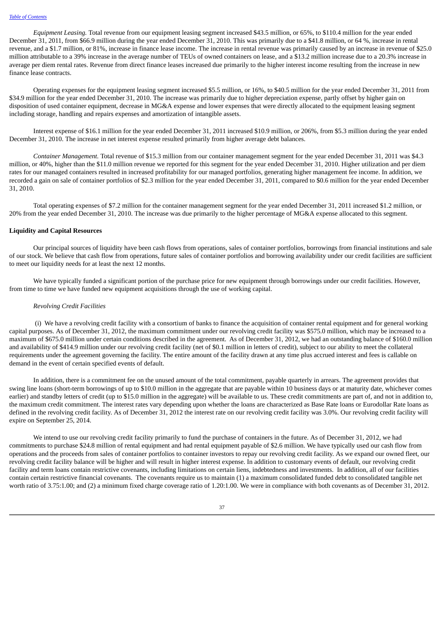*Equipment Leasing.* Total revenue from our equipment leasing segment increased \$43.5 million, or 65%, to \$110.4 million for the year ended December 31, 2011, from \$66.9 million during the year ended December 31, 2010. This was primarily due to a \$41.8 million, or 64 %, increase in rental revenue, and a \$1.7 million, or 81%, increase in finance lease income. The increase in rental revenue was primarily caused by an increase in revenue of \$25.0 million attributable to a 39% increase in the average number of TEUs of owned containers on lease, and a \$13.2 million increase due to a 20.3% increase in average per diem rental rates. Revenue from direct finance leases increased due primarily to the higher interest income resulting from the increase in new finance lease contracts.

Operating expenses for the equipment leasing segment increased \$5.5 million, or 16%, to \$40.5 million for the year ended December 31, 2011 from \$34.9 million for the year ended December 31, 2010. The increase was primarily due to higher depreciation expense, partly offset by higher gain on disposition of used container equipment, decrease in MG&A expense and lower expenses that were directly allocated to the equipment leasing segment including storage, handling and repairs expenses and amortization of intangible assets.

Interest expense of \$16.1 million for the year ended December 31, 2011 increased \$10.9 million, or 206%, from \$5.3 million during the year ended December 31, 2010. The increase in net interest expense resulted primarily from higher average debt balances.

*Container Management.* Total revenue of \$15.3 million from our container management segment for the year ended December 31, 2011 was \$4.3 million, or 40%, higher than the \$11.0 million revenue we reported for this segment for the year ended December 31, 2010. Higher utilization and per diem rates for our managed containers resulted in increased profitability for our managed portfolios, generating higher management fee income. In addition, we recorded a gain on sale of container portfolios of \$2.3 million for the year ended December 31, 2011, compared to \$0.6 million for the year ended December 31, 2010.

Total operating expenses of \$7.2 million for the container management segment for the year ended December 31, 2011 increased \$1.2 million, or 20% from the year ended December 31, 2010. The increase was due primarily to the higher percentage of MG&A expense allocated to this segment.

## **Liquidity and Capital Resources**

Our principal sources of liquidity have been cash flows from operations, sales of container portfolios, borrowings from financial institutions and sale of our stock. We believe that cash flow from operations, future sales of container portfolios and borrowing availability under our credit facilities are sufficient to meet our liquidity needs for at least the next 12 months.

We have typically funded a significant portion of the purchase price for new equipment through borrowings under our credit facilities. However, from time to time we have funded new equipment acquisitions through the use of working capital.

### *Revolving Credit Facilities*

(i) We have a revolving credit facility with a consortium of banks to finance the acquisition of container rental equipment and for general working capital purposes. As of December 31, 2012, the maximum commitment under our revolving credit facility was \$575.0 million, which may be increased to a maximum of \$675.0 million under certain conditions described in the agreement. As of December 31, 2012, we had an outstanding balance of \$160.0 million and availability of \$414.9 million under our revolving credit facility (net of \$0.1 million in letters of credit), subject to our ability to meet the collateral requirements under the agreement governing the facility. The entire amount of the facility drawn at any time plus accrued interest and fees is callable on demand in the event of certain specified events of default.

In addition, there is a commitment fee on the unused amount of the total commitment, payable quarterly in arrears. The agreement provides that swing line loans (short-term borrowings of up to \$10.0 million in the aggregate that are payable within 10 business days or at maturity date, whichever comes earlier) and standby letters of credit (up to \$15.0 million in the aggregate) will be available to us. These credit commitments are part of, and not in addition to, the maximum credit commitment. The interest rates vary depending upon whether the loans are characterized as Base Rate loans or Eurodollar Rate loans as defined in the revolving credit facility. As of December 31, 2012 the interest rate on our revolving credit facility was 3.0%. Our revolving credit facility will expire on September 25, 2014.

We intend to use our revolving credit facility primarily to fund the purchase of containers in the future. As of December 31, 2012, we had commitments to purchase \$24.8 million of rental equipment and had rental equipment payable of \$2.6 million. We have typically used our cash flow from operations and the proceeds from sales of container portfolios to container investors to repay our revolving credit facility. As we expand our owned fleet, our revolving credit facility balance will be higher and will result in higher interest expense. In addition to customary events of default, our revolving credit facility and term loans contain restrictive covenants, including limitations on certain liens, indebtedness and investments. In addition, all of our facilities contain certain restrictive financial covenants. The covenants require us to maintain (1) a maximum consolidated funded debt to consolidated tangible net worth ratio of 3.75:1.00; and (2) a minimum fixed charge coverage ratio of 1.20:1.00. We were in compliance with both covenants as of December 31, 2012.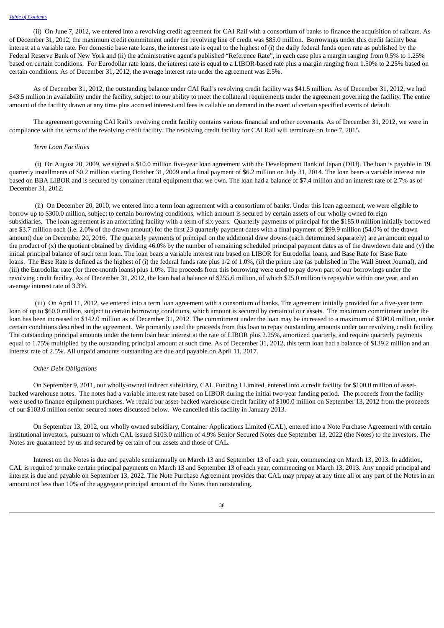(ii) On June 7, 2012, we entered into a revolving credit agreement for CAI Rail with a consortium of banks to finance the acquisition of railcars. As of December 31, 2012, the maximum credit commitment under the revolving line of credit was \$85.0 million. Borrowings under this credit facility bear interest at a variable rate. For domestic base rate loans, the interest rate is equal to the highest of (i) the daily federal funds open rate as published by the Federal Reserve Bank of New York and (ii) the administrative agent's published "Reference Rate", in each case plus a margin ranging from 0.5% to 1.25% based on certain conditions. For Eurodollar rate loans, the interest rate is equal to a LIBOR-based rate plus a margin ranging from 1.50% to 2.25% based on certain conditions. As of December 31, 2012, the average interest rate under the agreement was 2.5%.

As of December 31, 2012, the outstanding balance under CAI Rail's revolving credit facility was \$41.5 million. As of December 31, 2012, we had \$43.5 million in availability under the facility, subject to our ability to meet the collateral requirements under the agreement governing the facility. The entire amount of the facility drawn at any time plus accrued interest and fees is callable on demand in the event of certain specified events of default.

The agreement governing CAI Rail's revolving credit facility contains various financial and other covenants. As of December 31, 2012, we were in compliance with the terms of the revolving credit facility. The revolving credit facility for CAI Rail will terminate on June 7, 2015.

### *Term Loan Facilities*

(i) On August 20, 2009, we signed a \$10.0 million five-year loan agreement with the Development Bank of Japan (DBJ). The loan is payable in 19 quarterly installments of \$0.2 million starting October 31, 2009 and a final payment of \$6.2 million on July 31, 2014. The loan bears a variable interest rate based on BBA LIBOR and is secured by container rental equipment that we own. The loan had a balance of \$7.4 million and an interest rate of 2.7% as of December 31, 2012.

(ii) On December 20, 2010, we entered into a term loan agreement with a consortium of banks. Under this loan agreement, we were eligible to borrow up to \$300.0 million, subject to certain borrowing conditions, which amount is secured by certain assets of our wholly owned foreign subsidiaries. The loan agreement is an amortizing facility with a term of six years. Quarterly payments of principal for the \$185.0 million initially borrowed are \$3.7 million each (i.e. 2.0% of the drawn amount) for the first 23 quarterly payment dates with a final payment of \$99.9 million (54.0% of the drawn amount) due on December 20, 2016. The quarterly payments of principal on the additional draw downs (each determined separately) are an amount equal to the product of (x) the quotient obtained by dividing 46.0% by the number of remaining scheduled principal payment dates as of the drawdown date and (y) the initial principal balance of such term loan. The loan bears a variable interest rate based on LIBOR for Eurodollar loans, and Base Rate for Base Rate loans. The Base Rate is defined as the highest of (i) the federal funds rate plus 1/2 of 1.0%, (ii) the prime rate (as published in The Wall Street Journal), and (iii) the Eurodollar rate (for three-month loans) plus 1.0%. The proceeds from this borrowing were used to pay down part of our borrowings under the revolving credit facility. As of December 31, 2012, the loan had a balance of \$255.6 million, of which \$25.0 million is repayable within one year, and an average interest rate of 3.3%.

(iii) On April 11, 2012, we entered into a term loan agreement with a consortium of banks. The agreement initially provided for a five-year term loan of up to \$60.0 million, subject to certain borrowing conditions, which amount is secured by certain of our assets. The maximum commitment under the loan has been increased to \$142.0 million as of December 31, 2012. The commitment under the loan may be increased to a maximum of \$200.0 million, under certain conditions described in the agreement. We primarily used the proceeds from this loan to repay outstanding amounts under our revolving credit facility. The outstanding principal amounts under the term loan bear interest at the rate of LIBOR plus 2.25%, amortized quarterly, and require quarterly payments equal to 1.75% multiplied by the outstanding principal amount at such time. As of December 31, 2012, this term loan had a balance of \$139.2 million and an interest rate of 2.5%. All unpaid amounts outstanding are due and payable on April 11, 2017.

#### *Other Debt Obligations*

On September 9, 2011, our wholly-owned indirect subsidiary, CAL Funding I Limited, entered into a credit facility for \$100.0 million of assetbacked warehouse notes. The notes had a variable interest rate based on LIBOR during the initial two-year funding period. The proceeds from the facility were used to finance equipment purchases. We repaid our asset-backed warehouse credit facility of \$100.0 million on September 13, 2012 from the proceeds of our \$103.0 million senior secured notes discussed below. We cancelled this facility in January 2013.

On September 13, 2012, our wholly owned subsidiary, Container Applications Limited (CAL), entered into a Note Purchase Agreement with certain institutional investors, pursuant to which CAL issued \$103.0 million of 4.9% Senior Secured Notes due September 13, 2022 (the Notes) to the investors. The Notes are guaranteed by us and secured by certain of our assets and those of CAL.

Interest on the Notes is due and payable semiannually on March 13 and September 13 of each year, commencing on March 13, 2013. In addition, CAL is required to make certain principal payments on March 13 and September 13 of each year, commencing on March 13, 2013. Any unpaid principal and interest is due and payable on September 13, 2022. The Note Purchase Agreement provides that CAL may prepay at any time all or any part of the Notes in an amount not less than 10% of the aggregate principal amount of the Notes then outstanding.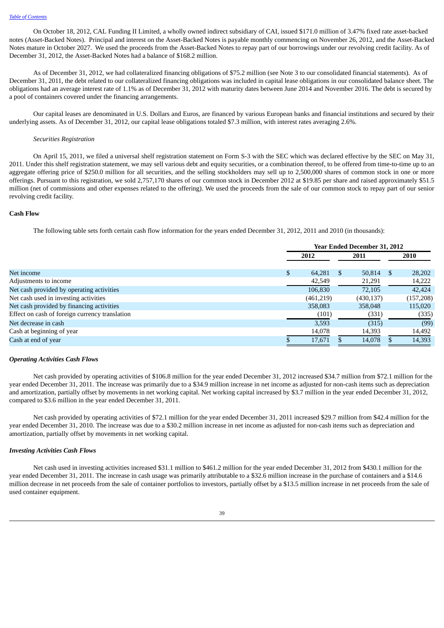On October 18, 2012, CAL Funding II Limited, a wholly owned indirect subsidiary of CAI, issued \$171.0 million of 3.47% fixed rate asset-backed notes (Asset-Backed Notes). Principal and interest on the Asset-Backed Notes is payable monthly commencing on November 26, 2012, and the Asset-Backed Notes mature in October 2027. We used the proceeds from the Asset-Backed Notes to repay part of our borrowings under our revolving credit facility. As of December 31, 2012, the Asset-Backed Notes had a balance of \$168.2 million.

As of December 31, 2012, we had collateralized financing obligations of \$75.2 million (see Note 3 to our consolidated financial statements). As of December 31, 2011, the debt related to our collateralized financing obligations was included in capital lease obligations in our consolidated balance sheet. The obligations had an average interest rate of 1.1% as of December 31, 2012 with maturity dates between June 2014 and November 2016. The debt is secured by a pool of containers covered under the financing arrangements.

Our capital leases are denominated in U.S. Dollars and Euros, are financed by various European banks and financial institutions and secured by their underlying assets. As of December 31, 2012, our capital lease obligations totaled \$7.3 million, with interest rates averaging 2.6%.

#### *Securities Registration*

On April 15, 2011, we filed a universal shelf registration statement on Form S-3 with the SEC which was declared effective by the SEC on May 31, 2011. Under this shelf registration statement, we may sell various debt and equity securities, or a combination thereof, to be offered from time-to-time up to an aggregate offering price of \$250.0 million for all securities, and the selling stockholders may sell up to 2,500,000 shares of common stock in one or more offerings. Pursuant to this registration, we sold 2,757,170 shares of our common stock in December 2012 at \$19.85 per share and raised approximately \$51.5 million (net of commissions and other expenses related to the offering). We used the proceeds from the sale of our common stock to repay part of our senior revolving credit facility.

#### **Cash Flow**

The following table sets forth certain cash flow information for the years ended December 31, 2012, 2011 and 2010 (in thousands):

|                                                | <b>Year Ended December 31, 2012</b> |           |    |            |     |            |  |  |
|------------------------------------------------|-------------------------------------|-----------|----|------------|-----|------------|--|--|
|                                                | 2012                                |           |    | 2011       |     | 2010       |  |  |
| Net income                                     |                                     | 64,281    | \$ | 50,814     | \$. | 28,202     |  |  |
| Adjustments to income                          |                                     | 42,549    |    | 21,291     |     | 14,222     |  |  |
| Net cash provided by operating activities      |                                     | 106,830   |    | 72,105     |     | 42,424     |  |  |
| Net cash used in investing activities          |                                     | (461,219) |    | (430, 137) |     | (157, 208) |  |  |
| Net cash provided by financing activities      |                                     | 358,083   |    | 358,048    |     | 115,020    |  |  |
| Effect on cash of foreign currency translation |                                     | (101)     |    | (331)      |     | (335)      |  |  |
| Net decrease in cash                           |                                     | 3,593     |    | (315)      |     | (99)       |  |  |
| Cash at beginning of year                      |                                     | 14,078    |    | 14,393     |     | 14,492     |  |  |
| Cash at end of year                            |                                     | 17,671    |    | 14,078     |     | 14,393     |  |  |

#### *Operating Activities Cash Flows*

Net cash provided by operating activities of \$106.8 million for the year ended December 31, 2012 increased \$34.7 million from \$72.1 million for the year ended December 31, 2011. The increase was primarily due to a \$34.9 million increase in net income as adjusted for non-cash items such as depreciation and amortization, partially offset by movements in net working capital. Net working capital increased by \$3.7 million in the year ended December 31, 2012, compared to \$3.6 million in the year ended December 31, 2011.

Net cash provided by operating activities of \$72.1 million for the year ended December 31, 2011 increased \$29.7 million from \$42.4 million for the year ended December 31, 2010. The increase was due to a \$30.2 million increase in net income as adjusted for non-cash items such as depreciation and amortization, partially offset by movements in net working capital.

#### *Investing Activities Cash Flows*

Net cash used in investing activities increased \$31.1 million to \$461.2 million for the year ended December 31, 2012 from \$430.1 million for the year ended December 31, 2011. The increase in cash usage was primarily attributable to a \$32.6 million increase in the purchase of containers and a \$14.6 million decrease in net proceeds from the sale of container portfolios to investors, partially offset by a \$13.5 million increase in net proceeds from the sale of used container equipment.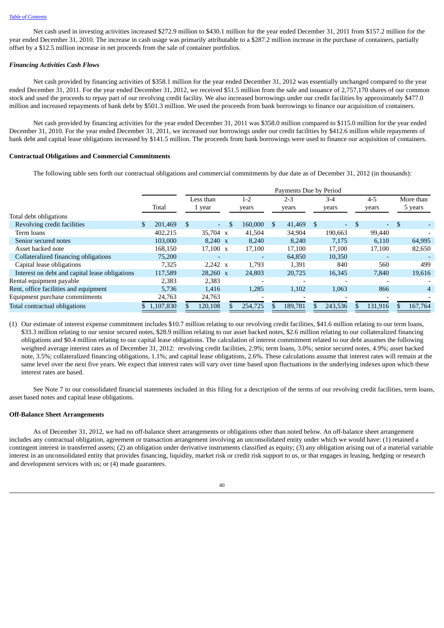Net cash used in investing activities increased \$272.9 million to \$430.1 million for the year ended December 31, 2011 from \$157.2 million for the year ended December 31, 2010. The increase in cash usage was primarily attributable to a \$287.2 million increase in the purchase of containers, partially offset by a \$12.5 million increase in net proceeds from the sale of container portfolios.

### *Financing Activities Cash Flows*

Net cash provided by financing activities of \$358.1 million for the year ended December 31, 2012 was essentially unchanged compared to the year ended December 31, 2011. For the year ended December 31, 2012, we received \$51.5 million from the sale and issuance of 2,757,170 shares of our common stock and used the proceeds to repay part of our revolving credit facility. We also increased borrowings under our credit facilities by approximately \$477.0 million and increased repayments of bank debt by \$501.3 million. We used the proceeds from bank borrowings to finance our acquisition of containers.

Net cash provided by financing activities for the year ended December 31, 2011 was \$358.0 million compared to \$115.0 million for the year ended December 31, 2010. For the year ended December 31, 2011, we increased our borrowings under our credit facilities by \$412.6 million while repayments of bank debt and capital lease obligations increased by \$141.5 million. The proceeds from bank borrowings were used to finance our acquisition of containers.

#### **Contractual Obligations and Commercial Commitments**

The following table sets forth our contractual obligations and commercial commitments by due date as of December 31, 2012 (in thousands):

|                                                |                                                   | Payments Due by Period |                          |    |                          |     |                          |    |         |   |                          |    |                          |
|------------------------------------------------|---------------------------------------------------|------------------------|--------------------------|----|--------------------------|-----|--------------------------|----|---------|---|--------------------------|----|--------------------------|
|                                                | Less than<br>$1 - 2$<br>$2 - 3$<br>$3 - 4$<br>4-5 |                        |                          |    |                          |     |                          |    |         |   |                          |    | More than                |
|                                                | Total                                             |                        | 1 year                   |    | years                    |     | years                    |    | years   |   | years                    |    | 5 years                  |
| Total debt obligations                         |                                                   |                        |                          |    |                          |     |                          |    |         |   |                          |    |                          |
| Revolving credit facilities                    | 201,469                                           | -S                     | $\sim$                   | \$ | 160,000                  | \$. | 41,469                   | \$ | ٠       | S | u,                       | \$ |                          |
| Term loans                                     | 402,215                                           |                        | 35,704 x                 |    | 41,504                   |     | 34,904                   |    | 190,663 |   | 99,440                   |    |                          |
| Senior secured notes                           | 103,000                                           |                        | $8.240 \times$           |    | 8,240                    |     | 8,240                    |    | 7,175   |   | 6,110                    |    | 64,995                   |
| Asset backed note                              | 168,150                                           |                        | $17,100 \text{ x}$       |    | 17,100                   |     | 17,100                   |    | 17,100  |   | 17,100                   |    | 82,650                   |
| Collateralized financing obligations           | 75,200                                            |                        | $\overline{\phantom{0}}$ |    | -                        |     | 64,850                   |    | 10,350  |   | $\overline{\phantom{0}}$ |    |                          |
| Capital lease obligations                      | 7,325                                             |                        | 2,242 x                  |    | 1,793                    |     | 1,391                    |    | 840     |   | 560                      |    | 499                      |
| Interest on debt and capital lease obligations | 117,589                                           |                        | 28,260 x                 |    | 24,803                   |     | 20,725                   |    | 16,345  |   | 7,840                    |    | 19,616                   |
| Rental equipment payable                       | 2,383                                             |                        | 2,383                    |    | $\overline{\phantom{0}}$ |     | $\overline{\phantom{a}}$ |    |         |   | -                        |    |                          |
| Rent, office facilities and equipment          | 5,736                                             |                        | 1,416                    |    | 1,285                    |     | 1,102                    |    | 1,063   |   | 866                      |    | $\overline{\mathcal{A}}$ |
| Equipment purchase commitments                 | 24,763                                            |                        | 24,763                   |    |                          |     |                          |    |         |   |                          |    |                          |
| Total contractual obligations                  | 1,107,830                                         |                        | 120,108                  |    | 254.725                  |     | 189,781                  |    | 243,536 |   | 131,916                  |    | 167,764                  |

(1) Our estimate of interest expense commitment includes \$10.7 million relating to our revolving credit facilities, \$41.6 million relating to our term loans, \$33.3 million relating to our senior secured notes, \$28.9 million relating to our asset backed notes, \$2.6 million relating to our collateralized financing obligations and \$0.4 million relating to our capital lease obligations. The calculation of interest commitment related to our debt assumes the following weighted average interest rates as of December 31, 2012: revolving credit facilities, 2.9%; term loans, 3.0%; senior secured notes, 4.9%; asset backed note, 3.5%; collateralized financing obligations, 1.1%; and capital lease obligations, 2.6%. These calculations assume that interest rates will remain at the same level over the next five years. We expect that interest rates will vary over time based upon fluctuations in the underlying indexes upon which these interest rates are based.

See Note 7 to our consolidated financial statements included in this filing for a description of the terms of our revolving credit facilities, term loans, asset based notes and capital lease obligations.

### **Off-Balance Sheet Arrangements**

As of December 31, 2012, we had no off-balance sheet arrangements or obligations other than noted below. An off-balance sheet arrangement includes any contractual obligation, agreement or transaction arrangement involving an unconsolidated entity under which we would have: (1) retained a contingent interest in transferred assets; (2) an obligation under derivative instruments classified as equity; (3) any obligation arising out of a material variable interest in an unconsolidated entity that provides financing, liquidity, market risk or credit risk support to us, or that engages in leasing, hedging or research and development services with us; or (4) made guarantees.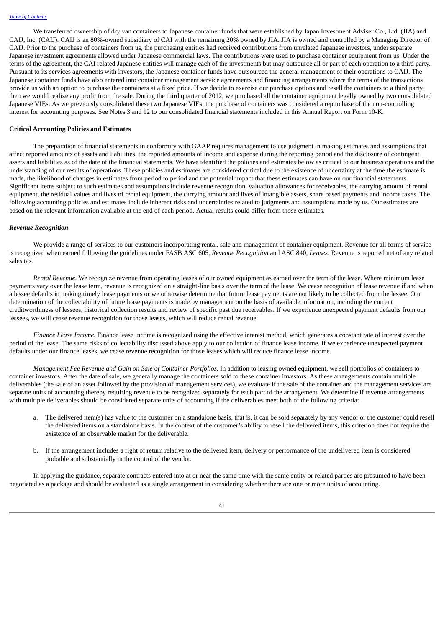We transferred ownership of dry van containers to Japanese container funds that were established by Japan Investment Adviser Co., Ltd. (JIA) and CAIJ, Inc. (CAIJ). CAIJ is an 80%-owned subsidiary of CAI with the remaining 20% owned by JIA. JIA is owned and controlled by a Managing Director of CAIJ. Prior to the purchase of containers from us, the purchasing entities had received contributions from unrelated Japanese investors, under separate Japanese investment agreements allowed under Japanese commercial laws. The contributions were used to purchase container equipment from us. Under the terms of the agreement, the CAI related Japanese entities will manage each of the investments but may outsource all or part of each operation to a third party. Pursuant to its services agreements with investors, the Japanese container funds have outsourced the general management of their operations to CAIJ. The Japanese container funds have also entered into container management service agreements and financing arrangements where the terms of the transactions provide us with an option to purchase the containers at a fixed price. If we decide to exercise our purchase options and resell the containers to a third party, then we would realize any profit from the sale. During the third quarter of 2012, we purchased all the container equipment legally owned by two consolidated Japanese VIEs. As we previously consolidated these two Japanese VIEs, the purchase of containers was considered a repurchase of the non-controlling interest for accounting purposes. See Notes 3 and 12 to our consolidated financial statements included in this Annual Report on Form 10-K.

### **Critical Accounting Policies and Estimates**

The preparation of financial statements in conformity with GAAP requires management to use judgment in making estimates and assumptions that affect reported amounts of assets and liabilities, the reported amounts of income and expense during the reporting period and the disclosure of contingent assets and liabilities as of the date of the financial statements. We have identified the policies and estimates below as critical to our business operations and the understanding of our results of operations. These policies and estimates are considered critical due to the existence of uncertainty at the time the estimate is made, the likelihood of changes in estimates from period to period and the potential impact that these estimates can have on our financial statements. Significant items subject to such estimates and assumptions include revenue recognition, valuation allowances for receivables, the carrying amount of rental equipment, the residual values and lives of rental equipment, the carrying amount and lives of intangible assets, share based payments and income taxes. The following accounting policies and estimates include inherent risks and uncertainties related to judgments and assumptions made by us. Our estimates are based on the relevant information available at the end of each period. Actual results could differ from those estimates.

#### *Revenue Recognition*

We provide a range of services to our customers incorporating rental, sale and management of container equipment. Revenue for all forms of service is recognized when earned following the guidelines under FASB ASC 605, *Revenue Recognition* and ASC 840, *Leases*. Revenue is reported net of any related sales tax.

*Rental Revenue.* We recognize revenue from operating leases of our owned equipment as earned over the term of the lease. Where minimum lease payments vary over the lease term, revenue is recognized on a straight-line basis over the term of the lease. We cease recognition of lease revenue if and when a lessee defaults in making timely lease payments or we otherwise determine that future lease payments are not likely to be collected from the lessee. Our determination of the collectability of future lease payments is made by management on the basis of available information, including the current creditworthiness of lessees, historical collection results and review of specific past due receivables. If we experience unexpected payment defaults from our lessees, we will cease revenue recognition for those leases, which will reduce rental revenue.

*Finance Lease Income.* Finance lease income is recognized using the effective interest method, which generates a constant rate of interest over the period of the lease. The same risks of collectability discussed above apply to our collection of finance lease income. If we experience unexpected payment defaults under our finance leases, we cease revenue recognition for those leases which will reduce finance lease income.

*Management Fee Revenue and Gain on Sale of Container Portfolios.* In addition to leasing owned equipment, we sell portfolios of containers to container investors. After the date of sale, we generally manage the containers sold to these container investors. As these arrangements contain multiple deliverables (the sale of an asset followed by the provision of management services), we evaluate if the sale of the container and the management services are separate units of accounting thereby requiring revenue to be recognized separately for each part of the arrangement. We determine if revenue arrangements with multiple deliverables should be considered separate units of accounting if the deliverables meet both of the following criteria:

- a. The delivered item(s) has value to the customer on a standalone basis, that is, it can be sold separately by any vendor or the customer could resell the delivered items on a standalone basis. In the context of the customer's ability to resell the delivered items, this criterion does not require the existence of an observable market for the deliverable.
- b. If the arrangement includes a right of return relative to the delivered item, delivery or performance of the undelivered item is considered probable and substantially in the control of the vendor.

In applying the guidance, separate contracts entered into at or near the same time with the same entity or related parties are presumed to have been negotiated as a package and should be evaluated as a single arrangement in considering whether there are one or more units of accounting.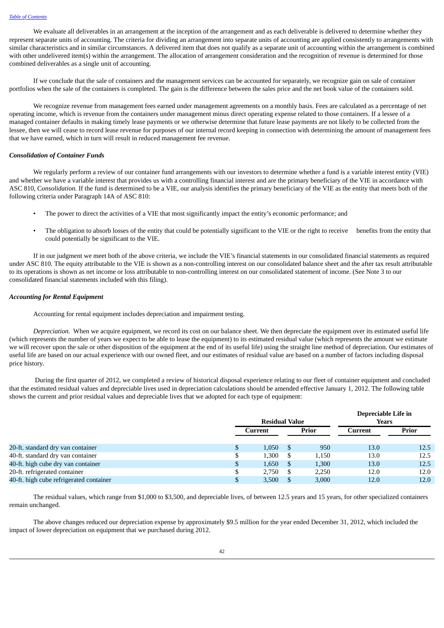We evaluate all deliverables in an arrangement at the inception of the arrangement and as each deliverable is delivered to determine whether they represent separate units of accounting. The criteria for dividing an arrangement into separate units of accounting are applied consistently to arrangements with similar characteristics and in similar circumstances. A delivered item that does not qualify as a separate unit of accounting within the arrangement is combined with other undelivered item(s) within the arrangement. The allocation of arrangement consideration and the recognition of revenue is determined for those combined deliverables as a single unit of accounting.

If we conclude that the sale of containers and the management services can be accounted for separately, we recognize gain on sale of container portfolios when the sale of the containers is completed. The gain is the difference between the sales price and the net book value of the containers sold.

We recognize revenue from management fees earned under management agreements on a monthly basis. Fees are calculated as a percentage of net operating income, which is revenue from the containers under management minus direct operating expense related to those containers. If a lessee of a managed container defaults in making timely lease payments or we otherwise determine that future lease payments are not likely to be collected from the lessee, then we will cease to record lease revenue for purposes of our internal record keeping in connection with determining the amount of management fees that we have earned, which in turn will result in reduced management fee revenue.

### *Consolidation of Container Funds*

We regularly perform a review of our container fund arrangements with our investors to determine whether a fund is a variable interest entity (VIE) and whether we have a variable interest that provides us with a controlling financial interest and are the primary beneficiary of the VIE in accordance with ASC 810, C*onsolidation.* If the fund is determined to be a VIE, our analysis identifies the primary beneficiary of the VIE as the entity that meets both of the following criteria under Paragraph 14A of ASC 810:

- The power to direct the activities of a VIE that most significantly impact the entity's economic performance; and
- The obligation to absorb losses of the entity that could be potentially significant to the VIE or the right to receive benefits from the entity that could potentially be significant to the VIE.

If in our judgment we meet both of the above criteria, we include the VIE's financial statements in our consolidated financial statements as required under ASC 810. The equity attributable to the VIE is shown as a non-controlling interest on our consolidated balance sheet and the after tax result attributable to its operations is shown as net income or loss attributable to non-controlling interest on our consolidated statement of income. (See Note 3 to our consolidated financial statements included with this filing).

### *Accounting for Rental Equipment*

Accounting for rental equipment includes depreciation and impairment testing.

*Depreciation.* When we acquire equipment, we record its cost on our balance sheet. We then depreciate the equipment over its estimated useful life (which represents the number of years we expect to be able to lease the equipment) to its estimated residual value (which represents the amount we estimate we will recover upon the sale or other disposition of the equipment at the end of its useful life) using the straight line method of depreciation. Our estimates of useful life are based on our actual experience with our owned fleet, and our estimates of residual value are based on a number of factors including disposal price history.

During the first quarter of 2012, we completed a review of historical disposal experience relating to our fleet of container equipment and concluded that the estimated residual values and depreciable lives used in depreciation calculations should be amended effective January 1, 2012. The following table shows the current and prior residual values and depreciable lives that we adopted for each type of equipment:

|                                         |                       |    |       | Depreciable Life in |       |
|-----------------------------------------|-----------------------|----|-------|---------------------|-------|
|                                         | <b>Residual Value</b> |    |       | <b>Years</b>        |       |
|                                         | Prior<br>Current      |    |       | Current             | Prior |
| 20-ft. standard dry van container       | \$<br>1,050           | -S | 950   | 13.0                | 12.5  |
| 40-ft. standard dry van container       | \$<br>1,300           | S  | 1,150 | 13.0                | 12.5  |
| 40-ft. high cube dry van container      | \$<br>1,650           | S. | 1,300 | 13.0                | 12.5  |
| 20-ft. refrigerated container           | \$<br>2.750           |    | 2,250 | 12.0                | 12.0  |
| 40-ft. high cube refrigerated container | \$<br>3,500           |    | 3,000 | 12.0                | 12.0  |

The residual values, which range from \$1,000 to \$3,500, and depreciable lives, of between 12.5 years and 15 years, for other specialized containers remain unchanged.

The above changes reduced our depreciation expense by approximately \$9.5 million for the year ended December 31, 2012, which included the impact of lower depreciation on equipment that we purchased during 2012.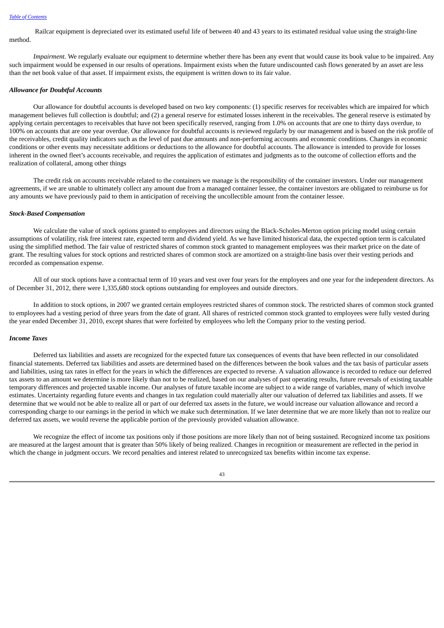Railcar equipment is depreciated over its estimated useful life of between 40 and 43 years to its estimated residual value using the straight-line method.

*Impairment*. We regularly evaluate our equipment to determine whether there has been any event that would cause its book value to be impaired. Any such impairment would be expensed in our results of operations. Impairment exists when the future undiscounted cash flows generated by an asset are less than the net book value of that asset. If impairment exists, the equipment is written down to its fair value.

### *Allowance for Doubtful Accounts*

Our allowance for doubtful accounts is developed based on two key components: (1) specific reserves for receivables which are impaired for which management believes full collection is doubtful; and (2) a general reserve for estimated losses inherent in the receivables. The general reserve is estimated by applying certain percentages to receivables that have not been specifically reserved, ranging from 1.0% on accounts that are one to thirty days overdue, to 100% on accounts that are one year overdue. Our allowance for doubtful accounts is reviewed regularly by our management and is based on the risk profile of the receivables, credit quality indicators such as the level of past due amounts and non-performing accounts and economic conditions. Changes in economic conditions or other events may necessitate additions or deductions to the allowance for doubtful accounts. The allowance is intended to provide for losses inherent in the owned fleet's accounts receivable, and requires the application of estimates and judgments as to the outcome of collection efforts and the realization of collateral, among other things

The credit risk on accounts receivable related to the containers we manage is the responsibility of the container investors. Under our management agreements, if we are unable to ultimately collect any amount due from a managed container lessee, the container investors are obligated to reimburse us for any amounts we have previously paid to them in anticipation of receiving the uncollectible amount from the container lessee.

#### *Stock-Based Compensation*

We calculate the value of stock options granted to employees and directors using the Black-Scholes-Merton option pricing model using certain assumptions of volatility, risk free interest rate, expected term and dividend yield. As we have limited historical data, the expected option term is calculated using the simplified method. The fair value of restricted shares of common stock granted to management employees was their market price on the date of grant. The resulting values for stock options and restricted shares of common stock are amortized on a straight-line basis over their vesting periods and recorded as compensation expense.

All of our stock options have a contractual term of 10 years and vest over four years for the employees and one year for the independent directors. As of December 31, 2012, there were 1,335,680 stock options outstanding for employees and outside directors.

In addition to stock options, in 2007 we granted certain employees restricted shares of common stock. The restricted shares of common stock granted to employees had a vesting period of three years from the date of grant. All shares of restricted common stock granted to employees were fully vested during the year ended December 31, 2010, except shares that were forfeited by employees who left the Company prior to the vesting period.

### *Income Taxes*

Deferred tax liabilities and assets are recognized for the expected future tax consequences of events that have been reflected in our consolidated financial statements. Deferred tax liabilities and assets are determined based on the differences between the book values and the tax basis of particular assets and liabilities, using tax rates in effect for the years in which the differences are expected to reverse. A valuation allowance is recorded to reduce our deferred tax assets to an amount we determine is more likely than not to be realized, based on our analyses of past operating results, future reversals of existing taxable temporary differences and projected taxable income. Our analyses of future taxable income are subject to a wide range of variables, many of which involve estimates. Uncertainty regarding future events and changes in tax regulation could materially alter our valuation of deferred tax liabilities and assets. If we determine that we would not be able to realize all or part of our deferred tax assets in the future, we would increase our valuation allowance and record a corresponding charge to our earnings in the period in which we make such determination. If we later determine that we are more likely than not to realize our deferred tax assets, we would reverse the applicable portion of the previously provided valuation allowance.

We recognize the effect of income tax positions only if those positions are more likely than not of being sustained. Recognized income tax positions are measured at the largest amount that is greater than 50% likely of being realized. Changes in recognition or measurement are reflected in the period in which the change in judgment occurs. We record penalties and interest related to unrecognized tax benefits within income tax expense.

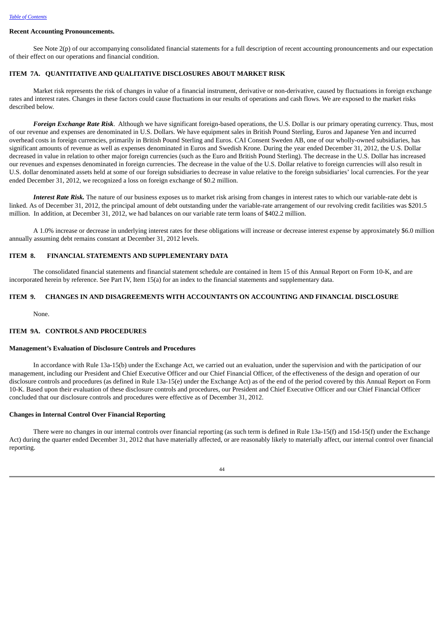#### **Recent Accounting Pronouncements.**

See Note 2(p) of our accompanying consolidated financial statements for a full description of recent accounting pronouncements and our expectation of their effect on our operations and financial condition.

### **ITEM 7A. QUANTITATIVE AND QUALITATIVE DISCLOSURES ABOUT MARKET RISK**

Market risk represents the risk of changes in value of a financial instrument, derivative or non-derivative, caused by fluctuations in foreign exchange rates and interest rates. Changes in these factors could cause fluctuations in our results of operations and cash flows. We are exposed to the market risks described below.

*Foreign Exchange Rate Risk*. Although we have significant foreign-based operations, the U.S. Dollar is our primary operating currency. Thus, most of our revenue and expenses are denominated in U.S. Dollars. We have equipment sales in British Pound Sterling, Euros and Japanese Yen and incurred overhead costs in foreign currencies, primarily in British Pound Sterling and Euros. CAI Consent Sweden AB, one of our wholly-owned subsidiaries, has significant amounts of revenue as well as expenses denominated in Euros and Swedish Krone. During the year ended December 31, 2012, the U.S. Dollar decreased in value in relation to other major foreign currencies (such as the Euro and British Pound Sterling). The decrease in the U.S. Dollar has increased our revenues and expenses denominated in foreign currencies. The decrease in the value of the U.S. Dollar relative to foreign currencies will also result in U.S. dollar denominated assets held at some of our foreign subsidiaries to decrease in value relative to the foreign subsidiaries' local currencies. For the year ended December 31, 2012, we recognized a loss on foreign exchange of \$0.2 million.

*Interest Rate Risk.* The nature of our business exposes us to market risk arising from changes in interest rates to which our variable-rate debt is linked. As of December 31, 2012, the principal amount of debt outstanding under the variable-rate arrangement of our revolving credit facilities was \$201.5 million. In addition, at December 31, 2012, we had balances on our variable rate term loans of \$402.2 million.

A 1.0% increase or decrease in underlying interest rates for these obligations will increase or decrease interest expense by approximately \$6.0 million annually assuming debt remains constant at December 31, 2012 levels.

#### **ITEM 8. FINANCIAL STATEMENTS AND SUPPLEMENTARY DATA**

The consolidated financial statements and financial statement schedule are contained in Item 15 of this Annual Report on Form 10-K, and are incorporated herein by reference. See Part IV, Item 15(a) for an index to the financial statements and supplementary data.

## **ITEM 9. CHANGES IN AND DISAGREEMENTS WITH ACCOUNTANTS ON ACCOUNTING AND FINANCIAL DISCLOSURE**

None.

# **ITEM 9A. CONTROLS AND PROCEDURES**

### **Management's Evaluation of Disclosure Controls and Procedures**

In accordance with Rule 13a-15(b) under the Exchange Act, we carried out an evaluation, under the supervision and with the participation of our management, including our President and Chief Executive Officer and our Chief Financial Officer, of the effectiveness of the design and operation of our disclosure controls and procedures (as defined in Rule 13a-15(e) under the Exchange Act) as of the end of the period covered by this Annual Report on Form 10-K. Based upon their evaluation of these disclosure controls and procedures, our President and Chief Executive Officer and our Chief Financial Officer concluded that our disclosure controls and procedures were effective as of December 31, 2012.

### **Changes in Internal Control Over Financial Reporting**

There were no changes in our internal controls over financial reporting (as such term is defined in Rule 13a-15(f) and 15d-15(f) under the Exchange Act) during the quarter ended December 31, 2012 that have materially affected, or are reasonably likely to materially affect, our internal control over financial reporting.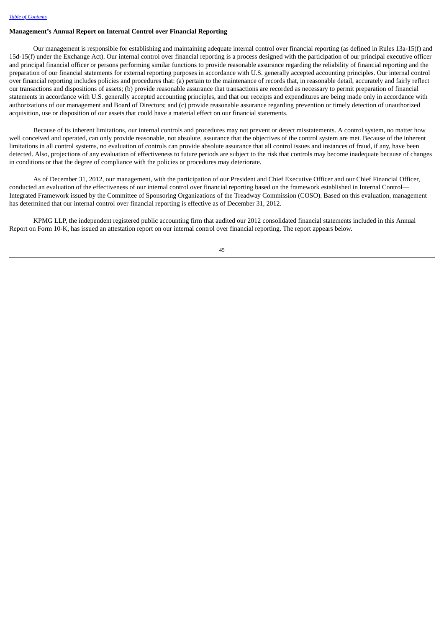## **Management's Annual Report on Internal Control over Financial Reporting**

Our management is responsible for establishing and maintaining adequate internal control over financial reporting (as defined in Rules 13a-15(f) and 15d-15(f) under the Exchange Act). Our internal control over financial reporting is a process designed with the participation of our principal executive officer and principal financial officer or persons performing similar functions to provide reasonable assurance regarding the reliability of financial reporting and the preparation of our financial statements for external reporting purposes in accordance with U.S. generally accepted accounting principles. Our internal control over financial reporting includes policies and procedures that: (a) pertain to the maintenance of records that, in reasonable detail, accurately and fairly reflect our transactions and dispositions of assets; (b) provide reasonable assurance that transactions are recorded as necessary to permit preparation of financial statements in accordance with U.S. generally accepted accounting principles, and that our receipts and expenditures are being made only in accordance with authorizations of our management and Board of Directors; and (c) provide reasonable assurance regarding prevention or timely detection of unauthorized acquisition, use or disposition of our assets that could have a material effect on our financial statements.

Because of its inherent limitations, our internal controls and procedures may not prevent or detect misstatements. A control system, no matter how well conceived and operated, can only provide reasonable, not absolute, assurance that the objectives of the control system are met. Because of the inherent limitations in all control systems, no evaluation of controls can provide absolute assurance that all control issues and instances of fraud, if any, have been detected. Also, projections of any evaluation of effectiveness to future periods are subject to the risk that controls may become inadequate because of changes in conditions or that the degree of compliance with the policies or procedures may deteriorate.

As of December 31, 2012, our management, with the participation of our President and Chief Executive Officer and our Chief Financial Officer, conducted an evaluation of the effectiveness of our internal control over financial reporting based on the framework established in Internal Control— Integrated Framework issued by the Committee of Sponsoring Organizations of the Treadway Commission (COSO). Based on this evaluation, management has determined that our internal control over financial reporting is effective as of December 31, 2012.

KPMG LLP, the independent registered public accounting firm that audited our 2012 consolidated financial statements included in this Annual Report on Form 10-K, has issued an attestation report on our internal control over financial reporting. The report appears below.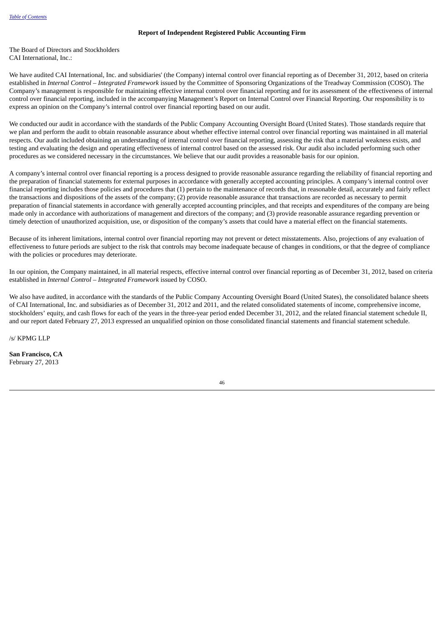#### **Report of Independent Registered Public Accounting Firm**

The Board of Directors and Stockholders CAI International, Inc.:

We have audited CAI International, Inc. and subsidiaries' (the Company) internal control over financial reporting as of December 31, 2012, based on criteria established in *Internal Control – Integrated Framework* issued by the Committee of Sponsoring Organizations of the Treadway Commission (COSO). The Company's management is responsible for maintaining effective internal control over financial reporting and for its assessment of the effectiveness of internal control over financial reporting, included in the accompanying Management's Report on Internal Control over Financial Reporting. Our responsibility is to express an opinion on the Company's internal control over financial reporting based on our audit.

We conducted our audit in accordance with the standards of the Public Company Accounting Oversight Board (United States). Those standards require that we plan and perform the audit to obtain reasonable assurance about whether effective internal control over financial reporting was maintained in all material respects. Our audit included obtaining an understanding of internal control over financial reporting, assessing the risk that a material weakness exists, and testing and evaluating the design and operating effectiveness of internal control based on the assessed risk. Our audit also included performing such other procedures as we considered necessary in the circumstances. We believe that our audit provides a reasonable basis for our opinion.

A company's internal control over financial reporting is a process designed to provide reasonable assurance regarding the reliability of financial reporting and the preparation of financial statements for external purposes in accordance with generally accepted accounting principles. A company's internal control over financial reporting includes those policies and procedures that (1) pertain to the maintenance of records that, in reasonable detail, accurately and fairly reflect the transactions and dispositions of the assets of the company; (2) provide reasonable assurance that transactions are recorded as necessary to permit preparation of financial statements in accordance with generally accepted accounting principles, and that receipts and expenditures of the company are being made only in accordance with authorizations of management and directors of the company; and (3) provide reasonable assurance regarding prevention or timely detection of unauthorized acquisition, use, or disposition of the company's assets that could have a material effect on the financial statements.

Because of its inherent limitations, internal control over financial reporting may not prevent or detect misstatements. Also, projections of any evaluation of effectiveness to future periods are subject to the risk that controls may become inadequate because of changes in conditions, or that the degree of compliance with the policies or procedures may deteriorate.

In our opinion, the Company maintained, in all material respects, effective internal control over financial reporting as of December 31, 2012, based on criteria established in *Internal Control – Integrated Framework* issued by COSO.

We also have audited, in accordance with the standards of the Public Company Accounting Oversight Board (United States), the consolidated balance sheets of CAI International, Inc. and subsidiaries as of December 31, 2012 and 2011, and the related consolidated statements of income, comprehensive income, stockholders' equity, and cash flows for each of the years in the three-year period ended December 31, 2012, and the related financial statement schedule II, and our report dated February 27, 2013 expressed an unqualified opinion on those consolidated financial statements and financial statement schedule.

/s/ KPMG LLP

**San Francisco, CA** February 27, 2013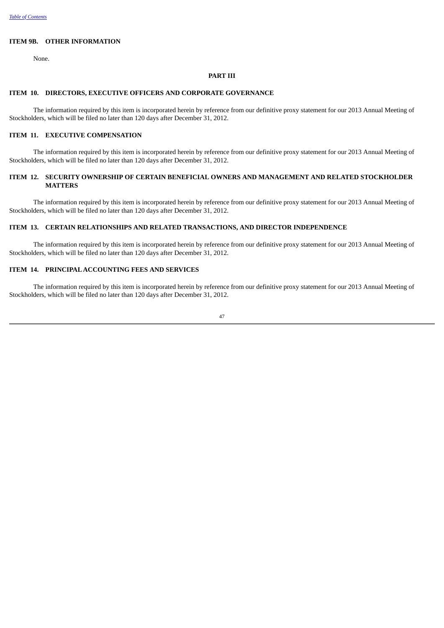#### **ITEM 9B. OTHER INFORMATION**

None.

#### **PART III**

#### **ITEM 10. DIRECTORS, EXECUTIVE OFFICERS AND CORPORATE GOVERNANCE**

The information required by this item is incorporated herein by reference from our definitive proxy statement for our 2013 Annual Meeting of Stockholders, which will be filed no later than 120 days after December 31, 2012.

# **ITEM 11. EXECUTIVE COMPENSATION**

The information required by this item is incorporated herein by reference from our definitive proxy statement for our 2013 Annual Meeting of Stockholders, which will be filed no later than 120 days after December 31, 2012.

# **ITEM 12. SECURITY OWNERSHIP OF CERTAIN BENEFICIAL OWNERS AND MANAGEMENT AND RELATED STOCKHOLDER MATTERS**

The information required by this item is incorporated herein by reference from our definitive proxy statement for our 2013 Annual Meeting of Stockholders, which will be filed no later than 120 days after December 31, 2012.

## **ITEM 13. CERTAIN RELATIONSHIPS AND RELATED TRANSACTIONS, AND DIRECTOR INDEPENDENCE**

The information required by this item is incorporated herein by reference from our definitive proxy statement for our 2013 Annual Meeting of Stockholders, which will be filed no later than 120 days after December 31, 2012.

### **ITEM 14. PRINCIPALACCOUNTING FEES AND SERVICES**

The information required by this item is incorporated herein by reference from our definitive proxy statement for our 2013 Annual Meeting of Stockholders, which will be filed no later than 120 days after December 31, 2012.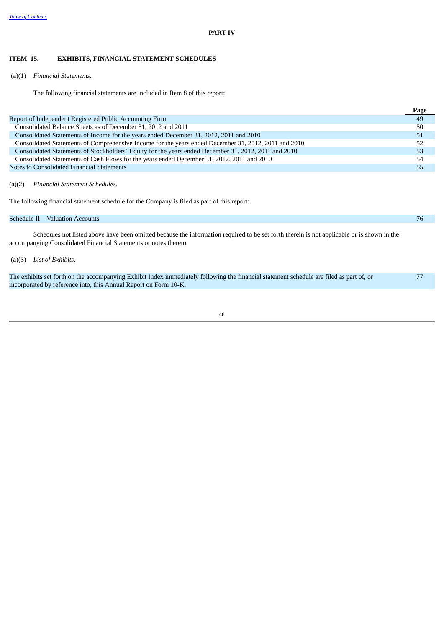# **ITEM 15. EXHIBITS, FINANCIAL STATEMENT SCHEDULES**

(a)(1) *Financial Statements*.

The following financial statements are included in Item 8 of this report:

|                                                                                                      | Page |
|------------------------------------------------------------------------------------------------------|------|
| Report of Independent Registered Public Accounting Firm                                              | 49   |
| Consolidated Balance Sheets as of December 31, 2012 and 2011                                         | 50   |
| Consolidated Statements of Income for the years ended December 31, 2012, 2011 and 2010               | 51   |
| Consolidated Statements of Comprehensive Income for the years ended December 31, 2012, 2011 and 2010 | 52   |
| Consolidated Statements of Stockholders' Equity for the years ended December 31, 2012, 2011 and 2010 | 53   |
| Consolidated Statements of Cash Flows for the years ended December 31, 2012, 2011 and 2010           | 54   |
| Notes to Consolidated Financial Statements                                                           | 55   |

(a)(2) *Financial Statement Schedules.*

The following financial statement schedule for the Company is filed as part of this report:

| <b>Schedule II-Valuation Accounts</b>                                                                                                                                                                          | 76 |
|----------------------------------------------------------------------------------------------------------------------------------------------------------------------------------------------------------------|----|
| Schedules not listed above have been omitted because the information required to be set forth therein is not applicable or is shown in the<br>accompanying Consolidated Financial Statements or notes thereto. |    |
| List of Exhibits.<br>(a)(3)                                                                                                                                                                                    |    |
| The exhibits set forth on the accompanying Exhibit Index immediately following the financial statement schedule are filed as part of, or<br>incorporated by reference into, this Annual Report on Form 10-K.   |    |
|                                                                                                                                                                                                                |    |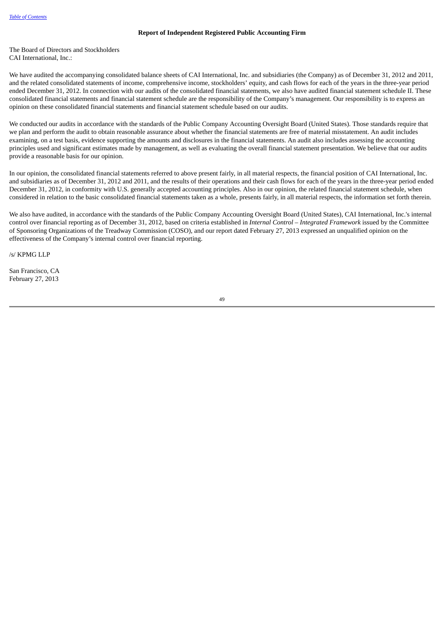### **Report of Independent Registered Public Accounting Firm**

The Board of Directors and Stockholders CAI International, Inc.:

We have audited the accompanying consolidated balance sheets of CAI International, Inc. and subsidiaries (the Company) as of December 31, 2012 and 2011, and the related consolidated statements of income, comprehensive income, stockholders' equity, and cash flows for each of the years in the three-year period ended December 31, 2012. In connection with our audits of the consolidated financial statements, we also have audited financial statement schedule II. These consolidated financial statements and financial statement schedule are the responsibility of the Company's management. Our responsibility is to express an opinion on these consolidated financial statements and financial statement schedule based on our audits.

We conducted our audits in accordance with the standards of the Public Company Accounting Oversight Board (United States). Those standards require that we plan and perform the audit to obtain reasonable assurance about whether the financial statements are free of material misstatement. An audit includes examining, on a test basis, evidence supporting the amounts and disclosures in the financial statements. An audit also includes assessing the accounting principles used and significant estimates made by management, as well as evaluating the overall financial statement presentation. We believe that our audits provide a reasonable basis for our opinion.

In our opinion, the consolidated financial statements referred to above present fairly, in all material respects, the financial position of CAI International, Inc. and subsidiaries as of December 31, 2012 and 2011, and the results of their operations and their cash flows for each of the years in the three-year period ended December 31, 2012, in conformity with U.S. generally accepted accounting principles. Also in our opinion, the related financial statement schedule, when considered in relation to the basic consolidated financial statements taken as a whole, presents fairly, in all material respects, the information set forth therein.

We also have audited, in accordance with the standards of the Public Company Accounting Oversight Board (United States), CAI International, Inc.'s internal control over financial reporting as of December 31, 2012, based on criteria established in *Internal Control – Integrated Framework* issued by the Committee of Sponsoring Organizations of the Treadway Commission (COSO), and our report dated February 27, 2013 expressed an unqualified opinion on the effectiveness of the Company's internal control over financial reporting.

/s/ KPMG LLP

San Francisco, CA February 27, 2013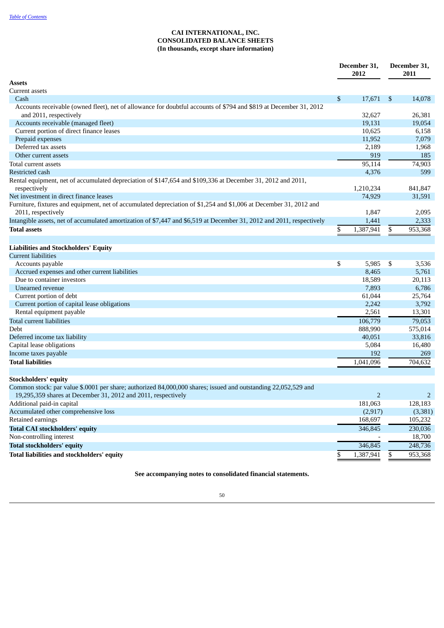# **CAI INTERNATIONAL, INC. CONSOLIDATED BALANCE SHEETS (In thousands, except share information)**

|                                                                                                                                          |    | December 31,<br>2012 |                           | December 31,<br>2011 |  |
|------------------------------------------------------------------------------------------------------------------------------------------|----|----------------------|---------------------------|----------------------|--|
| Assets                                                                                                                                   |    |                      |                           |                      |  |
| Current assets                                                                                                                           |    |                      |                           |                      |  |
| Cash                                                                                                                                     | \$ | 17,671               | $\boldsymbol{\mathsf{S}}$ | 14,078               |  |
| Accounts receivable (owned fleet), net of allowance for doubtful accounts of \$794 and \$819 at December 31, 2012                        |    |                      |                           |                      |  |
| and 2011, respectively                                                                                                                   |    | 32,627               |                           | 26,381               |  |
| Accounts receivable (managed fleet)                                                                                                      |    | 19,131               |                           | 19,054               |  |
| Current portion of direct finance leases                                                                                                 |    | 10,625               |                           | 6,158                |  |
| Prepaid expenses                                                                                                                         |    | 11,952               |                           | 7,079                |  |
| Deferred tax assets                                                                                                                      |    | 2,189                |                           | 1,968                |  |
| Other current assets                                                                                                                     |    | 919                  |                           | 185                  |  |
| <b>Total current assets</b>                                                                                                              |    | 95,114               |                           | 74,903               |  |
| Restricted cash                                                                                                                          |    | 4,376                |                           | 599                  |  |
| Rental equipment, net of accumulated depreciation of \$147,654 and \$109,336 at December 31, 2012 and 2011,                              |    |                      |                           |                      |  |
| respectively                                                                                                                             |    | 1,210,234            |                           | 841,847              |  |
| Net investment in direct finance leases                                                                                                  |    | 74,929               |                           | 31,591               |  |
| Furniture, fixtures and equipment, net of accumulated depreciation of \$1,254 and \$1,006 at December 31, 2012 and<br>2011, respectively |    | 1,847                |                           | 2,095                |  |
| Intangible assets, net of accumulated amortization of \$7,447 and \$6,519 at December 31, 2012 and 2011, respectively                    |    | 1,441                |                           | 2,333                |  |
| <b>Total assets</b>                                                                                                                      | \$ | 1,387,941            | \$                        | 953,368              |  |
|                                                                                                                                          |    |                      |                           |                      |  |
| <b>Liabilities and Stockholders' Equity</b>                                                                                              |    |                      |                           |                      |  |
| <b>Current liabilities</b>                                                                                                               |    |                      |                           |                      |  |
| Accounts payable                                                                                                                         | \$ | 5,985                | \$                        | 3,536                |  |
| Accrued expenses and other current liabilities                                                                                           |    | 8,465                |                           | 5,761                |  |
| Due to container investors                                                                                                               |    | 18,589               |                           | 20,113               |  |
| Unearned revenue                                                                                                                         |    | 7,893                |                           | 6,786                |  |
| Current portion of debt                                                                                                                  |    | 61,044               |                           | 25,764               |  |
| Current portion of capital lease obligations                                                                                             |    | 2,242                |                           | 3,792                |  |
| Rental equipment payable                                                                                                                 |    | 2,561                |                           | 13,301               |  |
| Total current liabilities                                                                                                                |    | 106,779              |                           | 79,053               |  |
| Debt                                                                                                                                     |    | 888,990              |                           | 575,014              |  |
| Deferred income tax liability                                                                                                            |    | 40,051               |                           | 33,816               |  |
| Capital lease obligations                                                                                                                |    | 5,084                |                           | 16,480               |  |
| Income taxes payable                                                                                                                     |    | 192                  |                           | 269                  |  |
| <b>Total liabilities</b>                                                                                                                 |    | 1,041,096            |                           | 704,632              |  |
|                                                                                                                                          |    |                      |                           |                      |  |
| <b>Stockholders' equity</b>                                                                                                              |    |                      |                           |                      |  |
| Common stock: par value \$.0001 per share; authorized 84,000,000 shares; issued and outstanding 22,052,529 and                           |    |                      |                           |                      |  |
| 19,295,359 shares at December 31, 2012 and 2011, respectively                                                                            |    | 2                    |                           | 2                    |  |
| Additional paid-in capital                                                                                                               |    | 181,063              |                           | 128,183              |  |
| Accumulated other comprehensive loss                                                                                                     |    | (2, 917)             |                           | (3, 381)             |  |
| Retained earnings                                                                                                                        |    | 168,697              |                           | 105,232              |  |
| <b>Total CAI stockholders' equity</b>                                                                                                    |    | 346,845              |                           | 230,036              |  |
| Non-controlling interest                                                                                                                 |    |                      |                           | 18,700               |  |
| <b>Total stockholders' equity</b>                                                                                                        |    | 346,845              |                           | 248,736              |  |
| <b>Total liabilities and stockholders' equity</b>                                                                                        | \$ | 1,387,941            | \$                        | 953,368              |  |
|                                                                                                                                          |    |                      |                           |                      |  |

**See accompanying notes to consolidated financial statements.**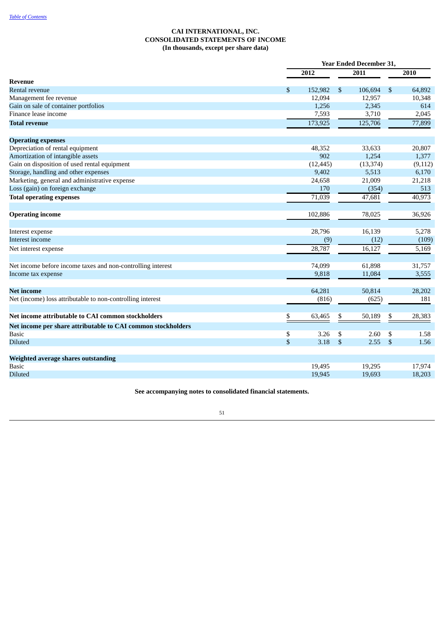# **CAI INTERNATIONAL, INC. CONSOLIDATED STATEMENTS OF INCOME (In thousands, except per share data)**

|                                                              |              | <b>Year Ended December 31,</b> |                    |           |    |          |  |  |  |
|--------------------------------------------------------------|--------------|--------------------------------|--------------------|-----------|----|----------|--|--|--|
|                                                              |              | 2012                           |                    | 2011      |    | 2010     |  |  |  |
| <b>Revenue</b>                                               |              |                                |                    |           |    |          |  |  |  |
| Rental revenue                                               | \$           | 152,982                        | $\mathbb{S}$       | 106,694   | \$ | 64,892   |  |  |  |
| Management fee revenue                                       |              | 12,094                         |                    | 12,957    |    | 10,348   |  |  |  |
| Gain on sale of container portfolios                         |              | 1,256                          |                    | 2,345     |    | 614      |  |  |  |
| Finance lease income                                         |              | 7,593                          |                    | 3,710     |    | 2,045    |  |  |  |
| <b>Total revenue</b>                                         |              | 173,925                        |                    | 125,706   |    | 77,899   |  |  |  |
| <b>Operating expenses</b>                                    |              |                                |                    |           |    |          |  |  |  |
| Depreciation of rental equipment                             |              | 48,352                         |                    | 33,633    |    | 20,807   |  |  |  |
| Amortization of intangible assets                            |              | 902                            |                    | 1,254     |    | 1,377    |  |  |  |
| Gain on disposition of used rental equipment                 |              | (12, 445)                      |                    | (13, 374) |    | (9, 112) |  |  |  |
| Storage, handling and other expenses                         |              | 9,402                          |                    | 5,513     |    | 6,170    |  |  |  |
| Marketing, general and administrative expense                |              | 24,658                         |                    | 21,009    |    | 21,218   |  |  |  |
| Loss (gain) on foreign exchange                              |              | 170                            |                    | (354)     |    | 513      |  |  |  |
| <b>Total operating expenses</b>                              |              | 71,039                         |                    | 47,681    |    | 40,973   |  |  |  |
| <b>Operating income</b>                                      |              | 102,886                        |                    | 78,025    |    | 36,926   |  |  |  |
| Interest expense                                             |              | 28,796                         |                    | 16,139    |    | 5,278    |  |  |  |
| Interest income                                              |              | (9)                            |                    | (12)      |    | (109)    |  |  |  |
| Net interest expense                                         |              | 28,787                         |                    | 16,127    |    | 5,169    |  |  |  |
| Net income before income taxes and non-controlling interest  |              | 74,099                         |                    | 61,898    |    | 31,757   |  |  |  |
| Income tax expense                                           |              | 9,818                          |                    | 11,084    |    | 3,555    |  |  |  |
| <b>Net income</b>                                            |              | 64,281                         |                    | 50,814    |    | 28,202   |  |  |  |
| Net (income) loss attributable to non-controlling interest   |              | (816)                          |                    | (625)     |    | 181      |  |  |  |
| Net income attributable to CAI common stockholders           | \$           | 63,465                         | \$                 | 50,189    | \$ | 28,383   |  |  |  |
| Net income per share attributable to CAI common stockholders |              |                                |                    |           |    |          |  |  |  |
| <b>Basic</b>                                                 | \$           | 3.26                           | \$                 | 2.60      | \$ | 1.58     |  |  |  |
| <b>Diluted</b>                                               | $\mathbb{S}$ | 3.18                           | $\mathbf{\hat{S}}$ | 2.55      | \$ | 1.56     |  |  |  |
| Weighted average shares outstanding                          |              |                                |                    |           |    |          |  |  |  |
| <b>Basic</b>                                                 |              | 19,495                         |                    | 19,295    |    | 17,974   |  |  |  |
| <b>Diluted</b>                                               |              | 19,945                         |                    | 19,693    |    | 18,203   |  |  |  |

**See accompanying notes to consolidated financial statements.**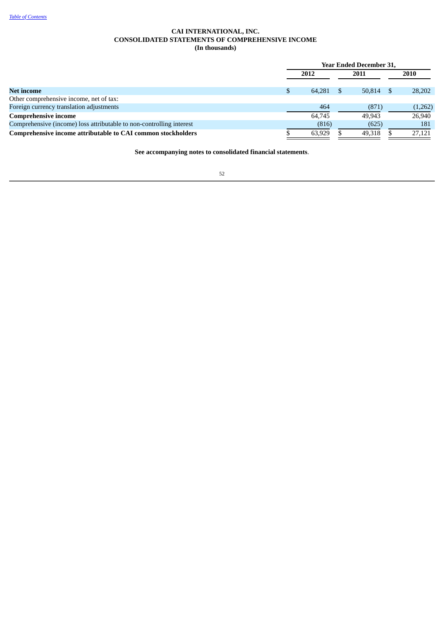## **CAI INTERNATIONAL, INC. CONSOLIDATED STATEMENTS OF COMPREHENSIVE INCOME (In thousands)**

|                                                                      | <b>Year Ended December 31,</b> |        |  |        |  |         |  |  |  |
|----------------------------------------------------------------------|--------------------------------|--------|--|--------|--|---------|--|--|--|
|                                                                      |                                | 2012   |  | 2011   |  | 2010    |  |  |  |
| <b>Net income</b>                                                    |                                | 64.281 |  | 50.814 |  | 28,202  |  |  |  |
| Other comprehensive income, net of tax:                              |                                |        |  |        |  |         |  |  |  |
| Foreign currency translation adjustments                             |                                | 464    |  | (871)  |  | (1,262) |  |  |  |
| <b>Comprehensive income</b>                                          |                                | 64,745 |  | 49.943 |  | 26,940  |  |  |  |
| Comprehensive (income) loss attributable to non-controlling interest |                                | (816)  |  | (625)  |  | 181     |  |  |  |
| Comprehensive income attributable to CAI common stockholders         |                                | 63.929 |  | 49,318 |  | 27,121  |  |  |  |

**See accompanying notes to consolidated financial statements**.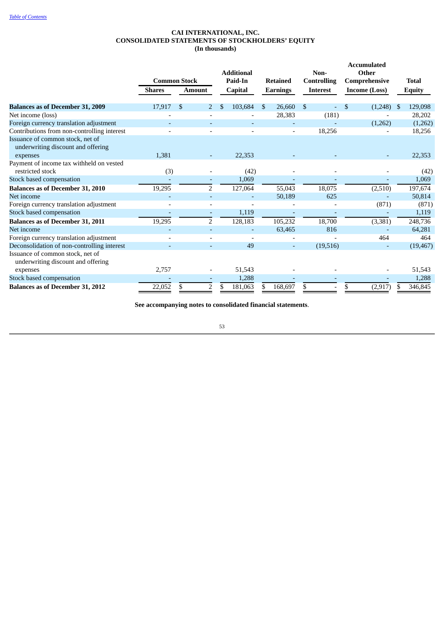# **CAI INTERNATIONAL, INC. CONSOLIDATED STATEMENTS OF STOCKHOLDERS' EQUITY (In thousands)**

|                                                                                    |                | <b>Common Stock</b> | <b>Additional</b><br>Paid-In | <b>Retained</b>          | Non-<br><b>Controlling</b> | <b>Accumulated</b><br>Other<br>Comprehensive | <b>Total</b>    |
|------------------------------------------------------------------------------------|----------------|---------------------|------------------------------|--------------------------|----------------------------|----------------------------------------------|-----------------|
|                                                                                    | <b>Shares</b>  | <b>Amount</b>       | Capital                      | Earnings                 | <b>Interest</b>            | Income (Loss)                                | <b>Equity</b>   |
| <b>Balances as of December 31, 2009</b>                                            | 17,917         | \$<br>2             | 103,684<br>\$.               | 26,660<br>\$             | \$                         | \$<br>(1,248)                                | 129,098<br>- \$ |
| Net income (loss)                                                                  |                |                     |                              | 28,383                   | (181)                      |                                              | 28,202          |
| Foreign currency translation adjustment                                            |                |                     |                              |                          |                            | (1,262)                                      | (1,262)         |
| Contributions from non-controlling interest                                        |                |                     | -                            | $\overline{\phantom{a}}$ | 18,256                     |                                              | 18,256          |
| Issuance of common stock, net of<br>underwriting discount and offering<br>expenses | 1,381          |                     | 22,353                       |                          |                            |                                              | 22,353          |
| Payment of income tax withheld on vested                                           |                |                     |                              |                          |                            |                                              |                 |
| restricted stock                                                                   | (3)            |                     | (42)                         |                          |                            |                                              | (42)            |
| Stock based compensation                                                           |                |                     | 1,069                        |                          |                            |                                              | 1,069           |
| <b>Balances as of December 31, 2010</b>                                            | 19,295         | $\overline{2}$      | 127,064                      | 55,043                   | 18,075                     | (2,510)                                      | 197,674         |
| Net income                                                                         |                |                     | $\blacksquare$               | 50,189                   | 625                        |                                              | 50,814          |
| Foreign currency translation adjustment                                            | $\blacksquare$ |                     | $\overline{\phantom{a}}$     |                          |                            | (871)                                        | (871)           |
| Stock based compensation                                                           |                |                     | 1,119                        |                          |                            |                                              | 1,119           |
| <b>Balances as of December 31, 2011</b>                                            | 19,295         | 2                   | 128,183                      | 105,232                  | 18,700                     | (3, 381)                                     | 248,736         |
| Net income                                                                         |                |                     |                              | 63,465                   | 816                        |                                              | 64,281          |
| Foreign currency translation adjustment                                            |                |                     |                              |                          |                            | 464                                          | 464             |
| Deconsolidation of non-controlling interest                                        |                |                     | 49                           | $\overline{\phantom{a}}$ | (19,516)                   |                                              | (19, 467)       |
| Issuance of common stock, net of<br>underwriting discount and offering             |                |                     |                              |                          |                            |                                              |                 |
| expenses                                                                           | 2,757          |                     | 51,543                       |                          |                            |                                              | 51,543          |
| Stock based compensation                                                           |                |                     | 1,288                        |                          |                            |                                              | 1,288           |
| <b>Balances as of December 31, 2012</b>                                            | 22,052         | 2<br>\$             | 181,063<br>\$                | 168,697                  | \$                         | \$<br>(2, 917)                               | 346,845<br>S    |

**See accompanying notes to consolidated financial statements**.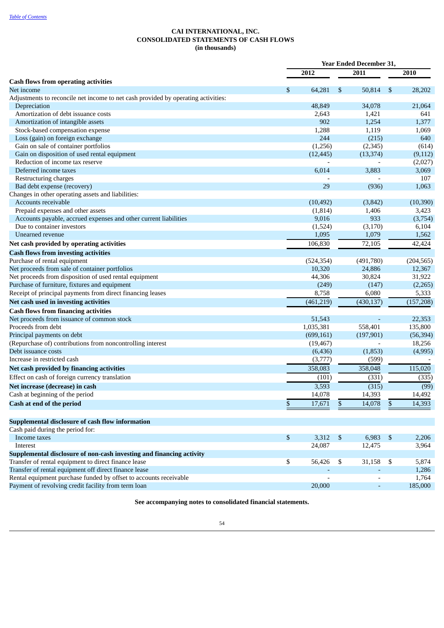# **CAI INTERNATIONAL, INC. CONSOLIDATED STATEMENTS OF CASH FLOWS (in thousands)**

|                                                                                                | <b>Year Ended December 31,</b> |            |    |                          |    |            |  |  |
|------------------------------------------------------------------------------------------------|--------------------------------|------------|----|--------------------------|----|------------|--|--|
|                                                                                                |                                | 2012       |    | 2011                     |    | 2010       |  |  |
| <b>Cash flows from operating activities</b>                                                    |                                |            |    |                          |    |            |  |  |
| Net income                                                                                     | \$                             | 64,281     | \$ | 50,814                   | \$ | 28,202     |  |  |
| Adjustments to reconcile net income to net cash provided by operating activities:              |                                |            |    |                          |    |            |  |  |
| Depreciation                                                                                   |                                | 48,849     |    | 34,078                   |    | 21,064     |  |  |
| Amortization of debt issuance costs                                                            |                                | 2,643      |    | 1,421                    |    | 641        |  |  |
| Amortization of intangible assets                                                              |                                | 902        |    | 1,254                    |    | 1,377      |  |  |
| Stock-based compensation expense                                                               |                                | 1,288      |    | 1,119                    |    | 1,069      |  |  |
| Loss (gain) on foreign exchange                                                                |                                | 244        |    | (215)                    |    | 640        |  |  |
| Gain on sale of container portfolios                                                           |                                | (1,256)    |    | (2,345)                  |    | (614)      |  |  |
| Gain on disposition of used rental equipment                                                   |                                | (12, 445)  |    | (13, 374)                |    | (9, 112)   |  |  |
| Reduction of income tax reserve                                                                |                                |            |    |                          |    | (2,027)    |  |  |
| Deferred income taxes                                                                          |                                | 6,014      |    | 3,883                    |    | 3,069      |  |  |
| Restructuring charges                                                                          |                                |            |    |                          |    | 107        |  |  |
| Bad debt expense (recovery)                                                                    |                                | 29         |    | (936)                    |    | 1,063      |  |  |
| Changes in other operating assets and liabilities:                                             |                                |            |    |                          |    |            |  |  |
| Accounts receivable                                                                            |                                | (10, 492)  |    | (3, 842)                 |    | (10,390)   |  |  |
| Prepaid expenses and other assets                                                              |                                | (1,814)    |    | 1,406                    |    | 3,423      |  |  |
|                                                                                                |                                |            |    | 933                      |    |            |  |  |
| Accounts payable, accrued expenses and other current liabilities<br>Due to container investors |                                | 9,016      |    |                          |    | (3,754)    |  |  |
|                                                                                                |                                | (1,524)    |    | (3,170)                  |    | 6,104      |  |  |
| Unearned revenue                                                                               |                                | 1,095      |    | 1,079                    |    | 1,562      |  |  |
| Net cash provided by operating activities                                                      |                                | 106,830    |    | 72,105                   |    | 42,424     |  |  |
| <b>Cash flows from investing activities</b>                                                    |                                |            |    |                          |    |            |  |  |
| Purchase of rental equipment                                                                   |                                | (524, 354) |    | (491,780)                |    | (204, 565) |  |  |
| Net proceeds from sale of container portfolios                                                 |                                | 10,320     |    | 24,886                   |    | 12,367     |  |  |
| Net proceeds from disposition of used rental equipment                                         |                                | 44,306     |    | 30,824                   |    | 31,922     |  |  |
| Purchase of furniture, fixtures and equipment                                                  |                                | (249)      |    | (147)                    |    | (2,265)    |  |  |
| Receipt of principal payments from direct financing leases                                     |                                | 8,758      |    | 6,080                    |    | 5,333      |  |  |
| Net cash used in investing activities                                                          |                                | (461,219)  |    | (430, 137)               |    | (157, 208) |  |  |
| <b>Cash flows from financing activities</b>                                                    |                                |            |    |                          |    |            |  |  |
| Net proceeds from issuance of common stock                                                     |                                | 51,543     |    |                          |    | 22,353     |  |  |
| Proceeds from debt                                                                             |                                | 1,035,381  |    | 558,401                  |    | 135,800    |  |  |
| Principal payments on debt                                                                     |                                | (699, 161) |    | (197,901)                |    | (56, 394)  |  |  |
| (Repurchase of) contributions from noncontrolling interest                                     |                                | (19, 467)  |    |                          |    | 18,256     |  |  |
| Debt issuance costs                                                                            |                                | (6, 436)   |    | (1,853)                  |    | (4,995)    |  |  |
| Increase in restricted cash                                                                    |                                | (3,777)    |    | (599)                    |    |            |  |  |
| Net cash provided by financing activities                                                      |                                | 358,083    |    | 358,048                  |    | 115,020    |  |  |
|                                                                                                |                                |            |    |                          |    |            |  |  |
| Effect on cash of foreign currency translation                                                 |                                | (101)      |    | (331)                    |    | (335)      |  |  |
| Net increase (decrease) in cash                                                                |                                | 3,593      |    | (315)                    |    | (99)       |  |  |
| Cash at beginning of the period                                                                |                                | 14,078     |    | 14,393                   |    | 14,492     |  |  |
| Cash at end of the period                                                                      | \$                             | 17,671     | \$ | 14,078                   | \$ | 14,393     |  |  |
|                                                                                                |                                |            |    |                          |    |            |  |  |
| Supplemental disclosure of cash flow information                                               |                                |            |    |                          |    |            |  |  |
| Cash paid during the period for:                                                               |                                |            |    |                          |    |            |  |  |
| Income taxes                                                                                   | $\$$                           | 3,312      | \$ | 6,983                    | \$ | 2,206      |  |  |
| Interest                                                                                       |                                | 24,087     |    | 12,475                   |    | 3,964      |  |  |
| Supplemental disclosure of non-cash investing and financing activity                           |                                |            |    |                          |    |            |  |  |
| Transfer of rental equipment to direct finance lease                                           | \$                             | 56,426     | \$ | 31,158                   | \$ | 5,874      |  |  |
| Transfer of rental equipment off direct finance lease                                          |                                |            |    |                          |    | 1,286      |  |  |
| Rental equipment purchase funded by offset to accounts receivable                              |                                |            |    |                          |    | 1,764      |  |  |
| Payment of revolving credit facility from term loan                                            |                                | 20,000     |    | $\overline{\phantom{a}}$ |    | 185,000    |  |  |
|                                                                                                |                                |            |    |                          |    |            |  |  |

**See accompanying notes to consolidated financial statements.**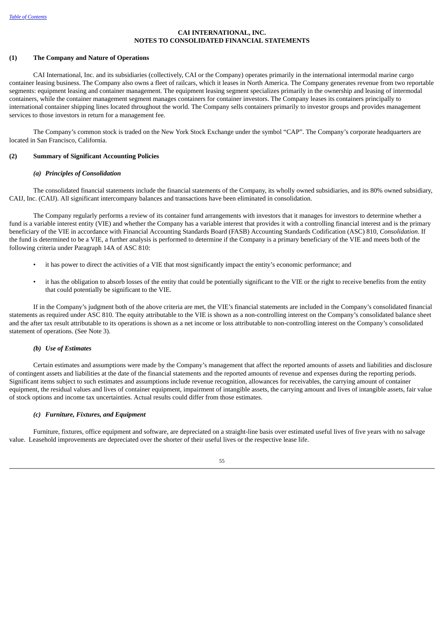### **(1) The Company and Nature of Operations**

CAI International, Inc. and its subsidiaries (collectively, CAI or the Company) operates primarily in the international intermodal marine cargo container leasing business. The Company also owns a fleet of railcars, which it leases in North America. The Company generates revenue from two reportable segments: equipment leasing and container management. The equipment leasing segment specializes primarily in the ownership and leasing of intermodal containers, while the container management segment manages containers for container investors. The Company leases its containers principally to international container shipping lines located throughout the world. The Company sells containers primarily to investor groups and provides management services to those investors in return for a management fee.

The Company's common stock is traded on the New York Stock Exchange under the symbol "CAP". The Company's corporate headquarters are located in San Francisco, California.

#### **(2) Summary of Significant Accounting Policies**

#### *(a) Principles of Consolidation*

The consolidated financial statements include the financial statements of the Company, its wholly owned subsidiaries, and its 80% owned subsidiary, CAIJ, Inc. (CAIJ). All significant intercompany balances and transactions have been eliminated in consolidation.

The Company regularly performs a review of its container fund arrangements with investors that it manages for investors to determine whether a fund is a variable interest entity (VIE) and whether the Company has a variable interest that provides it with a controlling financial interest and is the primary beneficiary of the VIE in accordance with Financial Accounting Standards Board (FASB) Accounting Standards Codification (ASC) 810, *Consolidation*. If the fund is determined to be a VIE, a further analysis is performed to determine if the Company is a primary beneficiary of the VIE and meets both of the following criteria under Paragraph 14A of ASC 810:

- it has power to direct the activities of a VIE that most significantly impact the entity's economic performance; and
- it has the obligation to absorb losses of the entity that could be potentially significant to the VIE or the right to receive benefits from the entity that could potentially be significant to the VIE.

If in the Company's judgment both of the above criteria are met, the VIE's financial statements are included in the Company's consolidated financial statements as required under ASC 810. The equity attributable to the VIE is shown as a non-controlling interest on the Company's consolidated balance sheet and the after tax result attributable to its operations is shown as a net income or loss attributable to non-controlling interest on the Company's consolidated statement of operations. (See Note 3).

# *(b) Use of Estimates*

Certain estimates and assumptions were made by the Company's management that affect the reported amounts of assets and liabilities and disclosure of contingent assets and liabilities at the date of the financial statements and the reported amounts of revenue and expenses during the reporting periods. Significant items subject to such estimates and assumptions include revenue recognition, allowances for receivables, the carrying amount of container equipment, the residual values and lives of container equipment, impairment of intangible assets, the carrying amount and lives of intangible assets, fair value of stock options and income tax uncertainties. Actual results could differ from those estimates.

### *(c) Furniture, Fixtures, and Equipment*

Furniture, fixtures, office equipment and software, are depreciated on a straight-line basis over estimated useful lives of five years with no salvage value. Leasehold improvements are depreciated over the shorter of their useful lives or the respective lease life.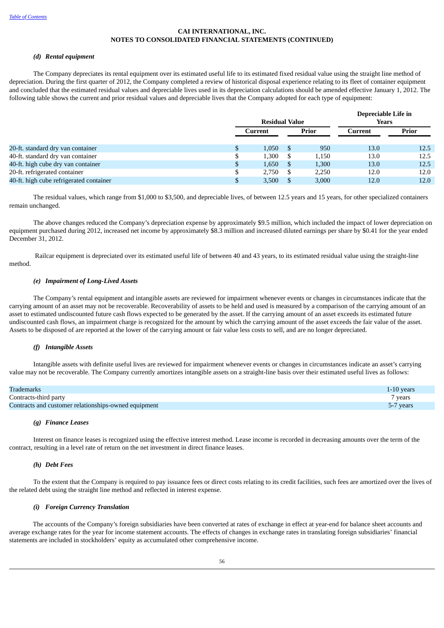#### *(d) Rental equipment*

The Company depreciates its rental equipment over its estimated useful life to its estimated fixed residual value using the straight line method of depreciation. During the first quarter of 2012, the Company completed a review of historical disposal experience relating to its fleet of container equipment and concluded that the estimated residual values and depreciable lives used in its depreciation calculations should be amended effective January 1, 2012. The following table shows the current and prior residual values and depreciable lives that the Company adopted for each type of equipment:

|                                         |              |                       |    |         | Depreciable Life in |      |  |
|-----------------------------------------|--------------|-----------------------|----|---------|---------------------|------|--|
|                                         |              | <b>Residual Value</b> |    |         | <b>Years</b>        |      |  |
|                                         |              | Prior<br>Current      |    | Current | Prior               |      |  |
| 20-ft. standard dry van container       | $\mathbb{S}$ | 1,050                 | -S | 950     | 13.0                | 12.5 |  |
| 40-ft. standard dry van container       | \$           | 1.300                 |    | 1.150   | 13.0                | 12.5 |  |
| 40-ft. high cube dry van container      | \$           | 1,650                 | -S | 1,300   | 13.0                | 12.5 |  |
| 20-ft. refrigerated container           | \$           | 2.750                 | S  | 2.250   | 12.0                | 12.0 |  |
| 40-ft. high cube refrigerated container |              | 3,500                 |    | 3.000   | 12.0                | 12.0 |  |

The residual values, which range from \$1,000 to \$3,500, and depreciable lives, of between 12.5 years and 15 years, for other specialized containers remain unchanged.

The above changes reduced the Company's depreciation expense by approximately \$9.5 million, which included the impact of lower depreciation on equipment purchased during 2012, increased net income by approximately \$8.3 million and increased diluted earnings per share by \$0.41 for the year ended December 31, 2012.

Railcar equipment is depreciated over its estimated useful life of between 40 and 43 years, to its estimated residual value using the straight-line method.

## *(e) Impairment of Long-Lived Assets*

The Company's rental equipment and intangible assets are reviewed for impairment whenever events or changes in circumstances indicate that the carrying amount of an asset may not be recoverable. Recoverability of assets to be held and used is measured by a comparison of the carrying amount of an asset to estimated undiscounted future cash flows expected to be generated by the asset. If the carrying amount of an asset exceeds its estimated future undiscounted cash flows, an impairment charge is recognized for the amount by which the carrying amount of the asset exceeds the fair value of the asset. Assets to be disposed of are reported at the lower of the carrying amount or fair value less costs to sell, and are no longer depreciated.

### *(f) Intangible Assets*

Intangible assets with definite useful lives are reviewed for impairment whenever events or changes in circumstances indicate an asset's carrying value may not be recoverable. The Company currently amortizes intangible assets on a straight-line basis over their estimated useful lives as follows:

| Trademarks                                           | $1-10$ years |
|------------------------------------------------------|--------------|
| Contracts-third party                                | ' years      |
| Contracts and customer relationships-owned equipment | 5-7 years    |

### *(g) Finance Leases*

Interest on finance leases is recognized using the effective interest method. Lease income is recorded in decreasing amounts over the term of the contract, resulting in a level rate of return on the net investment in direct finance leases.

#### *(h) Debt Fees*

To the extent that the Company is required to pay issuance fees or direct costs relating to its credit facilities, such fees are amortized over the lives of the related debt using the straight line method and reflected in interest expense.

### *(i) Foreign Currency Translation*

The accounts of the Company's foreign subsidiaries have been converted at rates of exchange in effect at year-end for balance sheet accounts and average exchange rates for the year for income statement accounts. The effects of changes in exchange rates in translating foreign subsidiaries' financial statements are included in stockholders' equity as accumulated other comprehensive income.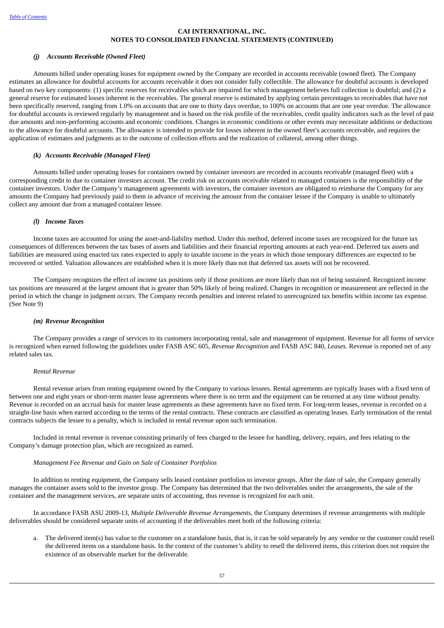### *(j) Accounts Receivable (Owned Fleet)*

Amounts billed under operating leases for equipment owned by the Company are recorded in accounts receivable (owned fleet). The Company estimates an allowance for doubtful accounts for accounts receivable it does not consider fully collectible. The allowance for doubtful accounts is developed based on two key components: (1) specific reserves for receivables which are impaired for which management believes full collection is doubtful; and (2) a general reserve for estimated losses inherent in the receivables. The general reserve is estimated by applying certain percentages to receivables that have not been specifically reserved, ranging from 1.0% on accounts that are one to thirty days overdue, to 100% on accounts that are one year overdue. The allowance for doubtful accounts is reviewed regularly by management and is based on the risk profile of the receivables, credit quality indicators such as the level of past due amounts and non-performing accounts and economic conditions. Changes in economic conditions or other events may necessitate additions or deductions to the allowance for doubtful accounts. The allowance is intended to provide for losses inherent in the owned fleet's accounts receivable, and requires the application of estimates and judgments as to the outcome of collection efforts and the realization of collateral, among other things.

### *(k) Accounts Receivable (Managed Fleet)*

Amounts billed under operating leases for containers owned by container investors are recorded in accounts receivable (managed fleet) with a corresponding credit to due to container investors account. The credit risk on accounts receivable related to managed containers is the responsibility of the container investors. Under the Company's management agreements with investors, the container investors are obligated to reimburse the Company for any amounts the Company had previously paid to them in advance of receiving the amount from the container lessee if the Company is unable to ultimately collect any amount due from a managed container lessee.

#### *(l) Income Taxes*

Income taxes are accounted for using the asset-and-liability method. Under this method, deferred income taxes are recognized for the future tax consequences of differences between the tax bases of assets and liabilities and their financial reporting amounts at each year-end. Deferred tax assets and liabilities are measured using enacted tax rates expected to apply to taxable income in the years in which those temporary differences are expected to be recovered or settled. Valuation allowances are established when it is more likely than not that deferred tax assets will not be recovered.

The Company recognizes the effect of income tax positions only if those positions are more likely than not of being sustained. Recognized income tax positions are measured at the largest amount that is greater than 50% likely of being realized. Changes in recognition or measurement are reflected in the period in which the change in judgment occurs. The Company records penalties and interest related to unrecognized tax benefits within income tax expense. (See Note 9)

#### *(m) Revenue Recognition*

The Company provides a range of services to its customers incorporating rental, sale and management of equipment. Revenue for all forms of service is recognized when earned following the guidelines under FASB ASC 605, *Revenue Recognition* and FASB ASC 840, *Leases*. Revenue is reported net of any related sales tax.

## *Rental Revenue*

Rental revenue arises from renting equipment owned by the Company to various lessees. Rental agreements are typically leases with a fixed term of between one and eight years or short-term master lease agreements where there is no term and the equipment can be returned at any time without penalty. Revenue is recorded on an accrual basis for master lease agreements as these agreements have no fixed term. For long-term leases, revenue is recorded on a straight-line basis when earned according to the terms of the rental contracts. These contracts are classified as operating leases. Early termination of the rental contracts subjects the lessee to a penalty, which is included in rental revenue upon such termination.

Included in rental revenue is revenue consisting primarily of fees charged to the lessee for handling, delivery, repairs, and fees relating to the Company's damage protection plan, which are recognized as earned.

### *Management Fee Revenue and Gain on Sale of Container Portfolios*

In addition to renting equipment, the Company sells leased container portfolios to investor groups. After the date of sale, the Company generally manages the container assets sold to the investor group. The Company has determined that the two deliverables under the arrangements, the sale of the container and the management services, are separate units of accounting, thus revenue is recognized for each unit.

In accordance FASB ASU 2009-13, *Multiple Deliverable Revenue Arrangements*, the Company determines if revenue arrangements with multiple deliverables should be considered separate units of accounting if the deliverables meet both of the following criteria:

a. The delivered item(s) has value to the customer on a standalone basis, that is, it can be sold separately by any vendor or the customer could resell the delivered items on a standalone basis. In the context of the customer's ability to resell the delivered items, this criterion does not require the existence of an observable market for the deliverable.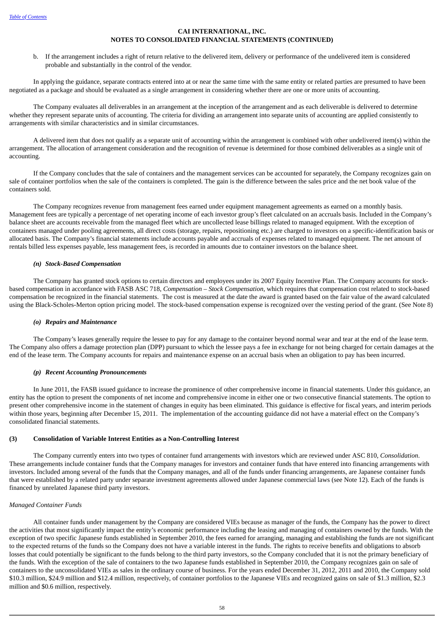b. If the arrangement includes a right of return relative to the delivered item, delivery or performance of the undelivered item is considered probable and substantially in the control of the vendor.

In applying the guidance, separate contracts entered into at or near the same time with the same entity or related parties are presumed to have been negotiated as a package and should be evaluated as a single arrangement in considering whether there are one or more units of accounting.

The Company evaluates all deliverables in an arrangement at the inception of the arrangement and as each deliverable is delivered to determine whether they represent separate units of accounting. The criteria for dividing an arrangement into separate units of accounting are applied consistently to arrangements with similar characteristics and in similar circumstances.

A delivered item that does not qualify as a separate unit of accounting within the arrangement is combined with other undelivered item(s) within the arrangement. The allocation of arrangement consideration and the recognition of revenue is determined for those combined deliverables as a single unit of accounting.

If the Company concludes that the sale of containers and the management services can be accounted for separately, the Company recognizes gain on sale of container portfolios when the sale of the containers is completed. The gain is the difference between the sales price and the net book value of the containers sold.

The Company recognizes revenue from management fees earned under equipment management agreements as earned on a monthly basis. Management fees are typically a percentage of net operating income of each investor group's fleet calculated on an accruals basis. Included in the Company's balance sheet are accounts receivable from the managed fleet which are uncollected lease billings related to managed equipment. With the exception of containers managed under pooling agreements, all direct costs (storage, repairs, repositioning etc.) are charged to investors on a specific-identification basis or allocated basis. The Company's financial statements include accounts payable and accruals of expenses related to managed equipment. The net amount of rentals billed less expenses payable, less management fees, is recorded in amounts due to container investors on the balance sheet.

### *(n) Stock-Based Compensation*

The Company has granted stock options to certain directors and employees under its 2007 Equity Incentive Plan. The Company accounts for stockbased compensation in accordance with FASB ASC 718, *Compensation – Stock Compensation*, which requires that compensation cost related to stock-based compensation be recognized in the financial statements. The cost is measured at the date the award is granted based on the fair value of the award calculated using the Black-Scholes-Merton option pricing model. The stock-based compensation expense is recognized over the vesting period of the grant. (See Note 8)

### *(o) Repairs and Maintenance*

The Company's leases generally require the lessee to pay for any damage to the container beyond normal wear and tear at the end of the lease term. The Company also offers a damage protection plan (DPP) pursuant to which the lessee pays a fee in exchange for not being charged for certain damages at the end of the lease term. The Company accounts for repairs and maintenance expense on an accrual basis when an obligation to pay has been incurred.

#### *(p) Recent Accounting Pronouncements*

In June 2011, the FASB issued guidance to increase the prominence of other comprehensive income in financial statements. Under this guidance, an entity has the option to present the components of net income and comprehensive income in either one or two consecutive financial statements. The option to present other comprehensive income in the statement of changes in equity has been eliminated. This guidance is effective for fiscal years, and interim periods within those years, beginning after December 15, 2011. The implementation of the accounting guidance did not have a material effect on the Company's consolidated financial statements.

## **(3) Consolidation of Variable Interest Entities as a Non-Controlling Interest**

The Company currently enters into two types of container fund arrangements with investors which are reviewed under ASC 810, *Consolidation*. These arrangements include container funds that the Company manages for investors and container funds that have entered into financing arrangements with investors. Included among several of the funds that the Company manages, and all of the funds under financing arrangements, are Japanese container funds that were established by a related party under separate investment agreements allowed under Japanese commercial laws (see Note 12). Each of the funds is financed by unrelated Japanese third party investors.

#### *Managed Container Funds*

All container funds under management by the Company are considered VIEs because as manager of the funds, the Company has the power to direct the activities that most significantly impact the entity's economic performance including the leasing and managing of containers owned by the funds. With the exception of two specific Japanese funds established in September 2010, the fees earned for arranging, managing and establishing the funds are not significant to the expected returns of the funds so the Company does not have a variable interest in the funds. The rights to receive benefits and obligations to absorb losses that could potentially be significant to the funds belong to the third party investors, so the Company concluded that it is not the primary beneficiary of the funds. With the exception of the sale of containers to the two Japanese funds established in September 2010, the Company recognizes gain on sale of containers to the unconsolidated VIEs as sales in the ordinary course of business. For the years ended December 31, 2012, 2011 and 2010, the Company sold \$10.3 million, \$24.9 million and \$12.4 million, respectively, of container portfolios to the Japanese VIEs and recognized gains on sale of \$1.3 million, \$2.3 million and \$0.6 million, respectively.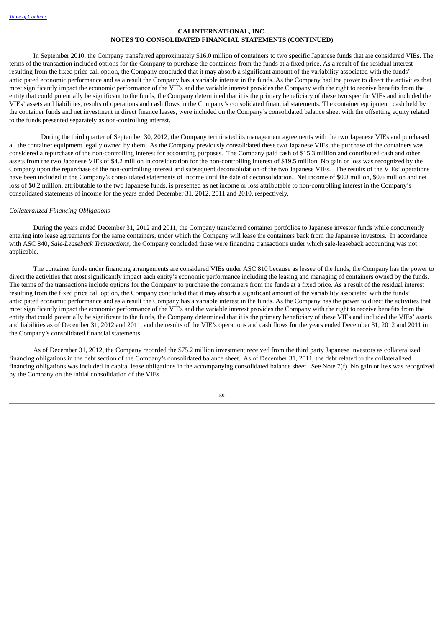In September 2010, the Company transferred approximately \$16.0 million of containers to two specific Japanese funds that are considered VIEs. The terms of the transaction included options for the Company to purchase the containers from the funds at a fixed price. As a result of the residual interest resulting from the fixed price call option, the Company concluded that it may absorb a significant amount of the variability associated with the funds' anticipated economic performance and as a result the Company has a variable interest in the funds. As the Company had the power to direct the activities that most significantly impact the economic performance of the VIEs and the variable interest provides the Company with the right to receive benefits from the entity that could potentially be significant to the funds, the Company determined that it is the primary beneficiary of these two specific VIEs and included the VIEs' assets and liabilities, results of operations and cash flows in the Company's consolidated financial statements. The container equipment, cash held by the container funds and net investment in direct finance leases, were included on the Company's consolidated balance sheet with the offsetting equity related to the funds presented separately as non-controlling interest.

During the third quarter of September 30, 2012, the Company terminated its management agreements with the two Japanese VIEs and purchased all the container equipment legally owned by them. As the Company previously consolidated these two Japanese VIEs, the purchase of the containers was considered a repurchase of the non-controlling interest for accounting purposes. The Company paid cash of \$15.3 million and contributed cash and other assets from the two Japanese VIEs of \$4.2 million in consideration for the non-controlling interest of \$19.5 million. No gain or loss was recognized by the Company upon the repurchase of the non-controlling interest and subsequent deconsolidation of the two Japanese VIEs. The results of the VIEs' operations have been included in the Company's consolidated statements of income until the date of deconsolidation. Net income of \$0.8 million, \$0.6 million and net loss of \$0.2 million, attributable to the two Japanese funds, is presented as net income or loss attributable to non-controlling interest in the Company's consolidated statements of income for the years ended December 31, 2012, 2011 and 2010, respectively.

#### *Collateralized Financing Obligations*

During the years ended December 31, 2012 and 2011, the Company transferred container portfolios to Japanese investor funds while concurrently entering into lease agreements for the same containers, under which the Company will lease the containers back from the Japanese investors. In accordance with ASC 840, *Sale-Leaseback Transactions,* the Company concluded these were financing transactions under which sale-leaseback accounting was not applicable.

The container funds under financing arrangements are considered VIEs under ASC 810 because as lessee of the funds, the Company has the power to direct the activities that most significantly impact each entity's economic performance including the leasing and managing of containers owned by the funds. The terms of the transactions include options for the Company to purchase the containers from the funds at a fixed price. As a result of the residual interest resulting from the fixed price call option, the Company concluded that it may absorb a significant amount of the variability associated with the funds' anticipated economic performance and as a result the Company has a variable interest in the funds. As the Company has the power to direct the activities that most significantly impact the economic performance of the VIEs and the variable interest provides the Company with the right to receive benefits from the entity that could potentially be significant to the funds, the Company determined that it is the primary beneficiary of these VIEs and included the VIEs' assets and liabilities as of December 31, 2012 and 2011, and the results of the VIE's operations and cash flows for the years ended December 31, 2012 and 2011 in the Company's consolidated financial statements.

As of December 31, 2012, the Company recorded the \$75.2 million investment received from the third party Japanese investors as collateralized financing obligations in the debt section of the Company's consolidated balance sheet. As of December 31, 2011, the debt related to the collateralized financing obligations was included in capital lease obligations in the accompanying consolidated balance sheet. See Note 7(f). No gain or loss was recognized by the Company on the initial consolidation of the VIEs.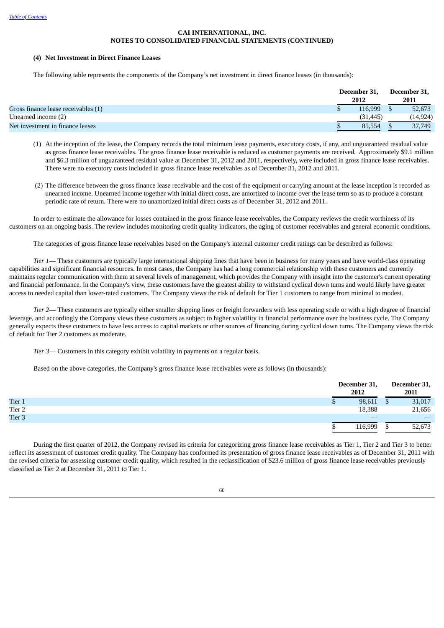#### **(4) Net Investment in Direct Finance Leases**

The following table represents the components of the Company's net investment in direct finance leases (in thousands):

|                                     | December 31, |          | December 31, |  |
|-------------------------------------|--------------|----------|--------------|--|
|                                     | 2012         |          | 2011         |  |
| Gross finance lease receivables (1) |              | 116.999  | 52,673       |  |
| Unearned income (2)                 |              | (31.445) | (14,924)     |  |
| Net investment in finance leases    |              | 85,554   | 37,749       |  |

- (1) At the inception of the lease, the Company records the total minimum lease payments, executory costs, if any, and unguaranteed residual value as gross finance lease receivables. The gross finance lease receivable is reduced as customer payments are received. Approximately \$9.1 million and \$6.3 million of unguaranteed residual value at December 31, 2012 and 2011, respectively, were included in gross finance lease receivables. There were no executory costs included in gross finance lease receivables as of December 31, 2012 and 2011.
- (2) The difference between the gross finance lease receivable and the cost of the equipment or carrying amount at the lease inception is recorded as unearned income. Unearned income together with initial direct costs, are amortized to income over the lease term so as to produce a constant periodic rate of return. There were no unamortized initial direct costs as of December 31, 2012 and 2011.

In order to estimate the allowance for losses contained in the gross finance lease receivables, the Company reviews the credit worthiness of its customers on an ongoing basis. The review includes monitoring credit quality indicators, the aging of customer receivables and general economic conditions.

The categories of gross finance lease receivables based on the Company's internal customer credit ratings can be described as follows:

*Tier 1*— These customers are typically large international shipping lines that have been in business for many years and have world-class operating capabilities and significant financial resources. In most cases, the Company has had a long commercial relationship with these customers and currently maintains regular communication with them at several levels of management, which provides the Company with insight into the customer's current operating and financial performance. In the Company's view, these customers have the greatest ability to withstand cyclical down turns and would likely have greater access to needed capital than lower-rated customers. The Company views the risk of default for Tier 1 customers to range from minimal to modest.

*Tier 2*— These customers are typically either smaller shipping lines or freight forwarders with less operating scale or with a high degree of financial leverage, and accordingly the Company views these customers as subject to higher volatility in financial performance over the business cycle. The Company generally expects these customers to have less access to capital markets or other sources of financing during cyclical down turns. The Company views the risk of default for Tier 2 customers as moderate.

*Tier 3*— Customers in this category exhibit volatility in payments on a regular basis.

Based on the above categories, the Company's gross finance lease receivables were as follows (in thousands):

|        | December 31,<br>2012 | December 31,<br>2011 |
|--------|----------------------|----------------------|
| Tier 1 | 98,611<br>Φ          | 31,017               |
| Tier 2 | 18,388               | 21,656               |
| Tier 3 | $-$                  |                      |
|        | 116,999              | 52,673               |

During the first quarter of 2012, the Company revised its criteria for categorizing gross finance lease receivables as Tier 1, Tier 2 and Tier 3 to better reflect its assessment of customer credit quality. The Company has conformed its presentation of gross finance lease receivables as of December 31, 2011 with the revised criteria for assessing customer credit quality, which resulted in the reclassification of \$23.6 million of gross finance lease receivables previously classified as Tier 2 at December 31, 2011 to Tier 1.

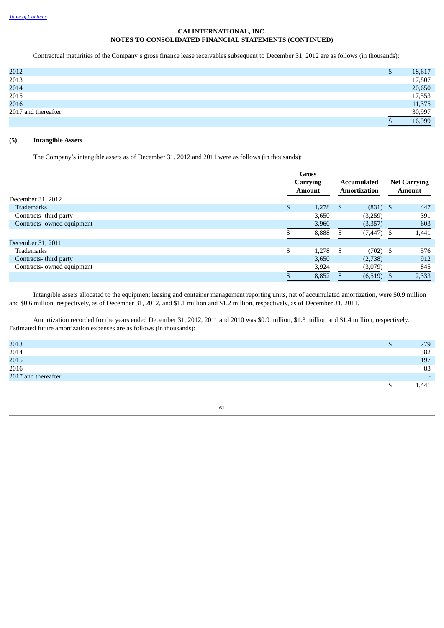Contractual maturities of the Company's gross finance lease receivables subsequent to December 31, 2012 are as follows (in thousands):

| Φ | 18,617  |
|---|---------|
|   | 17,807  |
|   | 20,650  |
|   | 17,553  |
|   | 11,375  |
|   | 30,997  |
|   | 116,999 |
|   |         |

### **(5) Intangible Assets**

The Company's intangible assets as of December 31, 2012 and 2011 were as follows (in thousands):

| December 31, 2012          | Gross<br><b>Carrying</b><br><b>Amount</b> |     | Accumulated<br><b>Amortization</b> | <b>Net Carrying</b><br><b>Amount</b> |
|----------------------------|-------------------------------------------|-----|------------------------------------|--------------------------------------|
| <b>Trademarks</b>          | \$<br>1,278                               | -S  | $(831)$ \$                         | 447                                  |
| Contracts-third party      | 3,650                                     |     | (3,259)                            | 391                                  |
| Contracts- owned equipment | 3,960                                     |     | (3,357)                            | 603                                  |
|                            | 8,888                                     |     | (7, 447)                           | 1,441                                |
| December 31, 2011          |                                           |     |                                    |                                      |
| Trademarks                 | \$<br>1,278                               | -\$ | $(702)$ \$                         | 576                                  |
| Contracts-third party      | 3,650                                     |     | (2,738)                            | 912                                  |
| Contracts- owned equipment | 3,924                                     |     | (3,079)                            | 845                                  |
|                            | 8,852                                     |     | (6,519)                            | 2,333                                |

Intangible assets allocated to the equipment leasing and container management reporting units, net of accumulated amortization, were \$0.9 million and \$0.6 million, respectively, as of December 31, 2012, and \$1.1 million and \$1.2 million, respectively, as of December 31, 2011.

Amortization recorded for the years ended December 31, 2012, 2011 and 2010 was \$0.9 million, \$1.3 million and \$1.4 million, respectively. Estimated future amortization expenses are as follows (in thousands):

| 2013                | ۰υ | 779  |
|---------------------|----|------|
| 2014                |    | 382  |
| 2015                |    | 197  |
| 2016                |    | 83   |
| 2017 and thereafter |    |      |
|                     |    | .441 |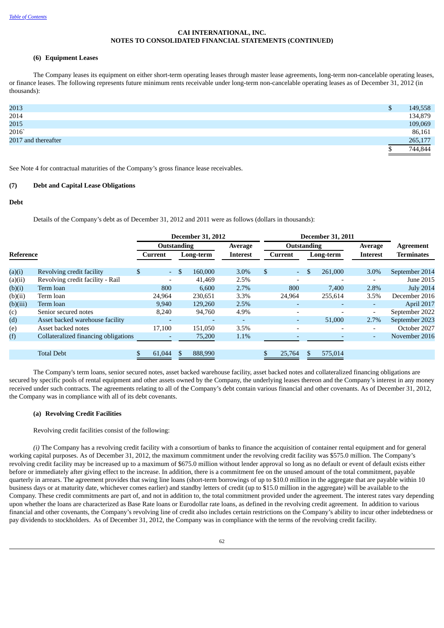### **(6) Equipment Leases**

The Company leases its equipment on either short-term operating leases through master lease agreements, long-term non-cancelable operating leases, or finance leases. The following represents future minimum rents receivable under long-term non-cancelable operating leases as of December 31, 2012 (in thousands):

| 2013                | 149,558 |
|---------------------|---------|
| 2014                | 134,879 |
| 2015                | 109,069 |
| 2016                | 86,161  |
| 2017 and thereafter | 265,177 |
|                     | 744,844 |

See Note 4 for contractual maturities of the Company's gross finance lease receivables.

### **(7) Debt and Capital Lease Obligations**

### **Debt**

Details of the Company's debt as of December 31, 2012 and 2011 were as follows (dollars in thousands):

|           |                                      |              |                          |           | <b>December 31, 2012</b> |                          |         |                          |           | <b>December 31, 2011</b> |                          |                   |
|-----------|--------------------------------------|--------------|--------------------------|-----------|--------------------------|--------------------------|---------|--------------------------|-----------|--------------------------|--------------------------|-------------------|
|           |                                      |              | Outstanding              |           |                          | Average                  |         | <b>Outstanding</b>       |           |                          | Average                  | <b>Agreement</b>  |
| Reference |                                      | Current      |                          | Long-term |                          | <b>Interest</b>          | Current |                          | Long-term |                          | <b>Interest</b>          | <b>Terminates</b> |
| (a)(i)    | Revolving credit facility            | $\mathbb{S}$ | $-$ \$                   |           | 160,000                  | 3.0%                     | \$      | $\sim$                   | \$        | 261,000                  | 3.0%                     | September 2014    |
| (a)(ii)   | Revolving credit facility - Rail     |              | ٠                        |           | 41.469                   | 2.5%                     |         | $\overline{\phantom{0}}$ |           | ٠                        | $\overline{\phantom{a}}$ | June 2015         |
| (b)(i)    | Term loan                            |              | 800                      |           | 6,600                    | 2.7%                     |         | 800                      |           | 7.400                    | 2.8%                     | <b>July 2014</b>  |
| (b)(ii)   | Term loan                            |              | 24,964                   |           | 230,651                  | 3.3%                     |         | 24,964                   |           | 255,614                  | 3.5%                     | December 2016     |
| (b)(iii)  | Term loan                            |              | 9,940                    |           | 129,260                  | 2.5%                     |         |                          |           |                          | ٠                        | April 2017        |
| (c)       | Senior secured notes                 |              | 8,240                    |           | 94,760                   | 4.9%                     |         | $\overline{\phantom{0}}$ |           |                          | -                        | September 2022    |
| (d)       | Asset backed warehouse facility      |              | $\overline{\phantom{0}}$ |           |                          | $\overline{\phantom{0}}$ |         |                          |           | 51,000                   | 2.7%                     | September 2023    |
| (e)       | Asset backed notes                   |              | 17,100                   |           | 151.050                  | 3.5%                     |         | $\overline{\phantom{0}}$ |           | $\overline{\phantom{0}}$ | $\overline{\phantom{0}}$ | October 2027      |
| (f)       | Collateralized financing obligations |              |                          |           | 75,200                   | 1.1%                     |         |                          |           |                          | $\overline{\phantom{0}}$ | November 2016     |
|           | <b>Total Debt</b>                    |              | 61,044                   | \$        | 888,990                  |                          |         | 25,764                   |           | 575,014                  |                          |                   |

The Company's term loans, senior secured notes, asset backed warehouse facility, asset backed notes and collateralized financing obligations are secured by specific pools of rental equipment and other assets owned by the Company, the underlying leases thereon and the Company's interest in any money received under such contracts. The agreements relating to all of the Company's debt contain various financial and other covenants. As of December 31, 2012, the Company was in compliance with all of its debt covenants.

#### **(a) Revolving Credit Facilities**

#### Revolving credit facilities consist of the following:

*(i)* The Company has a revolving credit facility with a consortium of banks to finance the acquisition of container rental equipment and for general working capital purposes. As of December 31, 2012, the maximum commitment under the revolving credit facility was \$575.0 million. The Company's revolving credit facility may be increased up to a maximum of \$675.0 million without lender approval so long as no default or event of default exists either before or immediately after giving effect to the increase. In addition, there is a commitment fee on the unused amount of the total commitment, payable quarterly in arrears. The agreement provides that swing line loans (short-term borrowings of up to \$10.0 million in the aggregate that are payable within 10 business days or at maturity date, whichever comes earlier) and standby letters of credit (up to \$15.0 million in the aggregate) will be available to the Company. These credit commitments are part of, and not in addition to, the total commitment provided under the agreement. The interest rates vary depending upon whether the loans are characterized as Base Rate loans or Eurodollar rate loans, as defined in the revolving credit agreement. In addition to various financial and other covenants, the Company's revolving line of credit also includes certain restrictions on the Company's ability to incur other indebtedness or pay dividends to stockholders. As of December 31, 2012, the Company was in compliance with the terms of the revolving credit facility.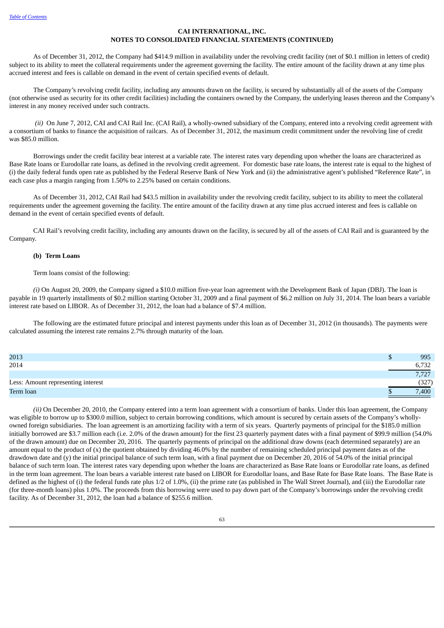As of December 31, 2012, the Company had \$414.9 million in availability under the revolving credit facility (net of \$0.1 million in letters of credit) subject to its ability to meet the collateral requirements under the agreement governing the facility. The entire amount of the facility drawn at any time plus accrued interest and fees is callable on demand in the event of certain specified events of default.

The Company's revolving credit facility, including any amounts drawn on the facility, is secured by substantially all of the assets of the Company (not otherwise used as security for its other credit facilities) including the containers owned by the Company, the underlying leases thereon and the Company's interest in any money received under such contracts.

*(ii)* On June 7, 2012, CAI and CAI Rail Inc. (CAI Rail), a wholly-owned subsidiary of the Company, entered into a revolving credit agreement with a consortium of banks to finance the acquisition of railcars. As of December 31, 2012, the maximum credit commitment under the revolving line of credit was \$85.0 million.

Borrowings under the credit facility bear interest at a variable rate. The interest rates vary depending upon whether the loans are characterized as Base Rate loans or Eurodollar rate loans, as defined in the revolving credit agreement. For domestic base rate loans, the interest rate is equal to the highest of (i) the daily federal funds open rate as published by the Federal Reserve Bank of New York and (ii) the administrative agent's published "Reference Rate", in each case plus a margin ranging from 1.50% to 2.25% based on certain conditions.

As of December 31, 2012, CAI Rail had \$43.5 million in availability under the revolving credit facility, subject to its ability to meet the collateral requirements under the agreement governing the facility. The entire amount of the facility drawn at any time plus accrued interest and fees is callable on demand in the event of certain specified events of default.

CAI Rail's revolving credit facility, including any amounts drawn on the facility, is secured by all of the assets of CAI Rail and is guaranteed by the Company.

### **(b) Term Loans**

Term loans consist of the following:

*(i)* On August 20, 2009, the Company signed a \$10.0 million five-year loan agreement with the Development Bank of Japan (DBJ). The loan is payable in 19 quarterly installments of \$0.2 million starting October 31, 2009 and a final payment of \$6.2 million on July 31, 2014. The loan bears a variable interest rate based on LIBOR. As of December 31, 2012, the loan had a balance of \$7.4 million.

The following are the estimated future principal and interest payments under this loan as of December 31, 2012 (in thousands). The payments were calculated assuming the interest rate remains 2.7% through maturity of the loan.

| 2013                               | 995     |
|------------------------------------|---------|
| 2014                               | 6,732   |
|                                    | 7 7 7 7 |
| Less: Amount representing interest | 327     |
| Term loan                          | ,400    |

*(ii)* On December 20, 2010, the Company entered into a term loan agreement with a consortium of banks. Under this loan agreement, the Company was eligible to borrow up to \$300.0 million, subject to certain borrowing conditions, which amount is secured by certain assets of the Company's whollyowned foreign subsidiaries. The loan agreement is an amortizing facility with a term of six years. Quarterly payments of principal for the \$185.0 million initially borrowed are \$3.7 million each (i.e. 2.0% of the drawn amount) for the first 23 quarterly payment dates with a final payment of \$99.9 million (54.0% of the drawn amount) due on December 20, 2016. The quarterly payments of principal on the additional draw downs (each determined separately) are an amount equal to the product of (x) the quotient obtained by dividing 46.0% by the number of remaining scheduled principal payment dates as of the drawdown date and (y) the initial principal balance of such term loan, with a final payment due on December 20, 2016 of 54.0% of the initial principal balance of such term loan. The interest rates vary depending upon whether the loans are characterized as Base Rate loans or Eurodollar rate loans, as defined in the term loan agreement. The loan bears a variable interest rate based on LIBOR for Eurodollar loans, and Base Rate for Base Rate loans. The Base Rate is defined as the highest of (i) the federal funds rate plus 1/2 of 1.0%, (ii) the prime rate (as published in The Wall Street Journal), and (iii) the Eurodollar rate (for three-month loans) plus 1.0%. The proceeds from this borrowing were used to pay down part of the Company's borrowings under the revolving credit facility. As of December 31, 2012, the loan had a balance of \$255.6 million.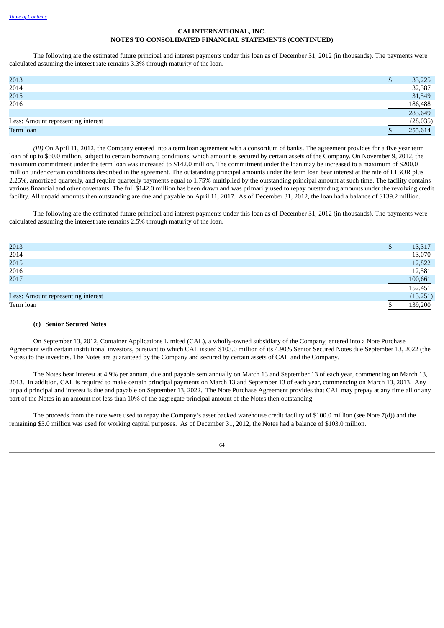The following are the estimated future principal and interest payments under this loan as of December 31, 2012 (in thousands). The payments were calculated assuming the interest rate remains 3.3% through maturity of the loan.

| 2013                               | 33,225    |
|------------------------------------|-----------|
| 2014                               | 32,387    |
| 2015                               | 31,549    |
| 2016                               | 186,488   |
|                                    | 283,649   |
| Less: Amount representing interest | (28, 035) |
| Term loan                          | 255,614   |

*(iii)* On April 11, 2012, the Company entered into a term loan agreement with a consortium of banks. The agreement provides for a five year term loan of up to \$60.0 million, subject to certain borrowing conditions, which amount is secured by certain assets of the Company. On November 9, 2012, the maximum commitment under the term loan was increased to \$142.0 million. The commitment under the loan may be increased to a maximum of \$200.0 million under certain conditions described in the agreement. The outstanding principal amounts under the term loan bear interest at the rate of LIBOR plus 2.25%, amortized quarterly, and require quarterly payments equal to 1.75% multiplied by the outstanding principal amount at such time. The facility contains various financial and other covenants. The full \$142.0 million has been drawn and was primarily used to repay outstanding amounts under the revolving credit facility. All unpaid amounts then outstanding are due and payable on April 11, 2017. As of December 31, 2012, the loan had a balance of \$139.2 million.

The following are the estimated future principal and interest payments under this loan as of December 31, 2012 (in thousands). The payments were calculated assuming the interest rate remains 2.5% through maturity of the loan.

| 2013                               | 13,317   |
|------------------------------------|----------|
| 2014                               | 13,070   |
| 2015                               | 12,822   |
| 2016                               | 12,581   |
| 2017                               | 100,661  |
|                                    | 152,451  |
| Less: Amount representing interest | (13,251) |
| Term loan                          | 139,200  |

#### **(c) Senior Secured Notes**

On September 13, 2012, Container Applications Limited (CAL), a wholly-owned subsidiary of the Company, entered into a Note Purchase Agreement with certain institutional investors, pursuant to which CAL issued \$103.0 million of its 4.90% Senior Secured Notes due September 13, 2022 (the Notes) to the investors. The Notes are guaranteed by the Company and secured by certain assets of CAL and the Company.

The Notes bear interest at 4.9% per annum, due and payable semiannually on March 13 and September 13 of each year, commencing on March 13, 2013. In addition, CAL is required to make certain principal payments on March 13 and September 13 of each year, commencing on March 13, 2013. Any unpaid principal and interest is due and payable on September 13, 2022. The Note Purchase Agreement provides that CAL may prepay at any time all or any part of the Notes in an amount not less than 10% of the aggregate principal amount of the Notes then outstanding.

The proceeds from the note were used to repay the Company's asset backed warehouse credit facility of \$100.0 million (see Note 7(d)) and the remaining \$3.0 million was used for working capital purposes. As of December 31, 2012, the Notes had a balance of \$103.0 million.

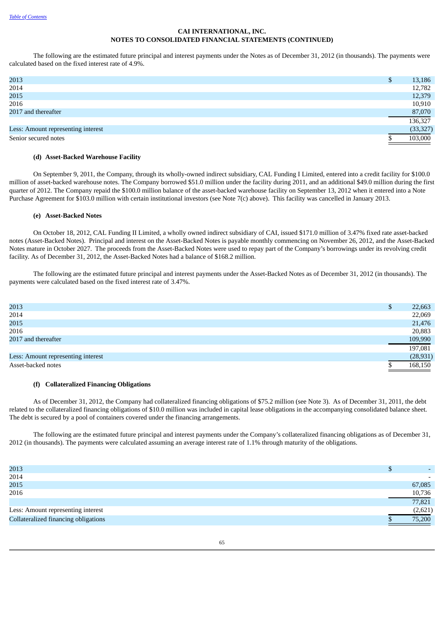The following are the estimated future principal and interest payments under the Notes as of December 31, 2012 (in thousands). The payments were calculated based on the fixed interest rate of 4.9%.

| 2013                               | 13,186    |
|------------------------------------|-----------|
| 2014                               | 12,782    |
| 2015                               | 12,379    |
| 2016                               | 10,910    |
| 2017 and thereafter                | 87,070    |
|                                    | 136,327   |
| Less: Amount representing interest | (33, 327) |
| Senior secured notes               | 103,000   |
|                                    |           |

#### **(d) Asset-Backed Warehouse Facility**

On September 9, 2011, the Company, through its wholly-owned indirect subsidiary, CAL Funding I Limited, entered into a credit facility for \$100.0 million of asset-backed warehouse notes. The Company borrowed \$51.0 million under the facility during 2011, and an additional \$49.0 million during the first quarter of 2012. The Company repaid the \$100.0 million balance of the asset-backed warehouse facility on September 13, 2012 when it entered into a Note Purchase Agreement for \$103.0 million with certain institutional investors (see Note 7(c) above). This facility was cancelled in January 2013.

### **(e) Asset-Backed Notes**

On October 18, 2012, CAL Funding II Limited, a wholly owned indirect subsidiary of CAI, issued \$171.0 million of 3.47% fixed rate asset-backed notes (Asset-Backed Notes). Principal and interest on the Asset-Backed Notes is payable monthly commencing on November 26, 2012, and the Asset-Backed Notes mature in October 2027. The proceeds from the Asset-Backed Notes were used to repay part of the Company's borrowings under its revolving credit facility. As of December 31, 2012, the Asset-Backed Notes had a balance of \$168.2 million.

The following are the estimated future principal and interest payments under the Asset-Backed Notes as of December 31, 2012 (in thousands). The payments were calculated based on the fixed interest rate of 3.47%.

| 2013                               | 22,663    |
|------------------------------------|-----------|
| 2014                               | 22,069    |
| 2015                               | 21,476    |
| 2016                               | 20,883    |
| 2017 and thereafter                | 109,990   |
|                                    | 197,081   |
| Less: Amount representing interest | (28, 931) |
| Asset-backed notes                 | 168,150   |

### **(f) Collateralized Financing Obligations**

As of December 31, 2012, the Company had collateralized financing obligations of \$75.2 million (see Note 3). As of December 31, 2011, the debt related to the collateralized financing obligations of \$10.0 million was included in capital lease obligations in the accompanying consolidated balance sheet. The debt is secured by a pool of containers covered under the financing arrangements.

The following are the estimated future principal and interest payments under the Company's collateralized financing obligations as of December 31, 2012 (in thousands). The payments were calculated assuming an average interest rate of 1.1% through maturity of the obligations.

| 2013                                 |         |
|--------------------------------------|---------|
| 2014                                 |         |
| 2015                                 | 67,085  |
| 2016                                 | 10,736  |
|                                      | 77,821  |
| Less: Amount representing interest   | (2,621) |
| Collateralized financing obligations | 75,200  |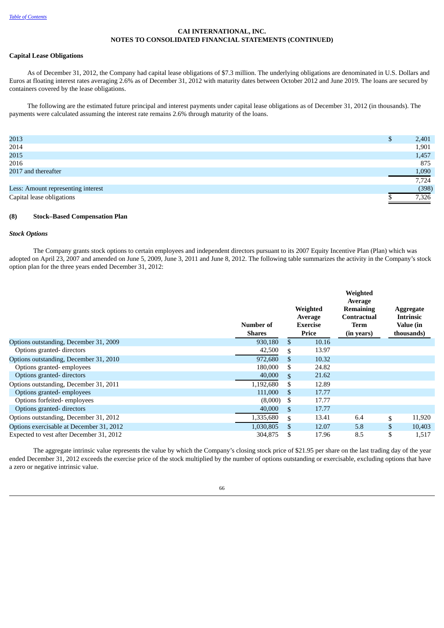### **Capital Lease Obligations**

As of December 31, 2012, the Company had capital lease obligations of \$7.3 million. The underlying obligations are denominated in U.S. Dollars and Euros at floating interest rates averaging 2.6% as of December 31, 2012 with maturity dates between October 2012 and June 2019. The loans are secured by containers covered by the lease obligations.

The following are the estimated future principal and interest payments under capital lease obligations as of December 31, 2012 (in thousands). The payments were calculated assuming the interest rate remains 2.6% through maturity of the loans.

| 2013                               | 2,401 |
|------------------------------------|-------|
| 2014                               | 1,901 |
| 2015                               | 1,457 |
| 2016                               | 875   |
| 2017 and thereafter                | 1,090 |
|                                    | 7,724 |
| Less: Amount representing interest | (398) |
| Capital lease obligations          | 7,326 |
|                                    |       |

# **(8) Stock–Based Compensation Plan**

### *Stock Options*

The Company grants stock options to certain employees and independent directors pursuant to its 2007 Equity Incentive Plan (Plan) which was adopted on April 23, 2007 and amended on June 5, 2009, June 3, 2011 and June 8, 2012. The following table summarizes the activity in the Company's stock option plan for the three years ended December 31, 2012:

|                                          | Number of<br><b>Shares</b> |                | Weighted<br>Average<br><b>Exercise</b><br>Price | Weighted<br>Average<br><b>Remaining</b><br><b>Contractual</b><br>Term<br>(in years) | Aggregate<br><b>Intrinsic</b><br>Value (in<br>thousands) |
|------------------------------------------|----------------------------|----------------|-------------------------------------------------|-------------------------------------------------------------------------------------|----------------------------------------------------------|
| Options outstanding, December 31, 2009   | 930,180                    | \$             | 10.16                                           |                                                                                     |                                                          |
| Options granted-directors                | 42,500                     | \$             | 13.97                                           |                                                                                     |                                                          |
| Options outstanding, December 31, 2010   | 972,680                    |                | 10.32                                           |                                                                                     |                                                          |
| Options granted-employees                | 180,000                    | S              | 24.82                                           |                                                                                     |                                                          |
| Options granted-directors                | 40,000                     | \$             | 21.62                                           |                                                                                     |                                                          |
| Options outstanding, December 31, 2011   | 1,192,680                  | \$.            | 12.89                                           |                                                                                     |                                                          |
| Options granted-employees                | 111,000                    | \$.            | 17.77                                           |                                                                                     |                                                          |
| Options forfeited-employees              | (8,000)                    | \$             | 17.77                                           |                                                                                     |                                                          |
| Options granted-directors                | 40,000                     | $\mathfrak{F}$ | 17.77                                           |                                                                                     |                                                          |
| Options outstanding, December 31, 2012   | 1,335,680                  | \$             | 13.41                                           | 6.4                                                                                 | \$<br>11,920                                             |
| Options exercisable at December 31, 2012 | 1,030,805                  | \$             | 12.07                                           | 5.8                                                                                 | \$<br>10,403                                             |
| Expected to vest after December 31, 2012 | 304,875                    | \$             | 17.96                                           | 8.5                                                                                 | \$<br>1,517                                              |

The aggregate intrinsic value represents the value by which the Company's closing stock price of \$21.95 per share on the last trading day of the year ended December 31, 2012 exceeds the exercise price of the stock multiplied by the number of options outstanding or exercisable, excluding options that have a zero or negative intrinsic value.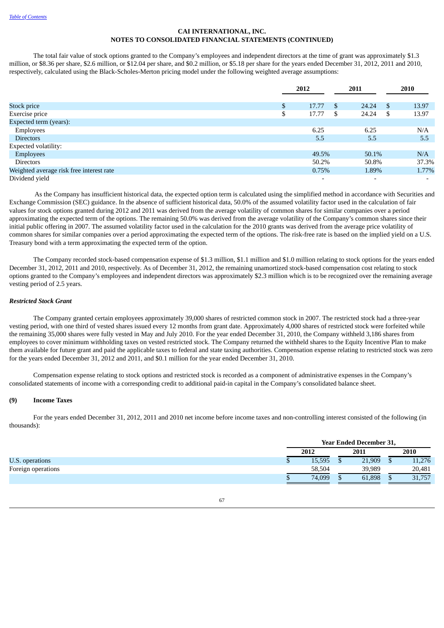The total fair value of stock options granted to the Company's employees and independent directors at the time of grant was approximately \$1.3 million, or \$8.36 per share, \$2.6 million, or \$12.04 per share, and \$0.2 million, or \$5.18 per share for the years ended December 31, 2012, 2011 and 2010, respectively, calculated using the Black-Scholes-Merton pricing model under the following weighted average assumptions:

|                                          | 2012                     |     | 2011                     |    | 2010                     |
|------------------------------------------|--------------------------|-----|--------------------------|----|--------------------------|
|                                          |                          |     |                          |    |                          |
| <b>Stock price</b>                       | \$<br>17.77              | \$. | 24.24                    | \$ | 13.97                    |
| Exercise price                           | \$<br>17.77              | \$  | 24.24                    | \$ | 13.97                    |
| Expected term (years):                   |                          |     |                          |    |                          |
| Employees                                | 6.25                     |     | 6.25                     |    | N/A                      |
| <b>Directors</b>                         | 5.5                      |     | 5.5                      |    | 5.5                      |
| Expected volatility:                     |                          |     |                          |    |                          |
| <b>Employees</b>                         | 49.5%                    |     | 50.1%                    |    | N/A                      |
| <b>Directors</b>                         | 50.2%                    |     | 50.8%                    |    | 37.3%                    |
| Weighted average risk free interest rate | 0.75%                    |     | 1.89%                    |    | 1.77%                    |
| Dividend yield                           | $\overline{\phantom{0}}$ |     | $\overline{\phantom{0}}$ |    | $\overline{\phantom{0}}$ |

As the Company has insufficient historical data, the expected option term is calculated using the simplified method in accordance with Securities and Exchange Commission (SEC) guidance. In the absence of sufficient historical data, 50.0% of the assumed volatility factor used in the calculation of fair values for stock options granted during 2012 and 2011 was derived from the average volatility of common shares for similar companies over a period approximating the expected term of the options. The remaining 50.0% was derived from the average volatility of the Company's common shares since their initial public offering in 2007. The assumed volatility factor used in the calculation for the 2010 grants was derived from the average price volatility of common shares for similar companies over a period approximating the expected term of the options. The risk-free rate is based on the implied yield on a U.S. Treasury bond with a term approximating the expected term of the option.

The Company recorded stock-based compensation expense of \$1.3 million, \$1.1 million and \$1.0 million relating to stock options for the years ended December 31, 2012, 2011 and 2010, respectively. As of December 31, 2012, the remaining unamortized stock-based compensation cost relating to stock options granted to the Company's employees and independent directors was approximately \$2.3 million which is to be recognized over the remaining average vesting period of 2.5 years.

#### *Restricted Stock Grant*

The Company granted certain employees approximately 39,000 shares of restricted common stock in 2007. The restricted stock had a three-year vesting period, with one third of vested shares issued every 12 months from grant date. Approximately 4,000 shares of restricted stock were forfeited while the remaining 35,000 shares were fully vested in May and July 2010. For the year ended December 31, 2010, the Company withheld 3,186 shares from employees to cover minimum withholding taxes on vested restricted stock. The Company returned the withheld shares to the Equity Incentive Plan to make them available for future grant and paid the applicable taxes to federal and state taxing authorities. Compensation expense relating to restricted stock was zero for the years ended December 31, 2012 and 2011, and \$0.1 million for the year ended December 31, 2010.

Compensation expense relating to stock options and restricted stock is recorded as a component of administrative expenses in the Company's consolidated statements of income with a corresponding credit to additional paid-in capital in the Company's consolidated balance sheet.

### **(9) Income Taxes**

For the years ended December 31, 2012, 2011 and 2010 net income before income taxes and non-controlling interest consisted of the following (in thousands):

|                    |    |        | <b>Year Ended December 31,</b> |        |
|--------------------|----|--------|--------------------------------|--------|
|                    |    | 2012   | 2011                           | 2010   |
| U.S. operations    | لا | 15,595 | 21,909                         | 11,276 |
| Foreign operations |    | 58,504 | 39,989                         | 20,481 |
|                    |    | 74,099 | 61,898                         | 31,757 |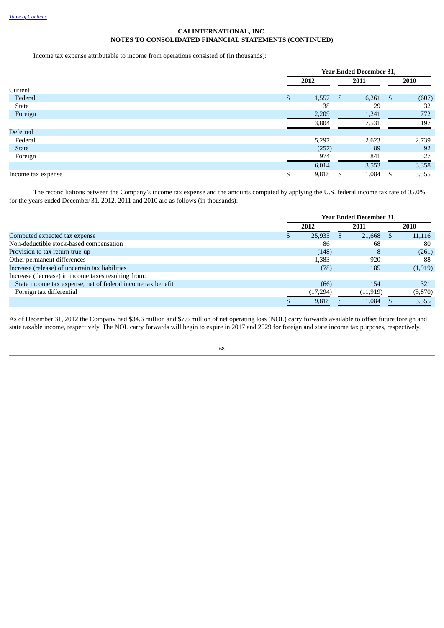Income tax expense attributable to income from operations consisted of (in thousands):

|                    | <b>Year Ended December 31,</b> |    |        |    |       |
|--------------------|--------------------------------|----|--------|----|-------|
|                    | 2012                           |    | 2011   |    | 2010  |
| Current            |                                |    |        |    |       |
| Federal            | \$<br>1,557                    | \$ | 6,261  | \$ | (607) |
| State              | 38                             |    | 29     |    | 32    |
| Foreign            | 2,209                          |    | 1,241  |    | 772   |
|                    | 3,804                          |    | 7,531  |    | 197   |
| <b>Deferred</b>    |                                |    |        |    |       |
| Federal            | 5,297                          |    | 2,623  |    | 2,739 |
| <b>State</b>       | (257)                          |    | 89     |    | 92    |
| Foreign            | 974                            |    | 841    |    | 527   |
|                    | 6,014                          |    | 3,553  |    | 3,358 |
| Income tax expense | 9,818                          | S  | 11,084 | ъ  | 3,555 |

The reconciliations between the Company's income tax expense and the amounts computed by applying the U.S. federal income tax rate of 35.0% for the years ended December 31, 2012, 2011 and 2010 are as follows (in thousands):

|                                                             | <b>Year Ended December 31,</b> |          |  |           |  |          |
|-------------------------------------------------------------|--------------------------------|----------|--|-----------|--|----------|
|                                                             |                                | 2012     |  | 2011      |  | 2010     |
| Computed expected tax expense                               |                                | 25,935   |  | 21,668    |  | 11,116   |
| Non-deductible stock-based compensation                     |                                | 86       |  | 68        |  | 80       |
| Provision to tax return true-up                             |                                | (148)    |  | 8         |  | (261)    |
| Other permanent differences                                 |                                | 1,383    |  | 920       |  | 88       |
| Increase (release) of uncertain tax liabilities             |                                | (78)     |  | 185       |  | (1, 919) |
| Increase (decrease) in income taxes resulting from:         |                                |          |  |           |  |          |
| State income tax expense, net of federal income tax benefit |                                | (66)     |  | 154       |  | 321      |
| Foreign tax differential                                    |                                | (17,294) |  | (11, 919) |  | (5,870)  |
|                                                             |                                | 9,818    |  | 11,084    |  | 3,555    |

As of December 31, 2012 the Company had \$34.6 million and \$7.6 million of net operating loss (NOL) carry forwards available to offset future foreign and state taxable income, respectively. The NOL carry forwards will begin to expire in 2017 and 2029 for foreign and state income tax purposes, respectively.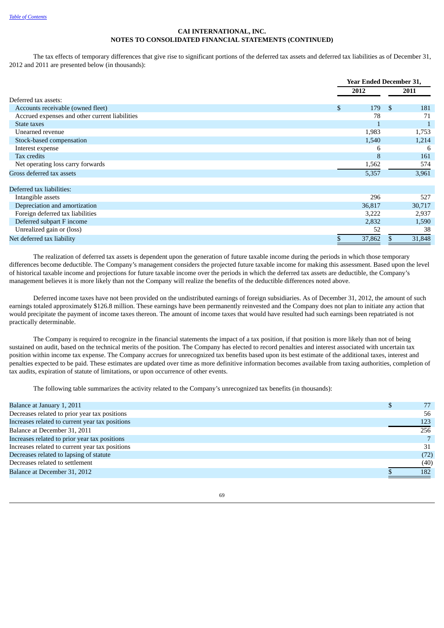The tax effects of temporary differences that give rise to significant portions of the deferred tax assets and deferred tax liabilities as of December 31, 2012 and 2011 are presented below (in thousands):

|                                                | <b>Year Ended December 31,</b> |    |        |
|------------------------------------------------|--------------------------------|----|--------|
|                                                | 2012                           |    | 2011   |
| Deferred tax assets:                           |                                |    |        |
| Accounts receivable (owned fleet)              | \$<br>179                      | S  | 181    |
| Accrued expenses and other current liabilities | 78                             |    | 71     |
| State taxes                                    |                                |    |        |
| Unearned revenue                               | 1,983                          |    | 1,753  |
| Stock-based compensation                       | 1,540                          |    | 1,214  |
| Interest expense                               | 6                              |    | 6      |
| Tax credits                                    | 8                              |    | 161    |
| Net operating loss carry forwards              | 1,562                          |    | 574    |
| Gross deferred tax assets                      | 5,357                          |    | 3,961  |
| Deferred tax liabilities:                      |                                |    |        |
| Intangible assets                              | 296                            |    | 527    |
| Depreciation and amortization                  | 36,817                         |    | 30,717 |
| Foreign deferred tax liabilities               | 3,222                          |    | 2,937  |
| Deferred subpart F income                      | 2,832                          |    | 1,590  |
| Unrealized gain or (loss)                      | 52                             |    | 38     |
| Net deferred tax liability                     | \$<br>37,862                   | \$ | 31,848 |

The realization of deferred tax assets is dependent upon the generation of future taxable income during the periods in which those temporary differences become deductible. The Company's management considers the projected future taxable income for making this assessment. Based upon the level of historical taxable income and projections for future taxable income over the periods in which the deferred tax assets are deductible, the Company's management believes it is more likely than not the Company will realize the benefits of the deductible differences noted above.

Deferred income taxes have not been provided on the undistributed earnings of foreign subsidiaries. As of December 31, 2012, the amount of such earnings totaled approximately \$126.8 million. These earnings have been permanently reinvested and the Company does not plan to initiate any action that would precipitate the payment of income taxes thereon. The amount of income taxes that would have resulted had such earnings been repatriated is not practically determinable.

The Company is required to recognize in the financial statements the impact of a tax position, if that position is more likely than not of being sustained on audit, based on the technical merits of the position. The Company has elected to record penalties and interest associated with uncertain tax position within income tax expense. The Company accrues for unrecognized tax benefits based upon its best estimate of the additional taxes, interest and penalties expected to be paid. These estimates are updated over time as more definitive information becomes available from taxing authorities, completion of tax audits, expiration of statute of limitations, or upon occurrence of other events.

The following table summarizes the activity related to the Company's unrecognized tax benefits (in thousands):

| Balance at January 1, 2011                      | 77   |
|-------------------------------------------------|------|
| Decreases related to prior year tax positions   | 56   |
| Increases related to current year tax positions | 123  |
| Balance at December 31, 2011                    | 256  |
| Increases related to prior year tax positions   |      |
| Increases related to current year tax positions | 31   |
| Decreases related to lapsing of statute         | (72) |
| Decreases related to settlement                 | (40) |
| Balance at December 31, 2012                    | 182  |
|                                                 |      |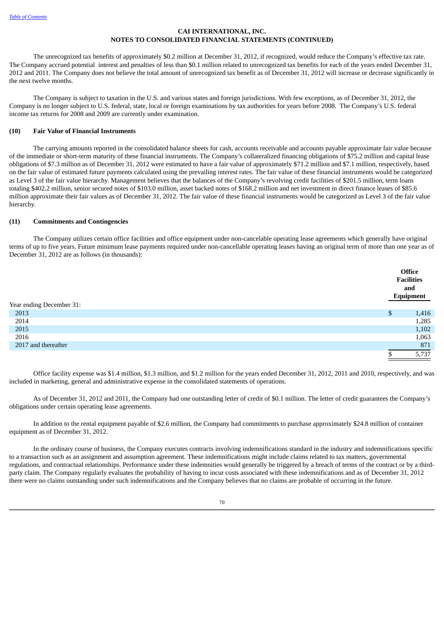The unrecognized tax benefits of approximately \$0.2 million at December 31, 2012, if recognized, would reduce the Company's effective tax rate. The Company accrued potential interest and penalties of less than \$0.1 million related to unrecognized tax benefits for each of the years ended December 31, 2012 and 2011. The Company does not believe the total amount of unrecognized tax benefit as of December 31, 2012 will increase or decrease significantly in the next twelve months.

The Company is subject to taxation in the U.S. and various states and foreign jurisdictions. With few exceptions, as of December 31, 2012, the Company is no longer subject to U.S. federal, state, local or foreign examinations by tax authorities for years before 2008. The Company's U.S. federal income tax returns for 2008 and 2009 are currently under examination.

## **(10) Fair Value of Financial Instruments**

The carrying amounts reported in the consolidated balance sheets for cash, accounts receivable and accounts payable approximate fair value because of the immediate or short-term maturity of these financial instruments. The Company's collateralized financing obligations of \$75.2 million and capital lease obligations of \$7.3 million as of December 31, 2012 were estimated to have a fair value of approximately \$71.2 million and \$7.1 million, respectively, based on the fair value of estimated future payments calculated using the prevailing interest rates. The fair value of these financial instruments would be categorized as Level 3 of the fair value hierarchy. Management believes that the balances of the Company's revolving credit facilities of \$201.5 million, term loans totaling \$402.2 million, senior secured notes of \$103.0 million, asset backed notes of \$168.2 million and net investment in direct finance leases of \$85.6 million approximate their fair values as of December 31, 2012. The fair value of these financial instruments would be categorized as Level 3 of the fair value hierarchy.

### **(11) Commitments and Contingencies**

The Company utilizes certain office facilities and office equipment under non-cancelable operating lease agreements which generally have original terms of up to five years. Future minimum lease payments required under non-cancellable operating leases having an original term of more than one year as of December 31, 2012 are as follows (in thousands):

| Year ending December 31: |    | <b>Office</b><br><b>Facilities</b><br>and<br>Equipment |
|--------------------------|----|--------------------------------------------------------|
| 2013                     | \$ | 1,416                                                  |
| 2014                     |    | 1,285                                                  |
| 2015                     |    | 1,102                                                  |
| 2016                     |    | 1,063                                                  |
| 2017 and thereafter      |    | 871                                                    |
|                          | л. | 5,737                                                  |

Office facility expense was \$1.4 million, \$1.3 million, and \$1.2 million for the years ended December 31, 2012, 2011 and 2010, respectively, and was included in marketing, general and administrative expense in the consolidated statements of operations.

As of December 31, 2012 and 2011, the Company had one outstanding letter of credit of \$0.1 million. The letter of credit guarantees the Company's obligations under certain operating lease agreements.

In addition to the rental equipment payable of \$2.6 million, the Company had commitments to purchase approximately \$24.8 million of container equipment as of December 31, 2012.

In the ordinary course of business, the Company executes contracts involving indemnifications standard in the industry and indemnifications specific to a transaction such as an assignment and assumption agreement. These indemnifications might include claims related to tax matters, governmental regulations, and contractual relationships. Performance under these indemnities would generally be triggered by a breach of terms of the contract or by a thirdparty claim. The Company regularly evaluates the probability of having to incur costs associated with these indemnifications and as of December 31, 2012 there were no claims outstanding under such indemnifications and the Company believes that no claims are probable of occurring in the future.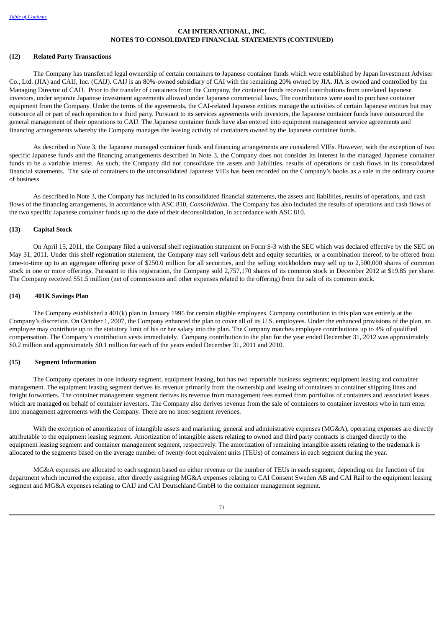### **(12) Related Party Transactions**

The Company has transferred legal ownership of certain containers to Japanese container funds which were established by Japan Investment Adviser Co., Ltd. (JIA) and CAIJ, Inc. (CAIJ). CAIJ is an 80%-owned subsidiary of CAI with the remaining 20% owned by JIA. JIA is owned and controlled by the Managing Director of CAIJ. Prior to the transfer of containers from the Company, the container funds received contributions from unrelated Japanese investors, under separate Japanese investment agreements allowed under Japanese commercial laws. The contributions were used to purchase container equipment from the Company. Under the terms of the agreements, the CAI-related Japanese entities manage the activities of certain Japanese entities but may outsource all or part of each operation to a third party. Pursuant to its services agreements with investors, the Japanese container funds have outsourced the general management of their operations to CAIJ. The Japanese container funds have also entered into equipment management service agreements and financing arrangements whereby the Company manages the leasing activity of containers owned by the Japanese container funds.

As described in Note 3, the Japanese managed container funds and financing arrangements are considered VIEs. However, with the exception of two specific Japanese funds and the financing arrangements described in Note 3, the Company does not consider its interest in the managed Japanese container funds to be a variable interest. As such, the Company did not consolidate the assets and liabilities, results of operations or cash flows in its consolidated financial statements. The sale of containers to the unconsolidated Japanese VIEs has been recorded on the Company's books as a sale in the ordinary course of business.

As described in Note 3, the Company has included in its consolidated financial statements, the assets and liabilities, results of operations, and cash flows of the financing arrangements, in accordance with ASC 810, *Consolidation*. The Company has also included the results of operations and cash flows of the two specific Japanese container funds up to the date of their deconsolidation, in accordance with ASC 810.

### **(13) Capital Stock**

On April 15, 2011, the Company filed a universal shelf registration statement on Form S-3 with the SEC which was declared effective by the SEC on May 31, 2011. Under this shelf registration statement, the Company may sell various debt and equity securities, or a combination thereof, to be offered from time-to-time up to an aggregate offering price of \$250.0 million for all securities, and the selling stockholders may sell up to 2,500,000 shares of common stock in one or more offerings. Pursuant to this registration, the Company sold 2,757,170 shares of its common stock in December 2012 at \$19.85 per share. The Company received \$51.5 million (net of commissions and other expenses related to the offering) from the sale of its common stock.

### **(14) 401K Savings Plan**

The Company established a 401(k) plan in January 1995 for certain eligible employees. Company contribution to this plan was entirely at the Company's discretion. On October 1, 2007, the Company enhanced the plan to cover all of its U.S. employees. Under the enhanced provisions of the plan, an employee may contribute up to the statutory limit of his or her salary into the plan. The Company matches employee contributions up to 4% of qualified compensation. The Company's contribution vests immediately. Company contribution to the plan for the year ended December 31, 2012 was approximately \$0.2 million and approximately \$0.1 million for each of the years ended December 31, 2011 and 2010.

## **(15) Segment Information**

The Company operates in one industry segment, equipment leasing, but has two reportable business segments; equipment leasing and container management. The equipment leasing segment derives its revenue primarily from the ownership and leasing of containers to container shipping lines and freight forwarders. The container management segment derives its revenue from management fees earned from portfolios of containers and associated leases which are managed on behalf of container investors. The Company also derives revenue from the sale of containers to container investors who in turn enter into management agreements with the Company. There are no inter-segment revenues.

With the exception of amortization of intangible assets and marketing, general and administrative expenses (MG&A), operating expenses are directly attributable to the equipment leasing segment. Amortization of intangible assets relating to owned and third party contracts is charged directly to the equipment leasing segment and container management segment, respectively. The amortization of remaining intangible assets relating to the trademark is allocated to the segments based on the average number of twenty-foot equivalent units (TEUs) of containers in each segment during the year.

MG&A expenses are allocated to each segment based on either revenue or the number of TEUs in each segment, depending on the function of the department which incurred the expense, after directly assigning MG&A expenses relating to CAI Consent Sweden AB and CAI Rail to the equipment leasing segment and MG&A expenses relating to CAIJ and CAI Deutschland GmbH to the container management segment.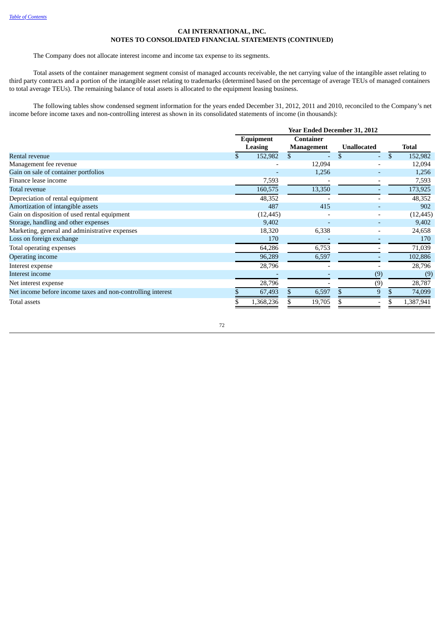The Company does not allocate interest income and income tax expense to its segments.

Total assets of the container management segment consist of managed accounts receivable, the net carrying value of the intangible asset relating to third party contracts and a portion of the intangible asset relating to trademarks (determined based on the percentage of average TEUs of managed containers to total average TEUs). The remaining balance of total assets is allocated to the equipment leasing business.

The following tables show condensed segment information for the years ended December 31, 2012, 2011 and 2010, reconciled to the Company's net income before income taxes and non-controlling interest as shown in its consolidated statements of income (in thousands):

|                                                             | <b>Year Ended December 31, 2012</b> |                             |                                |                                |               |
|-------------------------------------------------------------|-------------------------------------|-----------------------------|--------------------------------|--------------------------------|---------------|
|                                                             |                                     | Equipment<br><b>Leasing</b> | <b>Container</b><br>Management | <b>Unallocated</b>             | <b>Total</b>  |
| Rental revenue                                              | \$.                                 | 152,982                     | \$                             | \$<br>$\overline{\phantom{0}}$ | 152,982<br>\$ |
| Management fee revenue                                      |                                     |                             | 12,094                         |                                | 12,094        |
| Gain on sale of container portfolios                        |                                     |                             | 1,256                          |                                | 1,256         |
| Finance lease income                                        |                                     | 7,593                       |                                |                                | 7,593         |
| Total revenue                                               |                                     | 160,575                     | 13,350                         |                                | 173,925       |
| Depreciation of rental equipment                            |                                     | 48,352                      |                                |                                | 48,352        |
| Amortization of intangible assets                           |                                     | 487                         | 415                            |                                | 902           |
| Gain on disposition of used rental equipment                |                                     | (12, 445)                   |                                |                                | (12, 445)     |
| Storage, handling and other expenses                        |                                     | 9,402                       |                                |                                | 9,402         |
| Marketing, general and administrative expenses              |                                     | 18,320                      | 6,338                          |                                | 24,658        |
| Loss on foreign exchange                                    |                                     | 170                         |                                |                                | 170           |
| Total operating expenses                                    |                                     | 64,286                      | 6,753                          |                                | 71,039        |
| Operating income                                            |                                     | 96,289                      | 6,597                          |                                | 102,886       |
| Interest expense                                            |                                     | 28,796                      |                                |                                | 28,796        |
| Interest income                                             |                                     |                             |                                | (9)                            | (9)           |
| Net interest expense                                        |                                     | 28,796                      |                                | (9)                            | 28,787        |
| Net income before income taxes and non-controlling interest |                                     | 67,493                      | 6,597<br>\$                    | 9<br>S.                        | 74,099        |
| <b>Total assets</b>                                         |                                     | 1,368,236                   | 19,705                         |                                | 1,387,941     |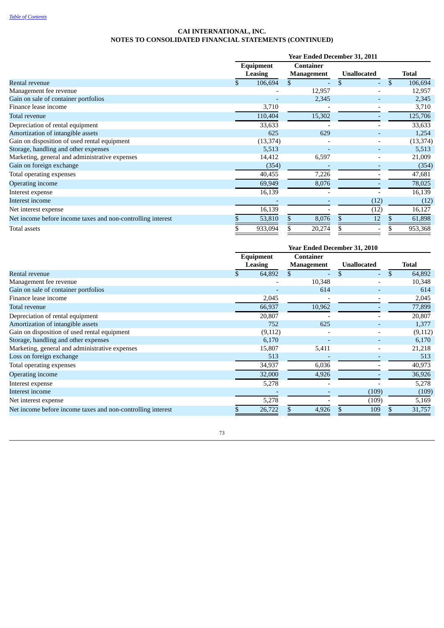## **CAI INTERNATIONAL, INC. NOTES TO CONSOLIDATED FINANCIAL STATEMENTS (CONTINUED)**

|                                                             | <b>Year Ended December 31, 2011</b> |           |  |                                       |  |                    |    |              |
|-------------------------------------------------------------|-------------------------------------|-----------|--|---------------------------------------|--|--------------------|----|--------------|
|                                                             | Equipment<br>Leasing                |           |  | <b>Container</b><br><b>Management</b> |  | <b>Unallocated</b> |    | <b>Total</b> |
| Rental revenue                                              |                                     | 106,694   |  |                                       |  |                    | \$ | 106,694      |
| Management fee revenue                                      |                                     |           |  | 12,957                                |  |                    |    | 12,957       |
| Gain on sale of container portfolios                        |                                     |           |  | 2,345                                 |  |                    |    | 2,345        |
| Finance lease income                                        |                                     | 3,710     |  |                                       |  |                    |    | 3,710        |
| Total revenue                                               |                                     | 110,404   |  | 15,302                                |  |                    |    | 125,706      |
| Depreciation of rental equipment                            |                                     | 33,633    |  |                                       |  |                    |    | 33,633       |
| Amortization of intangible assets                           |                                     | 625       |  | 629                                   |  |                    |    | 1,254        |
| Gain on disposition of used rental equipment                |                                     | (13, 374) |  |                                       |  |                    |    | (13, 374)    |
| Storage, handling and other expenses                        |                                     | 5,513     |  |                                       |  |                    |    | 5,513        |
| Marketing, general and administrative expenses              |                                     | 14,412    |  | 6,597                                 |  |                    |    | 21,009       |
| Gain on foreign exchange                                    |                                     | (354)     |  |                                       |  |                    |    | (354)        |
| Total operating expenses                                    |                                     | 40,455    |  | 7,226                                 |  |                    |    | 47,681       |
| Operating income                                            |                                     | 69,949    |  | 8,076                                 |  |                    |    | 78,025       |
| Interest expense                                            |                                     | 16,139    |  |                                       |  |                    |    | 16,139       |
| Interest income                                             |                                     |           |  |                                       |  | (12)               |    | (12)         |
| Net interest expense                                        |                                     | 16,139    |  |                                       |  | (12)               |    | 16,127       |
| Net income before income taxes and non-controlling interest |                                     | 53,810    |  | 8,076                                 |  | 12                 |    | 61,898       |
| Total assets                                                |                                     | 933,094   |  | 20,274                                |  |                    | S  | 953,368      |

|                                                             |                      | <b>Year Ended December 31, 2010</b> |                                       |                          |    |          |  |  |  |
|-------------------------------------------------------------|----------------------|-------------------------------------|---------------------------------------|--------------------------|----|----------|--|--|--|
|                                                             | Equipment<br>Leasing |                                     | <b>Container</b><br><b>Management</b> |                          |    | Total    |  |  |  |
| Rental revenue                                              | \$.                  | 64,892                              | \$<br>$\overline{a}$                  | \$                       | \$ | 64,892   |  |  |  |
| Management fee revenue                                      |                      |                                     | 10,348                                |                          |    | 10,348   |  |  |  |
| Gain on sale of container portfolios                        |                      |                                     | 614                                   | $\overline{\phantom{a}}$ |    | 614      |  |  |  |
| Finance lease income                                        |                      | 2,045                               |                                       |                          |    | 2,045    |  |  |  |
| Total revenue                                               |                      | 66,937                              | 10,962                                |                          |    | 77,899   |  |  |  |
| Depreciation of rental equipment                            |                      | 20,807                              |                                       |                          |    | 20,807   |  |  |  |
| Amortization of intangible assets                           |                      | 752                                 | 625                                   |                          |    | 1,377    |  |  |  |
| Gain on disposition of used rental equipment                |                      | (9, 112)                            |                                       |                          |    | (9, 112) |  |  |  |
| Storage, handling and other expenses                        |                      | 6,170                               | $\overline{\phantom{0}}$              | -                        |    | 6,170    |  |  |  |
| Marketing, general and administrative expenses              |                      | 15,807                              | 5,411                                 |                          |    | 21,218   |  |  |  |
| Loss on foreign exchange                                    |                      | 513                                 |                                       |                          |    | 513      |  |  |  |
| Total operating expenses                                    |                      | 34,937                              | 6,036                                 |                          |    | 40,973   |  |  |  |
| Operating income                                            |                      | 32,000                              | 4,926                                 |                          |    | 36,926   |  |  |  |
| Interest expense                                            |                      | 5,278                               |                                       |                          |    | 5,278    |  |  |  |
| Interest income                                             |                      |                                     |                                       | (109)                    |    | (109)    |  |  |  |
| Net interest expense                                        |                      | 5,278                               |                                       | (109)                    |    | 5,169    |  |  |  |
| Net income before income taxes and non-controlling interest |                      | 26,722                              | 4,926                                 | 109                      |    | 31,757   |  |  |  |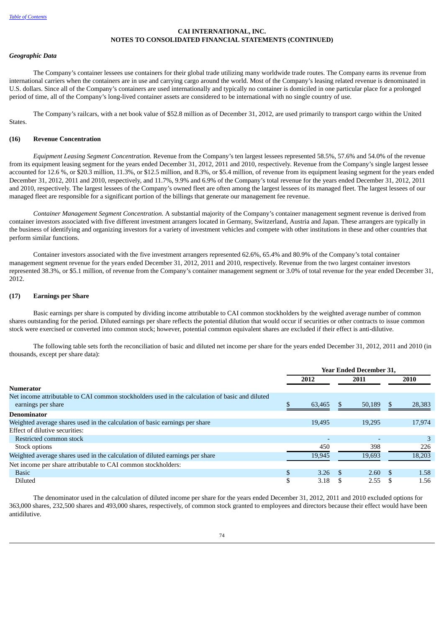## **CAI INTERNATIONAL, INC. NOTES TO CONSOLIDATED FINANCIAL STATEMENTS (CONTINUED)**

#### *Geographic Data*

The Company's container lessees use containers for their global trade utilizing many worldwide trade routes. The Company earns its revenue from international carriers when the containers are in use and carrying cargo around the world. Most of the Company's leasing related revenue is denominated in U.S. dollars. Since all of the Company's containers are used internationally and typically no container is domiciled in one particular place for a prolonged period of time, all of the Company's long-lived container assets are considered to be international with no single country of use.

The Company's railcars, with a net book value of \$52.8 million as of December 31, 2012, are used primarily to transport cargo within the United States.

#### **(16) Revenue Concentration**

*Equipment Leasing Segment Concentration.* Revenue from the Company's ten largest lessees represented 58.5%, 57.6% and 54.0% of the revenue from its equipment leasing segment for the years ended December 31, 2012, 2011 and 2010, respectively. Revenue from the Company's single largest lessee accounted for 12.6 %, or \$20.3 million, 11.3%, or \$12.5 million, and 8.3%, or \$5.4 million, of revenue from its equipment leasing segment for the years ended December 31, 2012, 2011 and 2010, respectively, and 11.7%, 9.9% and 6.9% of the Company's total revenue for the years ended December 31, 2012, 2011 and 2010, respectively. The largest lessees of the Company's owned fleet are often among the largest lessees of its managed fleet. The largest lessees of our managed fleet are responsible for a significant portion of the billings that generate our management fee revenue.

*Container Management Segment Concentration.* A substantial majority of the Company's container management segment revenue is derived from container investors associated with five different investment arrangers located in Germany, Switzerland, Austria and Japan. These arrangers are typically in the business of identifying and organizing investors for a variety of investment vehicles and compete with other institutions in these and other countries that perform similar functions.

Container investors associated with the five investment arrangers represented 62.6%, 65.4% and 80.9% of the Company's total container management segment revenue for the years ended December 31, 2012, 2011 and 2010, respectively. Revenue from the two largest container investors represented 38.3%, or \$5.1 million, of revenue from the Company's container management segment or 3.0% of total revenue for the year ended December 31, 2012.

#### **(17) Earnings per Share**

Basic earnings per share is computed by dividing income attributable to CAI common stockholders by the weighted average number of common shares outstanding for the period. Diluted earnings per share reflects the potential dilution that would occur if securities or other contracts to issue common stock were exercised or converted into common stock; however, potential common equivalent shares are excluded if their effect is anti-dilutive.

The following table sets forth the reconciliation of basic and diluted net income per share for the years ended December 31, 2012, 2011 and 2010 (in thousands, except per share data):

|                                                                                                 | <b>Year Ended December 31,</b> |                          |      |        |      |        |
|-------------------------------------------------------------------------------------------------|--------------------------------|--------------------------|------|--------|------|--------|
|                                                                                                 |                                | 2012                     |      | 2011   |      | 2010   |
| <b>Numerator</b>                                                                                |                                |                          |      |        |      |        |
| Net income attributable to CAI common stockholders used in the calculation of basic and diluted |                                |                          |      |        |      |        |
| earnings per share                                                                              |                                | 63,465                   | \$.  | 50,189 | S.   | 28,383 |
| Denominator                                                                                     |                                |                          |      |        |      |        |
| Weighted average shares used in the calculation of basic earnings per share                     |                                | 19,495                   |      | 19,295 |      | 17,974 |
| Effect of dilutive securities:                                                                  |                                |                          |      |        |      |        |
| Restricted common stock                                                                         |                                | $\overline{\phantom{0}}$ |      |        |      | 3.     |
| Stock options                                                                                   |                                | 450                      |      | 398    |      | 226    |
| Weighted average shares used in the calculation of diluted earnings per share                   |                                | 19,945                   |      | 19,693 |      | 18,203 |
| Net income per share attributable to CAI common stockholders:                                   |                                |                          |      |        |      |        |
| <b>Basic</b>                                                                                    | \$                             | 3.26                     | - \$ | 2.60   | - \$ | 1.58   |
| <b>Diluted</b>                                                                                  | \$                             | 3.18                     |      | 2.55   |      | 1.56   |

The denominator used in the calculation of diluted income per share for the years ended December 31, 2012, 2011 and 2010 excluded options for 363,000 shares, 232,500 shares and 493,000 shares, respectively, of common stock granted to employees and directors because their effect would have been antidilutive.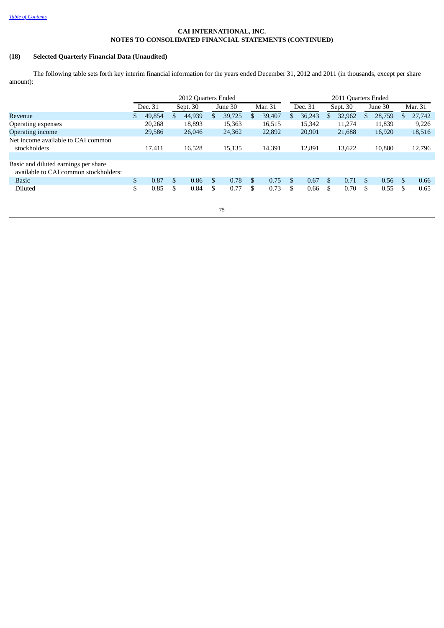## **CAI INTERNATIONAL, INC. NOTES TO CONSOLIDATED FINANCIAL STATEMENTS (CONTINUED)**

## **(18) Selected Quarterly Financial Data (Unaudited)**

The following table sets forth key interim financial information for the years ended December 31, 2012 and 2011 (in thousands, except per share amount):

|                                                                               | 2012 Quarters Ended |     |          |     |         |     |         | 2011 Quarters Ended |         |     |          |     |         |    |         |
|-------------------------------------------------------------------------------|---------------------|-----|----------|-----|---------|-----|---------|---------------------|---------|-----|----------|-----|---------|----|---------|
|                                                                               | Dec. 31             |     | Sept. 30 |     | June 30 |     | Mar. 31 |                     | Dec. 31 |     | Sept. 30 |     | June 30 |    | Mar. 31 |
| Revenue                                                                       | \$<br>49,854        | S   | 44,939   |     | 39,725  |     | 39,407  |                     | 36,243  | \$. | 32,962   | S.  | 28,759  | S  | 27,742  |
| Operating expenses                                                            | 20,268              |     | 18,893   |     | 15,363  |     | 16,515  |                     | 15,342  |     | 11,274   |     | 11,839  |    | 9,226   |
| Operating income                                                              | 29,586              |     | 26,046   |     | 24,362  |     | 22,892  |                     | 20,901  |     | 21,688   |     | 16,920  |    | 18,516  |
| Net income available to CAI common                                            |                     |     |          |     |         |     |         |                     |         |     |          |     |         |    |         |
| stockholders                                                                  | 17.411              |     | 16,528   |     | 15,135  |     | 14,391  |                     | 12,891  |     | 13,622   |     | 10,880  |    | 12,796  |
|                                                                               |                     |     |          |     |         |     |         |                     |         |     |          |     |         |    |         |
| Basic and diluted earnings per share<br>available to CAI common stockholders: |                     |     |          |     |         |     |         |                     |         |     |          |     |         |    |         |
| <b>Basic</b>                                                                  | \$<br>0.87          | \$. | 0.86     | \$. | 0.78    | \$. | 0.75    | \$.                 | 0.67    | \$. | 0.71     | \$. | 0.56    | -S | 0.66    |
| <b>Diluted</b>                                                                | \$<br>0.85          | \$  | 0.84     | S   | 0.77    | \$  | 0.73    | \$                  | 0.66    | S   | 0.70     | \$. | 0.55    | S  | 0.65    |

75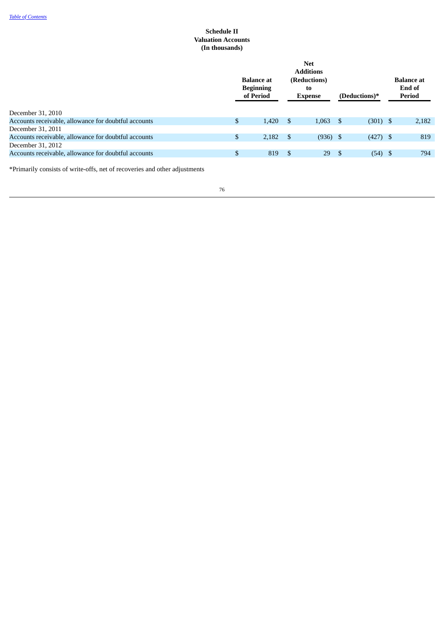## **Schedule II Valuation Accounts (In thousands)**

|                                                      | <b>Balance</b> at<br><b>Beginning</b><br>of Period |    | <b>Net</b><br><b>Additions</b><br>(Reductions)<br>to<br><b>Expense</b> |      | (Deductions)* | <b>Balance</b> at<br>End of<br>Period |
|------------------------------------------------------|----------------------------------------------------|----|------------------------------------------------------------------------|------|---------------|---------------------------------------|
| December 31, 2010                                    |                                                    |    |                                                                        |      |               |                                       |
| Accounts receivable, allowance for doubtful accounts | \$<br>1,420                                        | -S | $1,063$ \$                                                             |      | $(301)$ \$    | 2,182                                 |
| December 31, 2011                                    |                                                    |    |                                                                        |      |               |                                       |
| Accounts receivable, allowance for doubtful accounts | \$<br>2,182                                        | -S | $(936)$ \$                                                             |      | $(427)$ \$    | 819                                   |
| December 31, 2012                                    |                                                    |    |                                                                        |      |               |                                       |
| Accounts receivable, allowance for doubtful accounts | \$<br>819                                          | -S | 29                                                                     | - \$ | $(54)$ \$     | 794                                   |
|                                                      |                                                    |    |                                                                        |      |               |                                       |

\*Primarily consists of write-offs, net of recoveries and other adjustments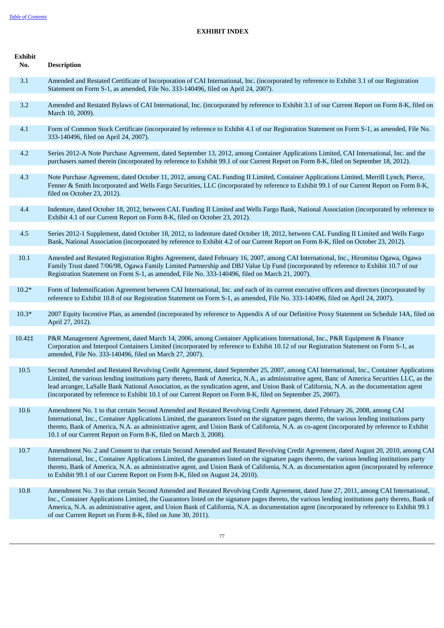## **EXHIBIT INDEX**

| Exhibit<br>No. | <b>Description</b>                                                                                                                                                                                                                                                                                                                                                                                                                                                                                                                                     |
|----------------|--------------------------------------------------------------------------------------------------------------------------------------------------------------------------------------------------------------------------------------------------------------------------------------------------------------------------------------------------------------------------------------------------------------------------------------------------------------------------------------------------------------------------------------------------------|
| 3.1            | Amended and Restated Certificate of Incorporation of CAI International, Inc. (incorporated by reference to Exhibit 3.1 of our Registration<br>Statement on Form S-1, as amended, File No. 333-140496, filed on April 24, 2007).                                                                                                                                                                                                                                                                                                                        |
| 3.2            | Amended and Restated Bylaws of CAI International, Inc. (incorporated by reference to Exhibit 3.1 of our Current Report on Form 8-K, filed on<br>March 10, 2009).                                                                                                                                                                                                                                                                                                                                                                                       |
| 4.1            | Form of Common Stock Certificate (incorporated by reference to Exhibit 4.1 of our Registration Statement on Form S-1, as amended, File No.<br>333-140496, filed on April 24, 2007).                                                                                                                                                                                                                                                                                                                                                                    |
| 4.2            | Series 2012-A Note Purchase Agreement, dated September 13, 2012, among Container Applications Limited, CAI International, Inc. and the<br>purchasers named therein (incorporated by reference to Exhibit 99.1 of our Current Report on Form 8-K, filed on September 18, 2012).                                                                                                                                                                                                                                                                         |
| 4.3            | Note Purchase Agreement, dated October 11, 2012, among CAL Funding II Limited, Container Applications Limited, Merrill Lynch, Pierce,<br>Fenner & Smith Incorporated and Wells Fargo Securities, LLC (incorporated by reference to Exhibit 99.1 of our Current Report on Form 8-K,<br>filed on October 23, 2012).                                                                                                                                                                                                                                      |
| 4.4            | Indenture, dated October 18, 2012, between CAL Funding II Limited and Wells Fargo Bank, National Association (incorporated by reference to<br>Exhibit 4.1 of our Current Report on Form 8-K, filed on October 23, 2012).                                                                                                                                                                                                                                                                                                                               |
| 4.5            | Series 2012-1 Supplement, dated October 18, 2012, to Indenture dated October 18, 2012, between CAL Funding II Limited and Wells Fargo<br>Bank, National Association (incorporated by reference to Exhibit 4.2 of our Current Report on Form 8-K, filed on October 23, 2012).                                                                                                                                                                                                                                                                           |
| 10.1           | Amended and Restated Registration Rights Agreement, dated February 16, 2007, among CAI International, Inc., Hiromitsu Ogawa, Ogawa<br>Family Trust dated 7/06/98, Ogawa Family Limited Partnership and DBJ Value Up Fund (incorporated by reference to Exhibit 10.7 of our<br>Registration Statement on Form S-1, as amended, File No. 333-140496, filed on March 21, 2007).                                                                                                                                                                           |
| $10.2*$        | Form of Indemnification Agreement between CAI International, Inc. and each of its current executive officers and directors (incorporated by<br>reference to Exhibit 10.8 of our Registration Statement on Form S-1, as amended, File No. 333-140496, filed on April 24, 2007).                                                                                                                                                                                                                                                                         |
| $10.3*$        | 2007 Equity Incentive Plan, as amended (incorporated by reference to Appendix A of our Definitive Proxy Statement on Schedule 14A, filed on<br>April 27, 2012).                                                                                                                                                                                                                                                                                                                                                                                        |
| 10.4‡‡         | P&R Management Agreement, dated March 14, 2006, among Container Applications International, Inc., P&R Equipment & Finance<br>Corporation and Interpool Containers Limited (incorporated by reference to Exhibit 10.12 of our Registration Statement on Form S-1, as<br>amended, File No. 333-140496, filed on March 27, 2007).                                                                                                                                                                                                                         |
| 10.5           | Second Amended and Restated Revolving Credit Agreement, dated September 25, 2007, among CAI International, Inc., Container Applications<br>Limited, the various lending institutions party thereto, Bank of America, N.A., as administrative agent, Banc of America Securities LLC, as the<br>lead arranger, LaSalle Bank National Association, as the syndication agent, and Union Bank of California, N.A. as the documentation agent<br>(incorporated by reference to Exhibit 10.1 of our Current Report on Form 8-K, filed on September 25, 2007). |
| 10.6           | Amendment No. 1 to that certain Second Amended and Restated Revolving Credit Agreement, dated February 26, 2008, among CAI<br>International, Inc., Container Applications Limited, the guarantors listed on the signature pages thereto, the various lending institutions party<br>thereto, Bank of America, N.A. as administrative agent, and Union Bank of California, N.A. as co-agent (incorporated by reference to Exhibit<br>10.1 of our Current Report on Form 8-K, filed on March 3, 2008).                                                    |
| 10.7           | Amendment No. 2 and Consent to that certain Second Amended and Restated Revolving Credit Agreement, dated August 20, 2010, among CAI<br>International, Inc., Container Applications Limited, the guarantors listed on the signature pages thereto, the various lending institutions party<br>thereto, Bank of America, N.A. as administrative agent, and Union Bank of California, N.A. as documentation agent (incorporated by reference<br>to Exhibit 99.1 of our Current Report on Form 8-K, filed on August 24, 2010).                             |
| 10.8           | Amendment No. 3 to that certain Second Amended and Restated Revolving Credit Agreement, dated June 27, 2011, among CAI International,<br>Inc., Container Applications Limited, the Guarantors listed on the signature pages thereto, the various lending institutions party thereto, Bank of<br>America, N.A. as administrative agent, and Union Bank of California, N.A. as documentation agent (incorporated by reference to Exhibit 99.1<br>of our Current Report on Form 8-K, filed on June 30, 2011).                                             |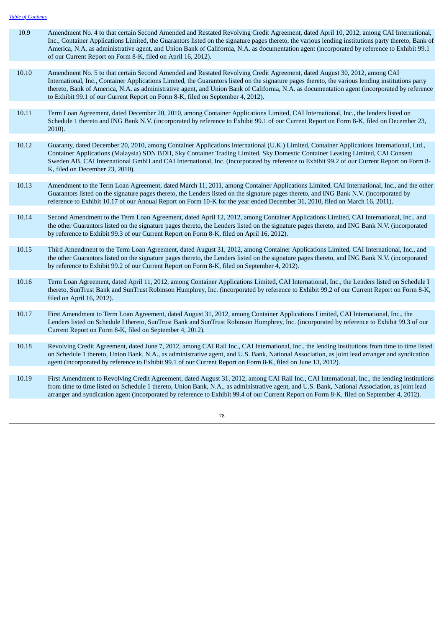*Table of [Contents](#page-2-0)*

| 10.9  | Amendment No. 4 to that certain Second Amended and Restated Revolving Credit Agreement, dated April 10, 2012, among CAI International,<br>Inc., Container Applications Limited, the Guarantors listed on the signature pages thereto, the various lending institutions party thereto, Bank of<br>America, N.A. as administrative agent, and Union Bank of California, N.A. as documentation agent (incorporated by reference to Exhibit 99.1<br>of our Current Report on Form 8-K, filed on April 16, 2012).     |
|-------|------------------------------------------------------------------------------------------------------------------------------------------------------------------------------------------------------------------------------------------------------------------------------------------------------------------------------------------------------------------------------------------------------------------------------------------------------------------------------------------------------------------|
| 10.10 | Amendment No. 5 to that certain Second Amended and Restated Revolving Credit Agreement, dated August 30, 2012, among CAI<br>International, Inc., Container Applications Limited, the Guarantors listed on the signature pages thereto, the various lending institutions party<br>thereto, Bank of America, N.A. as administrative agent, and Union Bank of California, N.A. as documentation agent (incorporated by reference<br>to Exhibit 99.1 of our Current Report on Form 8-K, filed on September 4, 2012). |
| 10.11 | Term Loan Agreement, dated December 20, 2010, among Container Applications Limited, CAI International, Inc., the lenders listed on<br>Schedule 1 thereto and ING Bank N.V. (incorporated by reference to Exhibit 99.1 of our Current Report on Form 8-K, filed on December 23,<br>2010).                                                                                                                                                                                                                         |
| 10.12 | Guaranty, dated December 20, 2010, among Container Applications International (U.K.) Limited, Container Applications International, Ltd.,<br>Container Applications (Malaysia) SDN BDH, Sky Container Trading Limited, Sky Domestic Container Leasing Limited, CAI Consent<br>Sweden AB, CAI International GmbH and CAI International, Inc. (incorporated by reference to Exhibit 99.2 of our Current Report on Form 8-<br>K, filed on December 23, 2010).                                                       |
| 10.13 | Amendment to the Term Loan Agreement, dated March 11, 2011, among Container Applications Limited, CAI International, Inc., and the other<br>Guarantors listed on the signature pages thereto, the Lenders listed on the signature pages thereto, and ING Bank N.V. (incorporated by<br>reference to Exhibit 10.17 of our Annual Report on Form 10-K for the year ended December 31, 2010, filed on March 16, 2011).                                                                                              |
| 10.14 | Second Amendment to the Term Loan Agreement, dated April 12, 2012, among Container Applications Limited, CAI International, Inc., and<br>the other Guarantors listed on the signature pages thereto, the Lenders listed on the signature pages thereto, and ING Bank N.V. (incorporated<br>by reference to Exhibit 99.3 of our Current Report on Form 8-K, filed on April 16, 2012).                                                                                                                             |
| 10.15 | Third Amendment to the Term Loan Agreement, dated August 31, 2012, among Container Applications Limited, CAI International, Inc., and<br>the other Guarantors listed on the signature pages thereto, the Lenders listed on the signature pages thereto, and ING Bank N.V. (incorporated<br>by reference to Exhibit 99.2 of our Current Report on Form 8-K, filed on September 4, 2012).                                                                                                                          |
| 10.16 | Term Loan Agreement, dated April 11, 2012, among Container Applications Limited, CAI International, Inc., the Lenders listed on Schedule I<br>thereto, SunTrust Bank and SunTrust Robinson Humphrey, Inc. (incorporated by reference to Exhibit 99.2 of our Current Report on Form 8-K,<br>filed on April 16, 2012).                                                                                                                                                                                             |
| 10.17 | First Amendment to Term Loan Agreement, dated August 31, 2012, among Container Applications Limited, CAI International, Inc., the<br>Lenders listed on Schedule I thereto, SunTrust Bank and SunTrust Robinson Humphrey, Inc. (incorporated by reference to Exhibit 99.3 of our<br>Current Report on Form 8-K, filed on September 4, 2012).                                                                                                                                                                      |
| 10.18 | Revolving Credit Agreement, dated June 7, 2012, among CAI Rail Inc., CAI International, Inc., the lending institutions from time to time listed<br>on Schedule 1 thereto, Union Bank, N.A., as administrative agent, and U.S. Bank, National Association, as joint lead arranger and syndication<br>agent (incorporated by reference to Exhibit 99.1 of our Current Report on Form 8-K, filed on June 13, 2012).                                                                                                 |
| 10.19 | First Amendment to Revolving Credit Agreement, dated August 31, 2012, among CAI Rail Inc., CAI International, Inc., the lending institutions<br>from time to time listed on Schedule 1 thereto, Union Bank, N.A., as administrative agent, and U.S. Bank, National Association, as joint lead<br>arranger and syndication agent (incorporated by reference to Exhibit 99.4 of our Current Report on Form 8-K, filed on September 4, 2012).                                                                       |

78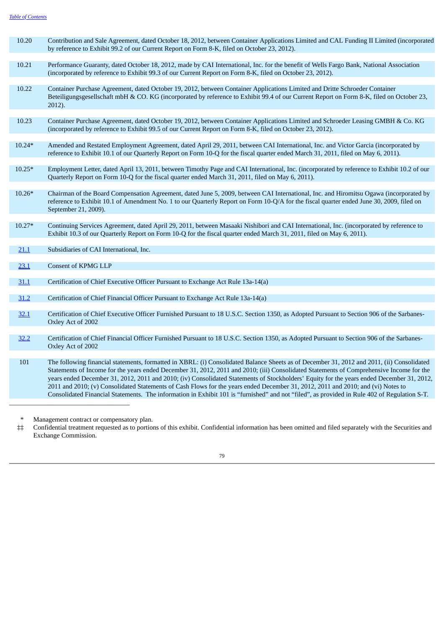*Table of [Contents](#page-2-0)*

| 10.20    | Contribution and Sale Agreement, dated October 18, 2012, between Container Applications Limited and CAL Funding II Limited (incorporated<br>by reference to Exhibit 99.2 of our Current Report on Form 8-K, filed on October 23, 2012).                                                                                                                                                                                                                                                                                                                                                                                                                                                                                 |
|----------|-------------------------------------------------------------------------------------------------------------------------------------------------------------------------------------------------------------------------------------------------------------------------------------------------------------------------------------------------------------------------------------------------------------------------------------------------------------------------------------------------------------------------------------------------------------------------------------------------------------------------------------------------------------------------------------------------------------------------|
| 10.21    | Performance Guaranty, dated October 18, 2012, made by CAI International, Inc. for the benefit of Wells Fargo Bank, National Association<br>(incorporated by reference to Exhibit 99.3 of our Current Report on Form 8-K, filed on October 23, 2012).                                                                                                                                                                                                                                                                                                                                                                                                                                                                    |
| 10.22    | Container Purchase Agreement, dated October 19, 2012, between Container Applications Limited and Dritte Schroeder Container<br>Beteiligungsgesellschaft mbH & CO. KG (incorporated by reference to Exhibit 99.4 of our Current Report on Form 8-K, filed on October 23,<br>2012).                                                                                                                                                                                                                                                                                                                                                                                                                                       |
| 10.23    | Container Purchase Agreement, dated October 19, 2012, between Container Applications Limited and Schroeder Leasing GMBH & Co. KG                                                                                                                                                                                                                                                                                                                                                                                                                                                                                                                                                                                        |
|          | (incorporated by reference to Exhibit 99.5 of our Current Report on Form 8-K, filed on October 23, 2012).                                                                                                                                                                                                                                                                                                                                                                                                                                                                                                                                                                                                               |
| $10.24*$ | Amended and Restated Employment Agreement, dated April 29, 2011, between CAI International, Inc. and Victor Garcia (incorporated by<br>reference to Exhibit 10.1 of our Quarterly Report on Form 10-Q for the fiscal quarter ended March 31, 2011, filed on May 6, 2011).                                                                                                                                                                                                                                                                                                                                                                                                                                               |
| $10.25*$ | Employment Letter, dated April 13, 2011, between Timothy Page and CAI International, Inc. (incorporated by reference to Exhibit 10.2 of our<br>Quarterly Report on Form 10-Q for the fiscal quarter ended March 31, 2011, filed on May 6, 2011).                                                                                                                                                                                                                                                                                                                                                                                                                                                                        |
| $10.26*$ | Chairman of the Board Compensation Agreement, dated June 5, 2009, between CAI International, Inc. and Hiromitsu Ogawa (incorporated by<br>reference to Exhibit 10.1 of Amendment No. 1 to our Quarterly Report on Form 10-Q/A for the fiscal quarter ended June 30, 2009, filed on<br>September 21, 2009).                                                                                                                                                                                                                                                                                                                                                                                                              |
|          |                                                                                                                                                                                                                                                                                                                                                                                                                                                                                                                                                                                                                                                                                                                         |
| $10.27*$ | Continuing Services Agreement, dated April 29, 2011, between Masaaki Nishibori and CAI International, Inc. (incorporated by reference to<br>Exhibit 10.3 of our Quarterly Report on Form 10-Q for the fiscal quarter ended March 31, 2011, filed on May 6, 2011).                                                                                                                                                                                                                                                                                                                                                                                                                                                       |
| 21.1     | Subsidiaries of CAI International, Inc.                                                                                                                                                                                                                                                                                                                                                                                                                                                                                                                                                                                                                                                                                 |
|          |                                                                                                                                                                                                                                                                                                                                                                                                                                                                                                                                                                                                                                                                                                                         |
| 23.1     | <b>Consent of KPMG LLP</b>                                                                                                                                                                                                                                                                                                                                                                                                                                                                                                                                                                                                                                                                                              |
| 31.1     | Certification of Chief Executive Officer Pursuant to Exchange Act Rule 13a-14(a)                                                                                                                                                                                                                                                                                                                                                                                                                                                                                                                                                                                                                                        |
|          |                                                                                                                                                                                                                                                                                                                                                                                                                                                                                                                                                                                                                                                                                                                         |
| 31.2     | Certification of Chief Financial Officer Pursuant to Exchange Act Rule 13a-14(a)                                                                                                                                                                                                                                                                                                                                                                                                                                                                                                                                                                                                                                        |
| 32.1     | Certification of Chief Executive Officer Furnished Pursuant to 18 U.S.C. Section 1350, as Adopted Pursuant to Section 906 of the Sarbanes-<br>Oxley Act of 2002                                                                                                                                                                                                                                                                                                                                                                                                                                                                                                                                                         |
| 32.2     | Certification of Chief Financial Officer Furnished Pursuant to 18 U.S.C. Section 1350, as Adopted Pursuant to Section 906 of the Sarbanes-<br>Oxley Act of 2002                                                                                                                                                                                                                                                                                                                                                                                                                                                                                                                                                         |
| 101      | The following financial statements, formatted in XBRL: (i) Consolidated Balance Sheets as of December 31, 2012 and 2011, (ii) Consolidated<br>Statements of Income for the years ended December 31, 2012, 2011 and 2010; (iii) Consolidated Statements of Comprehensive Income for the<br>years ended December 31, 2012, 2011 and 2010; (iv) Consolidated Statements of Stockholders' Equity for the years ended December 31, 2012,<br>2011 and 2010; (v) Consolidated Statements of Cash Flows for the years ended December 31, 2012, 2011 and 2010; and (vi) Notes to<br>Consolidated Financial Statements. The information in Exhibit 101 is "furnished" and not "filed", as provided in Rule 402 of Regulation S-T. |

<sup>\*</sup> Management contract or compensatory plan.

<sup>‡‡</sup> Confidential treatment requested as to portions of this exhibit. Confidential information has been omitted and filed separately with the Securities and Exchange Commission.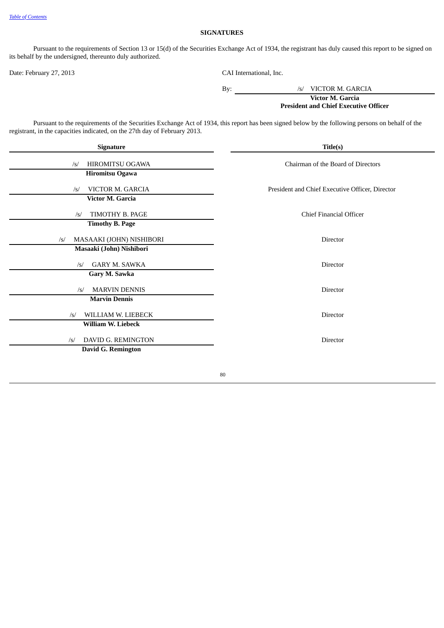## **SIGNATURES**

Pursuant to the requirements of Section 13 or 15(d) of the Securities Exchange Act of 1934, the registrant has duly caused this report to be signed on its behalf by the undersigned, thereunto duly authorized.

| Date: February 27, 2013                                                    | CAI International, Inc.                                                                                                                          |  |  |  |  |  |
|----------------------------------------------------------------------------|--------------------------------------------------------------------------------------------------------------------------------------------------|--|--|--|--|--|
|                                                                            | By:<br>/s/ VICTOR M. GARCIA                                                                                                                      |  |  |  |  |  |
|                                                                            | Victor M. Garcia                                                                                                                                 |  |  |  |  |  |
|                                                                            | <b>President and Chief Executive Officer</b>                                                                                                     |  |  |  |  |  |
| registrant, in the capacities indicated, on the 27th day of February 2013. | Pursuant to the requirements of the Securities Exchange Act of 1934, this report has been signed below by the following persons on behalf of the |  |  |  |  |  |
| Signature                                                                  | Title(s)                                                                                                                                         |  |  |  |  |  |
| <b>HIROMITSU OGAWA</b><br>$\sqrt{s}$                                       | Chairman of the Board of Directors                                                                                                               |  |  |  |  |  |
| <b>Hiromitsu Ogawa</b>                                                     |                                                                                                                                                  |  |  |  |  |  |
| VICTOR M. GARCIA<br>$\sqrt{s}$                                             | President and Chief Executive Officer, Director                                                                                                  |  |  |  |  |  |
| Victor M. Garcia                                                           |                                                                                                                                                  |  |  |  |  |  |
| TIMOTHY B. PAGE<br>$\sqrt{s}$                                              | Chief Financial Officer                                                                                                                          |  |  |  |  |  |
| <b>Timothy B. Page</b>                                                     |                                                                                                                                                  |  |  |  |  |  |
| MASAAKI (JOHN) NISHIBORI<br>$\sqrt{s}$                                     | Director                                                                                                                                         |  |  |  |  |  |
| Masaaki (John) Nishibori                                                   |                                                                                                                                                  |  |  |  |  |  |
| <b>GARY M. SAWKA</b><br>$\sqrt{s}$                                         | Director                                                                                                                                         |  |  |  |  |  |
| Gary M. Sawka                                                              |                                                                                                                                                  |  |  |  |  |  |
| <b>MARVIN DENNIS</b><br>$\sqrt{s}$                                         | Director                                                                                                                                         |  |  |  |  |  |
| <b>Marvin Dennis</b>                                                       |                                                                                                                                                  |  |  |  |  |  |
| WILLIAM W. LIEBECK<br>$\sqrt{s}$                                           | Director                                                                                                                                         |  |  |  |  |  |
| <b>William W. Liebeck</b>                                                  |                                                                                                                                                  |  |  |  |  |  |
| DAVID G. REMINGTON<br>$\sqrt{s}$                                           | Director                                                                                                                                         |  |  |  |  |  |
| David G. Remington                                                         |                                                                                                                                                  |  |  |  |  |  |
|                                                                            |                                                                                                                                                  |  |  |  |  |  |

80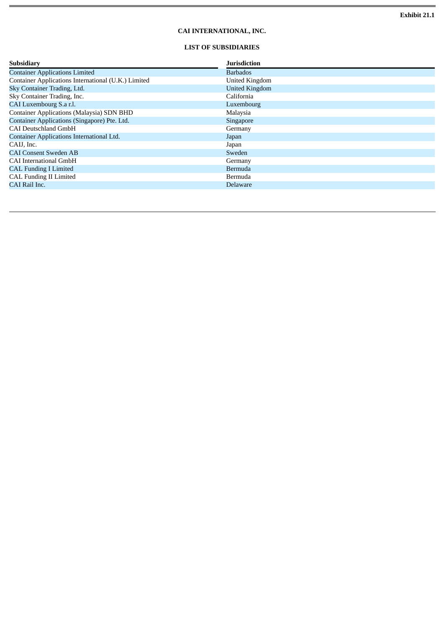# **CAI INTERNATIONAL, INC. LIST OF SUBSIDIARIES**

| <b>Jurisdiction</b>   |
|-----------------------|
| <b>Barbados</b>       |
| United Kingdom        |
| <b>United Kingdom</b> |
| California            |
| Luxembourg            |
| Malaysia              |
| Singapore             |
| Germany               |
| Japan                 |
| Japan                 |
| Sweden                |
| Germany               |
| Bermuda               |
| Bermuda               |
| Delaware              |
|                       |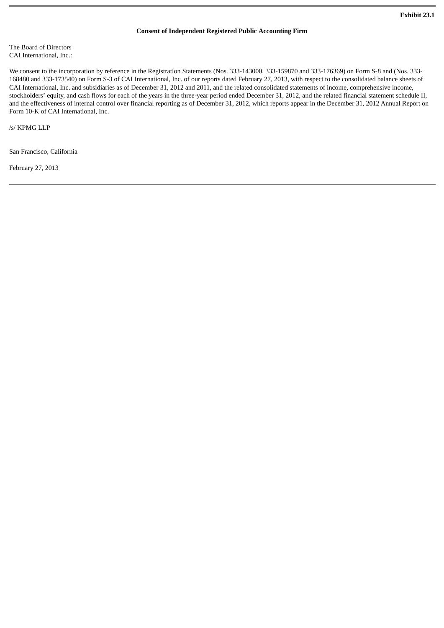#### **Consent of Independent Registered Public Accounting Firm**

The Board of Directors CAI International, Inc.:

We consent to the incorporation by reference in the Registration Statements (Nos. 333-143000, 333-159870 and 333-176369) on Form S-8 and (Nos. 333- 168480 and 333-173540) on Form S-3 of CAI International, Inc. of our reports dated February 27, 2013, with respect to the consolidated balance sheets of CAI International, Inc. and subsidiaries as of December 31, 2012 and 2011, and the related consolidated statements of income, comprehensive income, stockholders' equity, and cash flows for each of the years in the three-year period ended December 31, 2012, and the related financial statement schedule II, and the effectiveness of internal control over financial reporting as of December 31, 2012, which reports appear in the December 31, 2012 Annual Report on Form 10-K of CAI International, Inc.

/s/ KPMG LLP

San Francisco, California

February 27, 2013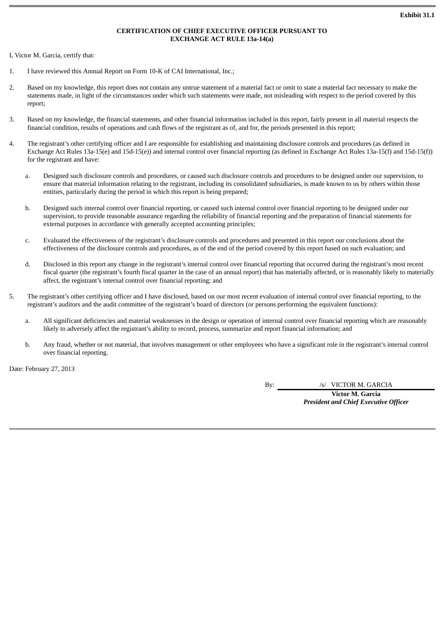## **CERTIFICATION OF CHIEF EXECUTIVE OFFICER PURSUANT TO EXCHANGE ACT RULE 13a-14(a)**

I, Victor M. Garcia, certify that:

- 1. I have reviewed this Annual Report on Form 10-K of CAI International, Inc.;
- 2. Based on my knowledge, this report does not contain any untrue statement of a material fact or omit to state a material fact necessary to make the statements made, in light of the circumstances under which such statements were made, not misleading with respect to the period covered by this report;
- 3. Based on my knowledge, the financial statements, and other financial information included in this report, fairly present in all material respects the financial condition, results of operations and cash flows of the registrant as of, and for, the periods presented in this report;
- 4. The registrant's other certifying officer and I are responsible for establishing and maintaining disclosure controls and procedures (as defined in Exchange Act Rules 13a-15(e) and 15d-15(e)) and internal control over financial reporting (as defined in Exchange Act Rules 13a-15(f) and 15d-15(f)) for the registrant and have:
	- a. Designed such disclosure controls and procedures, or caused such disclosure controls and procedures to be designed under our supervision, to ensure that material information relating to the registrant, including its consolidated subsidiaries, is made known to us by others within those entities, particularly during the period in which this report is being prepared;
	- b. Designed such internal control over financial reporting, or caused such internal control over financial reporting to be designed under our supervision, to provide reasonable assurance regarding the reliability of financial reporting and the preparation of financial statements for external purposes in accordance with generally accepted accounting principles;
	- c. Evaluated the effectiveness of the registrant's disclosure controls and procedures and presented in this report our conclusions about the effectiveness of the disclosure controls and procedures, as of the end of the period covered by this report based on such evaluation; and
	- d. Disclosed in this report any change in the registrant's internal control over financial reporting that occurred during the registrant's most recent fiscal quarter (the registrant's fourth fiscal quarter in the case of an annual report) that has materially affected, or is reasonably likely to materially affect, the registrant's internal control over financial reporting; and
- 5. The registrant's other certifying officer and I have disclosed, based on our most recent evaluation of internal control over financial reporting, to the registrant's auditors and the audit committee of the registrant's board of directors (or persons performing the equivalent functions):
	- a. All significant deficiencies and material weaknesses in the design or operation of internal control over financial reporting which are reasonably likely to adversely affect the registrant's ability to record, process, summarize and report financial information; and
	- b. Any fraud, whether or not material, that involves management or other employees who have a significant role in the registrant's internal control over financial reporting.

Date: February 27, 2013

By: /s/ VICTOR M. GARCIA

**Victor M. Garcia** *President and Chief Executive Officer*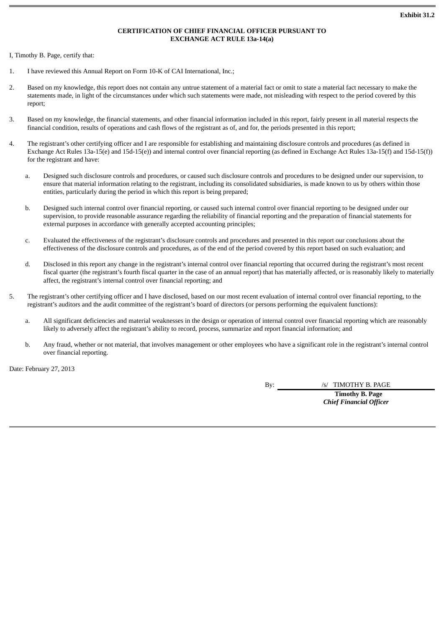## **CERTIFICATION OF CHIEF FINANCIAL OFFICER PURSUANT TO EXCHANGE ACT RULE 13a-14(a)**

I, Timothy B. Page, certify that:

- 1. I have reviewed this Annual Report on Form 10-K of CAI International, Inc.;
- 2. Based on my knowledge, this report does not contain any untrue statement of a material fact or omit to state a material fact necessary to make the statements made, in light of the circumstances under which such statements were made, not misleading with respect to the period covered by this report;
- 3. Based on my knowledge, the financial statements, and other financial information included in this report, fairly present in all material respects the financial condition, results of operations and cash flows of the registrant as of, and for, the periods presented in this report;
- 4. The registrant's other certifying officer and I are responsible for establishing and maintaining disclosure controls and procedures (as defined in Exchange Act Rules 13a-15(e) and 15d-15(e)) and internal control over financial reporting (as defined in Exchange Act Rules 13a-15(f) and 15d-15(f)) for the registrant and have:
	- a. Designed such disclosure controls and procedures, or caused such disclosure controls and procedures to be designed under our supervision, to ensure that material information relating to the registrant, including its consolidated subsidiaries, is made known to us by others within those entities, particularly during the period in which this report is being prepared;
	- b. Designed such internal control over financial reporting, or caused such internal control over financial reporting to be designed under our supervision, to provide reasonable assurance regarding the reliability of financial reporting and the preparation of financial statements for external purposes in accordance with generally accepted accounting principles;
	- c. Evaluated the effectiveness of the registrant's disclosure controls and procedures and presented in this report our conclusions about the effectiveness of the disclosure controls and procedures, as of the end of the period covered by this report based on such evaluation; and
	- d. Disclosed in this report any change in the registrant's internal control over financial reporting that occurred during the registrant's most recent fiscal quarter (the registrant's fourth fiscal quarter in the case of an annual report) that has materially affected, or is reasonably likely to materially affect, the registrant's internal control over financial reporting; and
- 5. The registrant's other certifying officer and I have disclosed, based on our most recent evaluation of internal control over financial reporting, to the registrant's auditors and the audit committee of the registrant's board of directors (or persons performing the equivalent functions):
	- a. All significant deficiencies and material weaknesses in the design or operation of internal control over financial reporting which are reasonably likely to adversely affect the registrant's ability to record, process, summarize and report financial information; and
	- b. Any fraud, whether or not material, that involves management or other employees who have a significant role in the registrant's internal control over financial reporting.

Date: February 27, 2013

Bv: /s/ TIMOTHY B. PAGE

**Timothy B. Page** *Chief Financial Officer*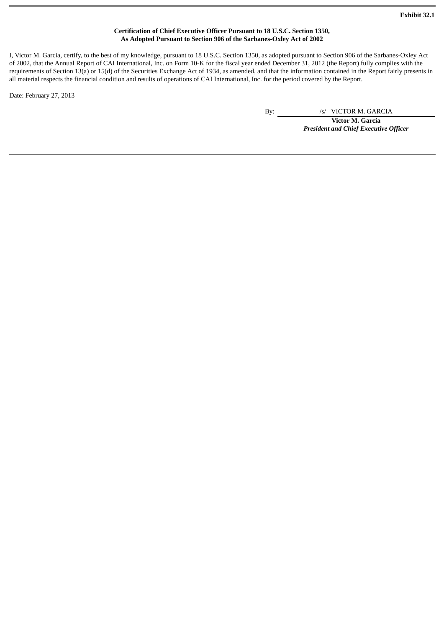## **Certification of Chief Executive Officer Pursuant to 18 U.S.C. Section 1350, As Adopted Pursuant to Section 906 of the Sarbanes-Oxley Act of 2002**

I, Victor M. Garcia, certify, to the best of my knowledge, pursuant to 18 U.S.C. Section 1350, as adopted pursuant to Section 906 of the Sarbanes-Oxley Act of 2002, that the Annual Report of CAI International, Inc. on Form 10-K for the fiscal year ended December 31, 2012 (the Report) fully complies with the requirements of Section 13(a) or 15(d) of the Securities Exchange Act of 1934, as amended, and that the information contained in the Report fairly presents in all material respects the financial condition and results of operations of CAI International, Inc. for the period covered by the Report.

Date: February 27, 2013

By: /s/ VICTOR M. GARCIA

**Victor M. Garcia** *President and Chief Executive Officer*